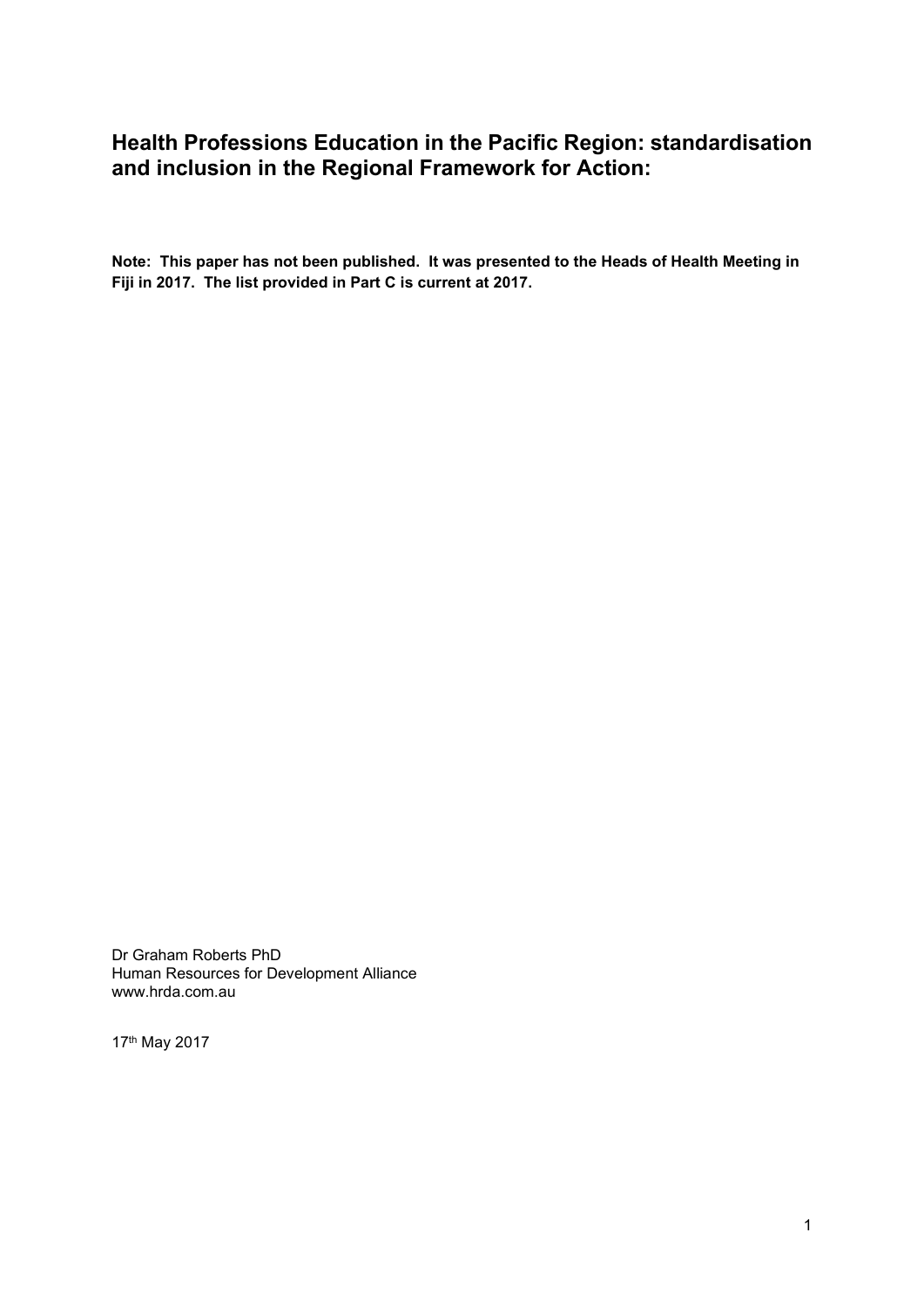# <span id="page-0-0"></span>**Health Professions Education in the Pacific Region: standardisation and inclusion in the Regional Framework for Action:**

**Note: This paper has not been published. It was presented to the Heads of Health Meeting in Fiji in 2017. The list provided in Part C is current at 2017.**

Dr Graham Roberts PhD Human Resources for Development Alliance www.hrda.com.au

17th May 2017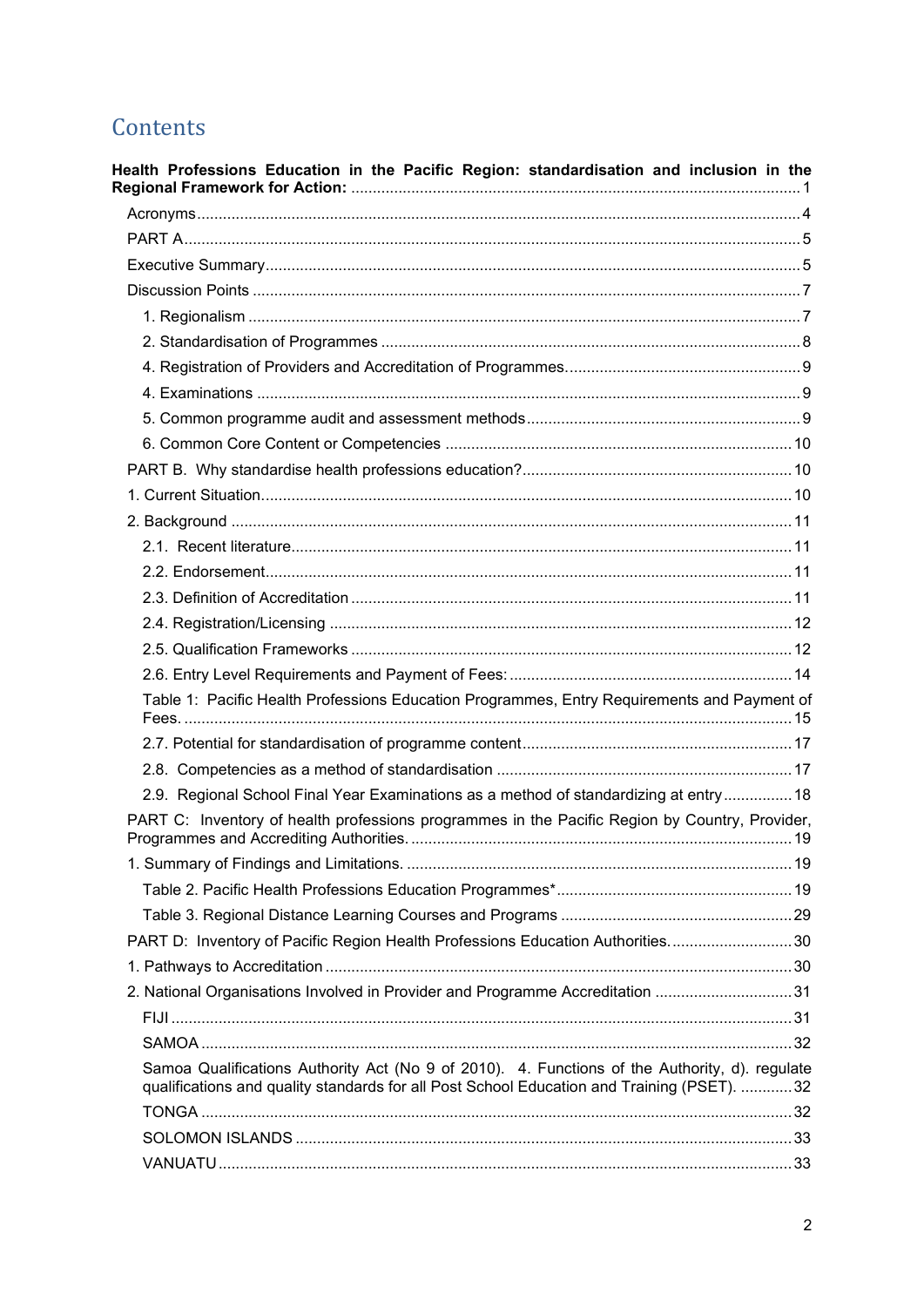# Contents

| Health Professions Education in the Pacific Region: standardisation and inclusion in the                                                                                                     |  |
|----------------------------------------------------------------------------------------------------------------------------------------------------------------------------------------------|--|
|                                                                                                                                                                                              |  |
|                                                                                                                                                                                              |  |
|                                                                                                                                                                                              |  |
|                                                                                                                                                                                              |  |
|                                                                                                                                                                                              |  |
|                                                                                                                                                                                              |  |
|                                                                                                                                                                                              |  |
|                                                                                                                                                                                              |  |
|                                                                                                                                                                                              |  |
|                                                                                                                                                                                              |  |
|                                                                                                                                                                                              |  |
|                                                                                                                                                                                              |  |
|                                                                                                                                                                                              |  |
|                                                                                                                                                                                              |  |
|                                                                                                                                                                                              |  |
|                                                                                                                                                                                              |  |
|                                                                                                                                                                                              |  |
|                                                                                                                                                                                              |  |
|                                                                                                                                                                                              |  |
| Table 1: Pacific Health Professions Education Programmes, Entry Requirements and Payment of                                                                                                  |  |
|                                                                                                                                                                                              |  |
|                                                                                                                                                                                              |  |
| 2.9. Regional School Final Year Examinations as a method of standardizing at entry  18                                                                                                       |  |
| PART C: Inventory of health professions programmes in the Pacific Region by Country, Provider,                                                                                               |  |
|                                                                                                                                                                                              |  |
|                                                                                                                                                                                              |  |
|                                                                                                                                                                                              |  |
| PART D: Inventory of Pacific Region Health Professions Education Authorities30                                                                                                               |  |
|                                                                                                                                                                                              |  |
| 2. National Organisations Involved in Provider and Programme Accreditation 31                                                                                                                |  |
|                                                                                                                                                                                              |  |
|                                                                                                                                                                                              |  |
| Samoa Qualifications Authority Act (No 9 of 2010). 4. Functions of the Authority, d). regulate<br>qualifications and quality standards for all Post School Education and Training (PSET). 32 |  |
|                                                                                                                                                                                              |  |
|                                                                                                                                                                                              |  |
|                                                                                                                                                                                              |  |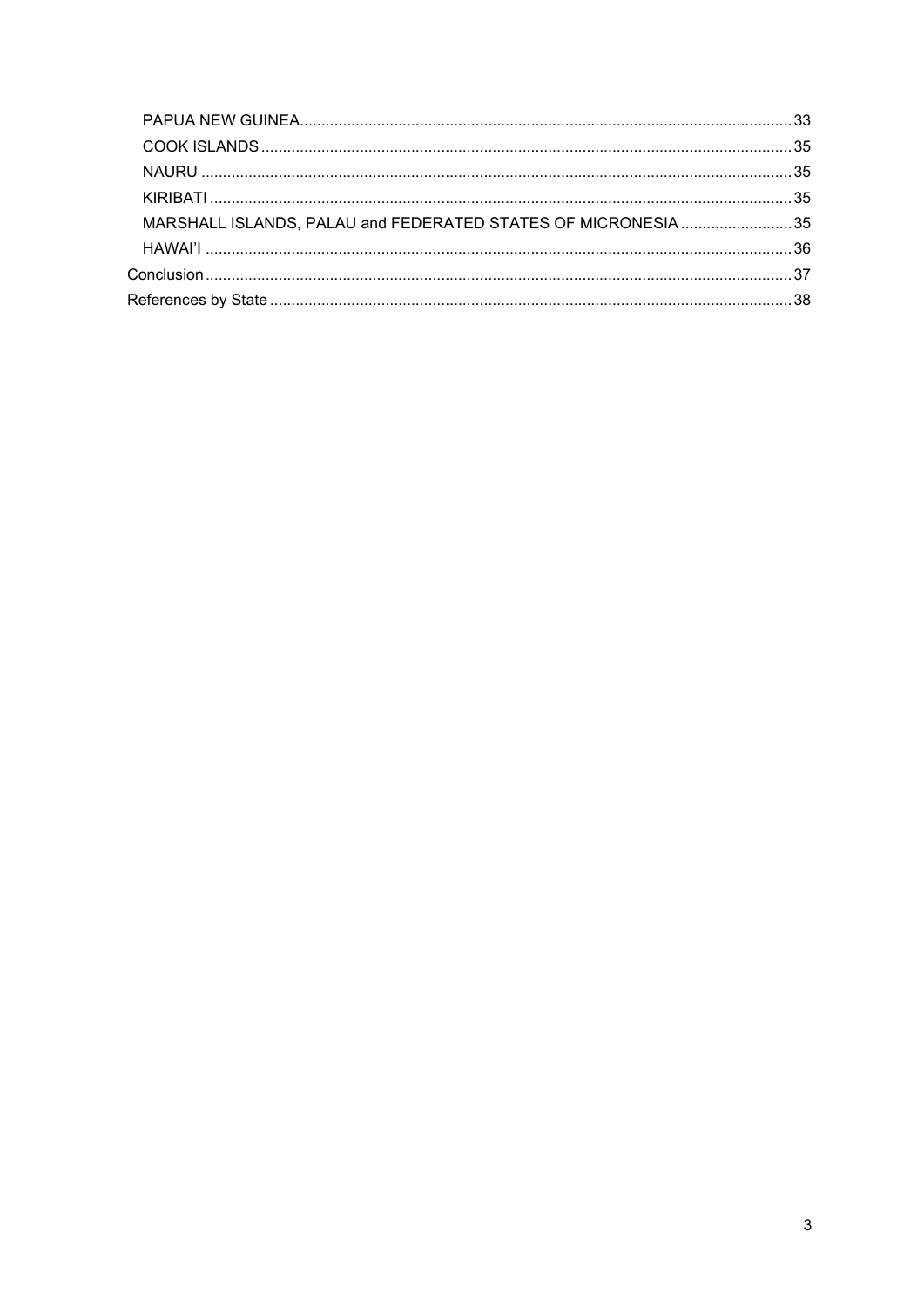| MARSHALL ISLANDS, PALAU and FEDERATED STATES OF MICRONESIA 35 |  |
|---------------------------------------------------------------|--|
|                                                               |  |
|                                                               |  |
|                                                               |  |
|                                                               |  |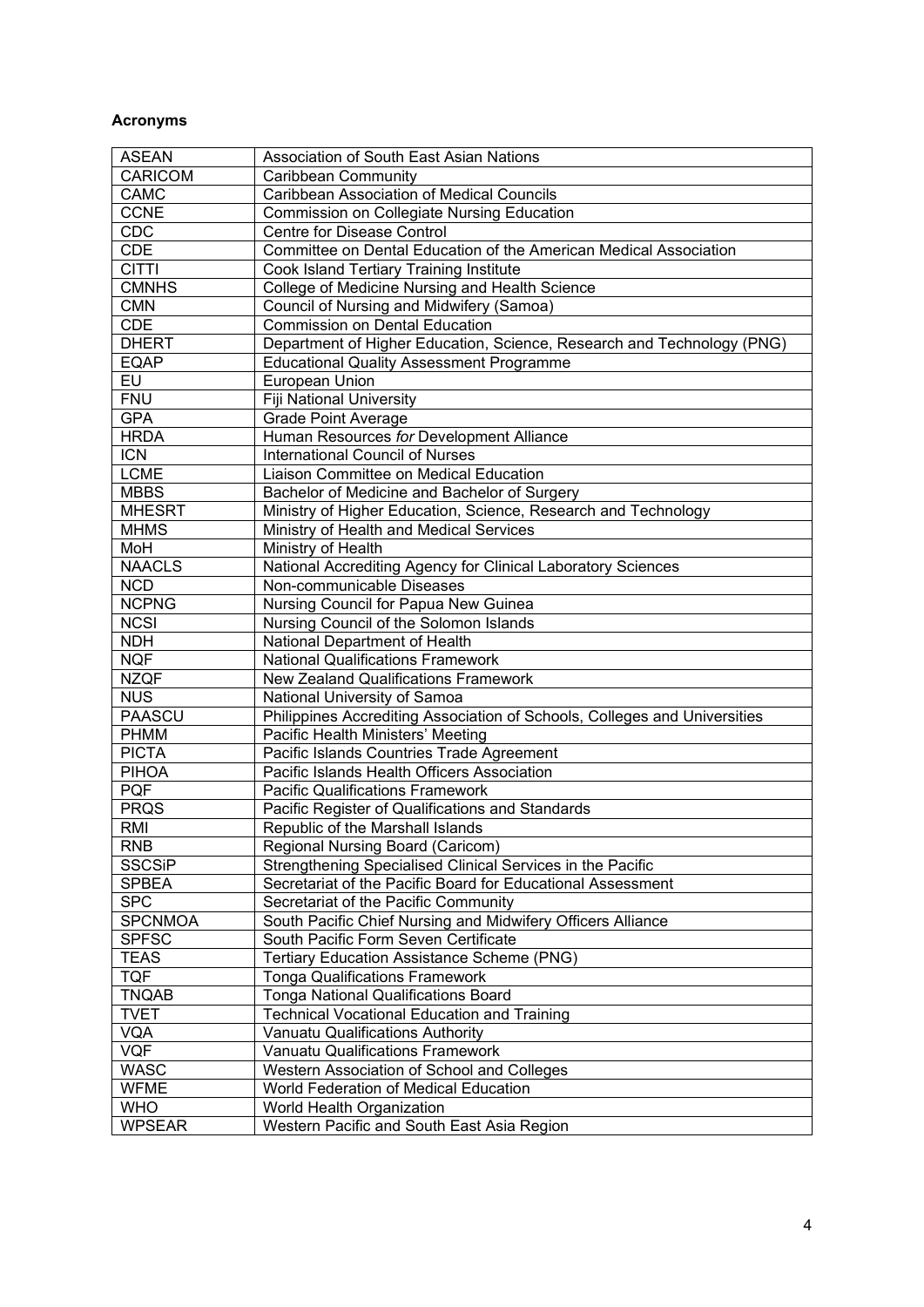# <span id="page-3-0"></span>**Acronyms**

| <b>ASEAN</b>   | Association of South East Asian Nations                                   |
|----------------|---------------------------------------------------------------------------|
| <b>CARICOM</b> | <b>Caribbean Community</b>                                                |
| CAMC           | <b>Caribbean Association of Medical Councils</b>                          |
| <b>CCNE</b>    | <b>Commission on Collegiate Nursing Education</b>                         |
| CDC            | Centre for Disease Control                                                |
| <b>CDE</b>     | Committee on Dental Education of the American Medical Association         |
| <b>CITTI</b>   | Cook Island Tertiary Training Institute                                   |
| <b>CMNHS</b>   | College of Medicine Nursing and Health Science                            |
| <b>CMN</b>     | Council of Nursing and Midwifery (Samoa)                                  |
| <b>CDE</b>     | <b>Commission on Dental Education</b>                                     |
| <b>DHERT</b>   | Department of Higher Education, Science, Research and Technology (PNG)    |
| <b>EQAP</b>    | <b>Educational Quality Assessment Programme</b>                           |
| EU             | European Union                                                            |
| <b>FNU</b>     | Fiji National University                                                  |
| <b>GPA</b>     | <b>Grade Point Average</b>                                                |
| <b>HRDA</b>    | Human Resources for Development Alliance                                  |
| <b>ICN</b>     | <b>International Council of Nurses</b>                                    |
| <b>LCME</b>    | Liaison Committee on Medical Education                                    |
| <b>MBBS</b>    | Bachelor of Medicine and Bachelor of Surgery                              |
| <b>MHESRT</b>  | Ministry of Higher Education, Science, Research and Technology            |
| <b>MHMS</b>    | Ministry of Health and Medical Services                                   |
| MoH            | Ministry of Health                                                        |
| <b>NAACLS</b>  | National Accrediting Agency for Clinical Laboratory Sciences              |
| <b>NCD</b>     | Non-communicable Diseases                                                 |
| <b>NCPNG</b>   | Nursing Council for Papua New Guinea                                      |
| <b>NCSI</b>    | Nursing Council of the Solomon Islands                                    |
| <b>NDH</b>     | National Department of Health                                             |
| <b>NQF</b>     | <b>National Qualifications Framework</b>                                  |
| <b>NZQF</b>    | New Zealand Qualifications Framework                                      |
| <b>NUS</b>     | National University of Samoa                                              |
| <b>PAASCU</b>  | Philippines Accrediting Association of Schools, Colleges and Universities |
| <b>PHMM</b>    | Pacific Health Ministers' Meeting                                         |
| <b>PICTA</b>   | Pacific Islands Countries Trade Agreement                                 |
| <b>PIHOA</b>   | Pacific Islands Health Officers Association                               |
| <b>PQF</b>     | <b>Pacific Qualifications Framework</b>                                   |
| <b>PRQS</b>    | Pacific Register of Qualifications and Standards                          |
| RMI            | Republic of the Marshall Islands                                          |
| <b>RNB</b>     | Regional Nursing Board (Caricom)                                          |
| <b>SSCSiP</b>  | Strengthening Specialised Clinical Services in the Pacific                |
| <b>SPBEA</b>   | Secretariat of the Pacific Board for Educational Assessment               |
| <b>SPC</b>     | Secretariat of the Pacific Community                                      |
| <b>SPCNMOA</b> | South Pacific Chief Nursing and Midwifery Officers Alliance               |
| <b>SPFSC</b>   | South Pacific Form Seven Certificate                                      |
| <b>TEAS</b>    | Tertiary Education Assistance Scheme (PNG)                                |
| <b>TQF</b>     | <b>Tonga Qualifications Framework</b>                                     |
| <b>TNQAB</b>   | <b>Tonga National Qualifications Board</b>                                |
| <b>TVET</b>    | <b>Technical Vocational Education and Training</b>                        |
| <b>VQA</b>     | Vanuatu Qualifications Authority                                          |
| <b>VQF</b>     | <b>Vanuatu Qualifications Framework</b>                                   |
| <b>WASC</b>    | Western Association of School and Colleges                                |
| <b>WFME</b>    | World Federation of Medical Education                                     |
| <b>WHO</b>     | World Health Organization                                                 |
| <b>WPSEAR</b>  | Western Pacific and South East Asia Region                                |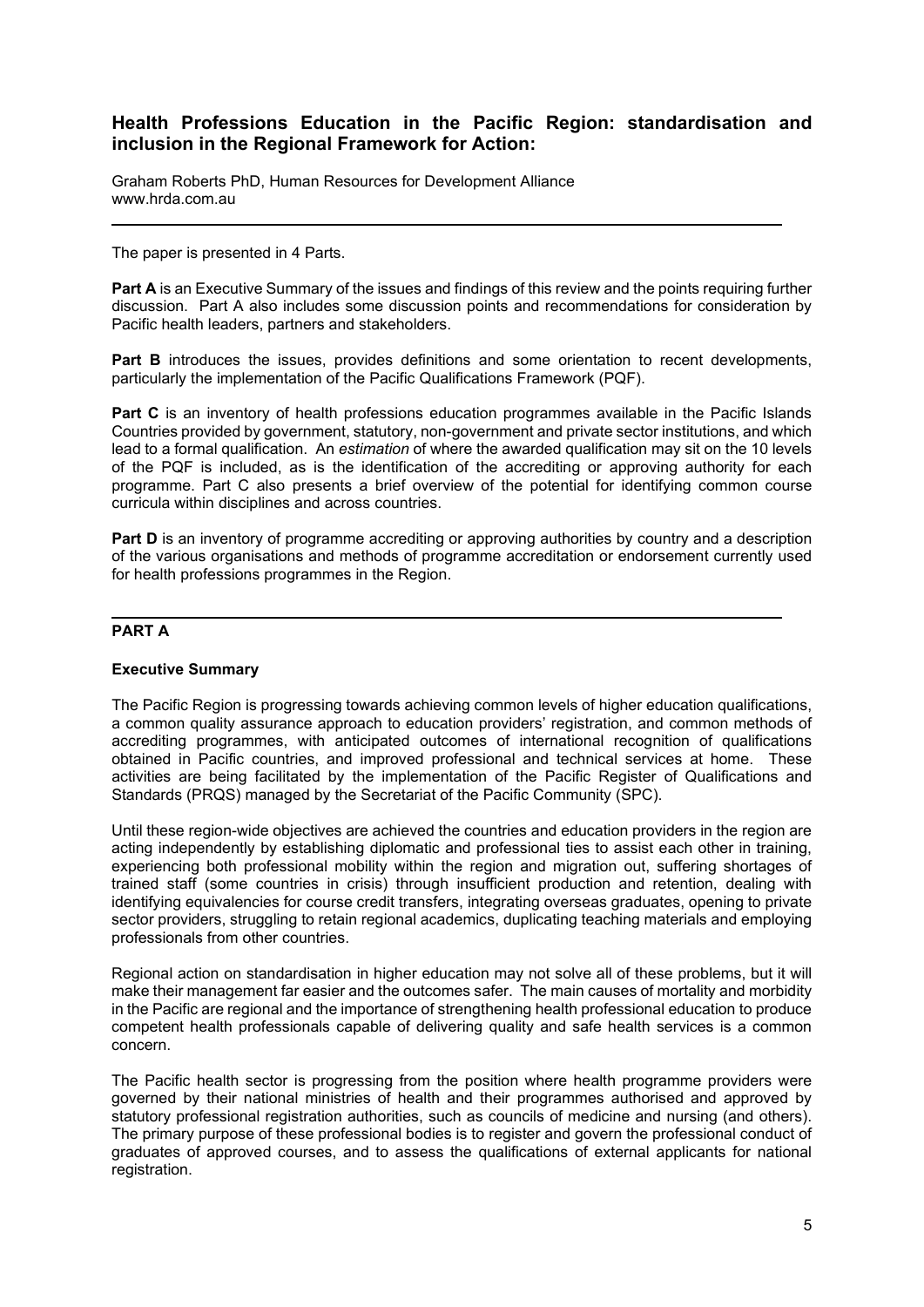# **Health Professions Education in the Pacific Region: standardisation and inclusion in the Regional Framework for Action:**

Graham Roberts PhD, Human Resources for Development Alliance www.hrda.com.au

The paper is presented in 4 Parts.

Part A is an Executive Summary of the issues and findings of this review and the points requiring further discussion. Part A also includes some discussion points and recommendations for consideration by Pacific health leaders, partners and stakeholders.

Part B introduces the issues, provides definitions and some orientation to recent developments, particularly the implementation of the Pacific Qualifications Framework (PQF).

**Part C** is an inventory of health professions education programmes available in the Pacific Islands Countries provided by government, statutory, non-government and private sector institutions, and which lead to a formal qualification. An *estimation* of where the awarded qualification may sit on the 10 levels of the PQF is included, as is the identification of the accrediting or approving authority for each programme. Part C also presents a brief overview of the potential for identifying common course curricula within disciplines and across countries.

**Part D** is an inventory of programme accrediting or approving authorities by country and a description of the various organisations and methods of programme accreditation or endorsement currently used for health professions programmes in the Region.

#### <span id="page-4-0"></span>**PART A**

#### <span id="page-4-1"></span>**Executive Summary**

The Pacific Region is progressing towards achieving common levels of higher education qualifications, a common quality assurance approach to education providers' registration, and common methods of accrediting programmes, with anticipated outcomes of international recognition of qualifications obtained in Pacific countries, and improved professional and technical services at home. These activities are being facilitated by the implementation of the Pacific Register of Qualifications and Standards (PRQS) managed by the Secretariat of the Pacific Community (SPC).

Until these region-wide objectives are achieved the countries and education providers in the region are acting independently by establishing diplomatic and professional ties to assist each other in training, experiencing both professional mobility within the region and migration out, suffering shortages of trained staff (some countries in crisis) through insufficient production and retention, dealing with identifying equivalencies for course credit transfers, integrating overseas graduates, opening to private sector providers, struggling to retain regional academics, duplicating teaching materials and employing professionals from other countries.

Regional action on standardisation in higher education may not solve all of these problems, but it will make their management far easier and the outcomes safer. The main causes of mortality and morbidity in the Pacific are regional and the importance of strengthening health professional education to produce competent health professionals capable of delivering quality and safe health services is a common concern.

The Pacific health sector is progressing from the position where health programme providers were governed by their national ministries of health and their programmes authorised and approved by statutory professional registration authorities, such as councils of medicine and nursing (and others). The primary purpose of these professional bodies is to register and govern the professional conduct of graduates of approved courses, and to assess the qualifications of external applicants for national registration.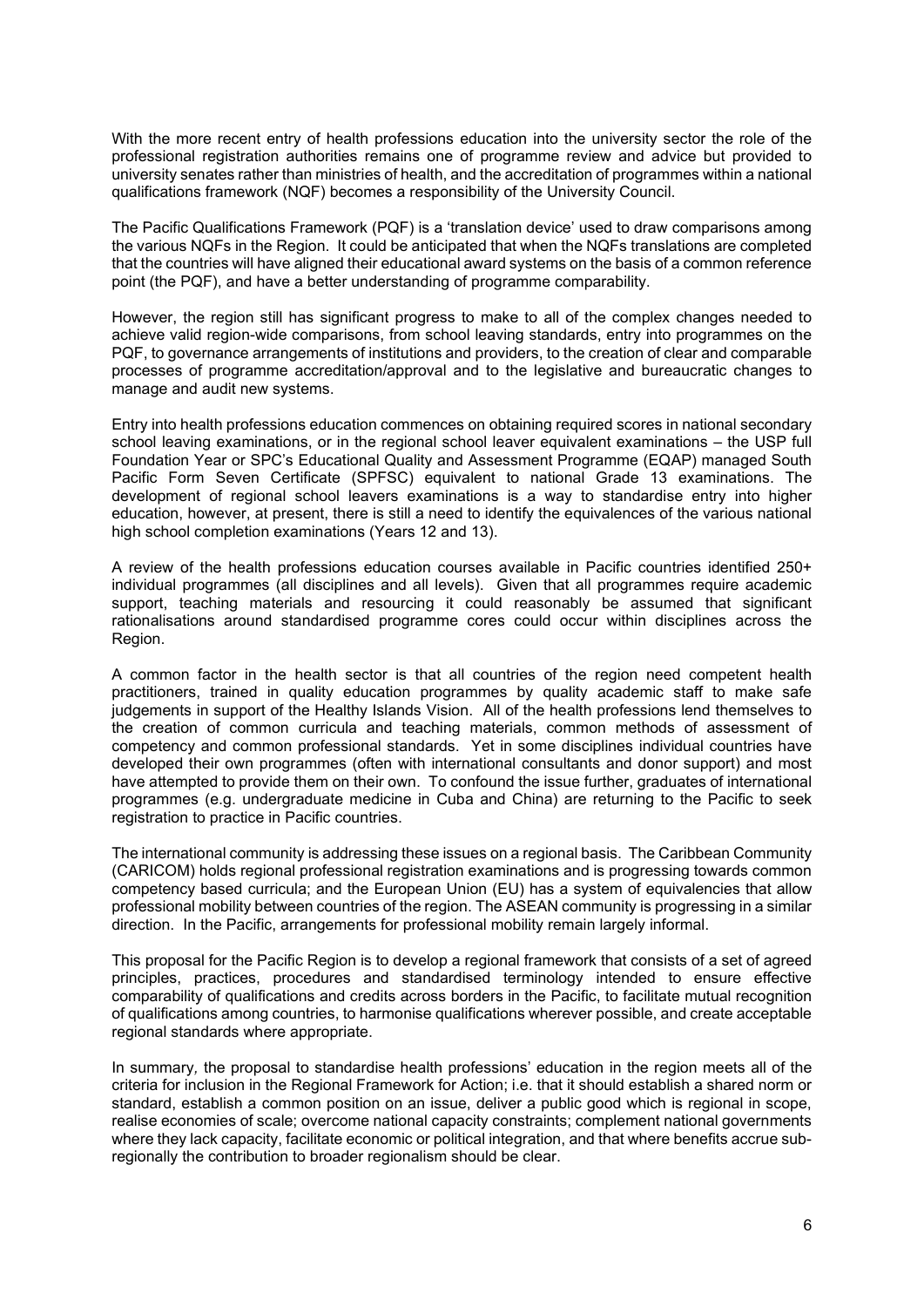With the more recent entry of health professions education into the university sector the role of the professional registration authorities remains one of programme review and advice but provided to university senates rather than ministries of health, and the accreditation of programmes within a national qualifications framework (NQF) becomes a responsibility of the University Council.

The Pacific Qualifications Framework (PQF) is a 'translation device' used to draw comparisons among the various NQFs in the Region. It could be anticipated that when the NQFs translations are completed that the countries will have aligned their educational award systems on the basis of a common reference point (the PQF), and have a better understanding of programme comparability.

However, the region still has significant progress to make to all of the complex changes needed to achieve valid region-wide comparisons, from school leaving standards, entry into programmes on the PQF, to governance arrangements of institutions and providers, to the creation of clear and comparable processes of programme accreditation/approval and to the legislative and bureaucratic changes to manage and audit new systems.

Entry into health professions education commences on obtaining required scores in national secondary school leaving examinations, or in the regional school leaver equivalent examinations – the USP full Foundation Year or SPC's Educational Quality and Assessment Programme (EQAP) managed South Pacific Form Seven Certificate (SPFSC) equivalent to national Grade 13 examinations. The development of regional school leavers examinations is a way to standardise entry into higher education, however, at present, there is still a need to identify the equivalences of the various national high school completion examinations (Years 12 and 13).

A review of the health professions education courses available in Pacific countries identified 250+ individual programmes (all disciplines and all levels). Given that all programmes require academic support, teaching materials and resourcing it could reasonably be assumed that significant rationalisations around standardised programme cores could occur within disciplines across the Region.

A common factor in the health sector is that all countries of the region need competent health practitioners, trained in quality education programmes by quality academic staff to make safe judgements in support of the Healthy Islands Vision. All of the health professions lend themselves to the creation of common curricula and teaching materials, common methods of assessment of competency and common professional standards. Yet in some disciplines individual countries have developed their own programmes (often with international consultants and donor support) and most have attempted to provide them on their own. To confound the issue further, graduates of international programmes (e.g. undergraduate medicine in Cuba and China) are returning to the Pacific to seek registration to practice in Pacific countries.

The international community is addressing these issues on a regional basis. The Caribbean Community (CARICOM) holds regional professional registration examinations and is progressing towards common competency based curricula; and the European Union (EU) has a system of equivalencies that allow professional mobility between countries of the region. The ASEAN community is progressing in a similar direction. In the Pacific, arrangements for professional mobility remain largely informal.

This proposal for the Pacific Region is to develop a regional framework that consists of a set of agreed principles, practices, procedures and standardised terminology intended to ensure effective comparability of qualifications and credits across borders in the Pacific, to facilitate mutual recognition of qualifications among countries, to harmonise qualifications wherever possible, and create acceptable regional standards where appropriate.

In summary*,* the proposal to standardise health professions' education in the region meets all of the criteria for inclusion in the Regional Framework for Action; i.e. that it should establish a shared norm or standard, establish a common position on an issue, deliver a public good which is regional in scope, realise economies of scale; overcome national capacity constraints; complement national governments where they lack capacity, facilitate economic or political integration, and that where benefits accrue subregionally the contribution to broader regionalism should be clear.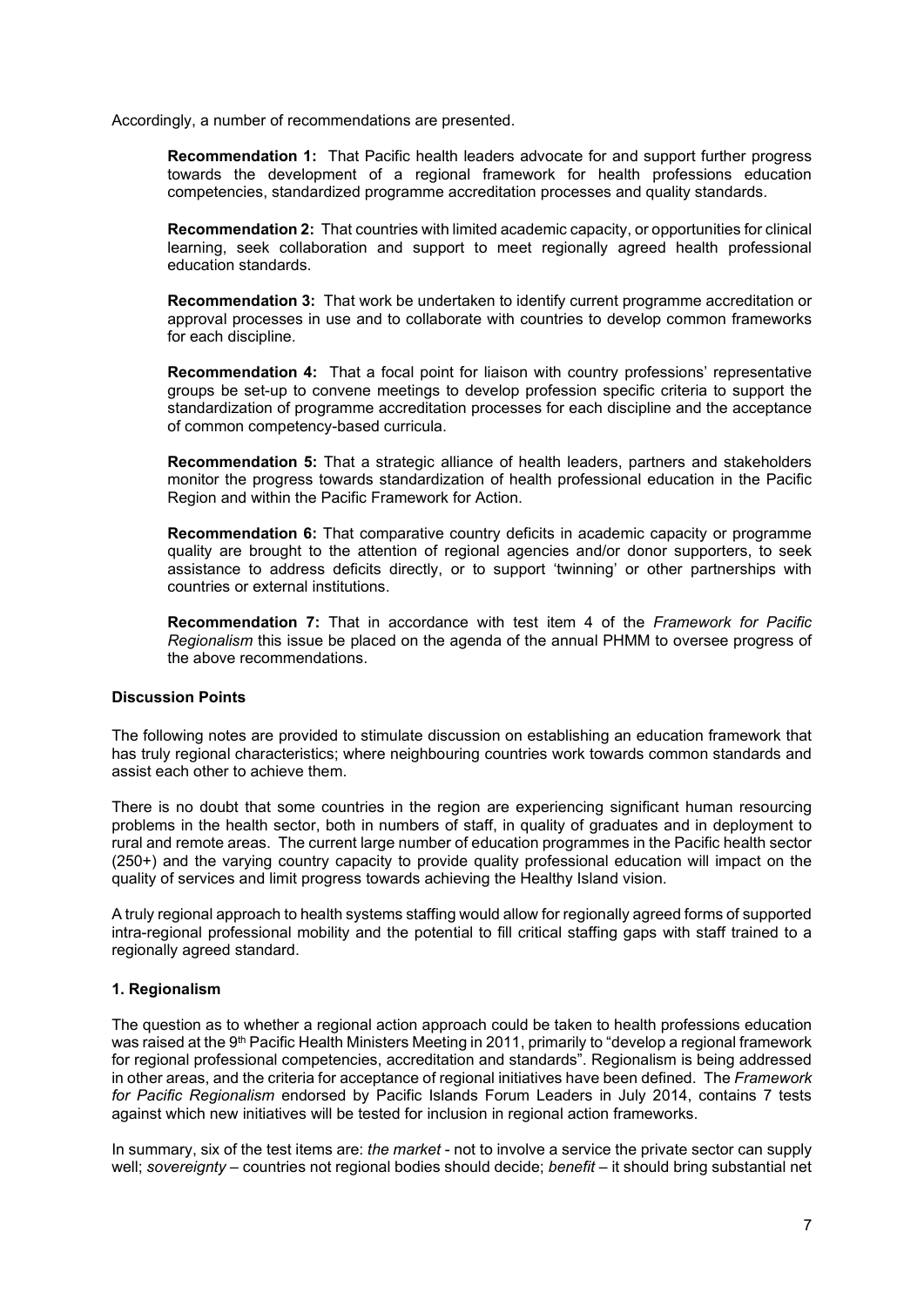Accordingly, a number of recommendations are presented.

**Recommendation 1:** That Pacific health leaders advocate for and support further progress towards the development of a regional framework for health professions education competencies, standardized programme accreditation processes and quality standards.

**Recommendation 2:** That countries with limited academic capacity, or opportunities for clinical learning, seek collaboration and support to meet regionally agreed health professional education standards.

**Recommendation 3:** That work be undertaken to identify current programme accreditation or approval processes in use and to collaborate with countries to develop common frameworks for each discipline.

**Recommendation 4:** That a focal point for liaison with country professions' representative groups be set-up to convene meetings to develop profession specific criteria to support the standardization of programme accreditation processes for each discipline and the acceptance of common competency-based curricula.

**Recommendation 5:** That a strategic alliance of health leaders, partners and stakeholders monitor the progress towards standardization of health professional education in the Pacific Region and within the Pacific Framework for Action.

**Recommendation 6:** That comparative country deficits in academic capacity or programme quality are brought to the attention of regional agencies and/or donor supporters, to seek assistance to address deficits directly, or to support 'twinning' or other partnerships with countries or external institutions.

**Recommendation 7:** That in accordance with test item 4 of the *Framework for Pacific Regionalism* this issue be placed on the agenda of the annual PHMM to oversee progress of the above recommendations.

#### <span id="page-6-0"></span>**Discussion Points**

The following notes are provided to stimulate discussion on establishing an education framework that has truly regional characteristics; where neighbouring countries work towards common standards and assist each other to achieve them.

There is no doubt that some countries in the region are experiencing significant human resourcing problems in the health sector, both in numbers of staff, in quality of graduates and in deployment to rural and remote areas. The current large number of education programmes in the Pacific health sector (250+) and the varying country capacity to provide quality professional education will impact on the quality of services and limit progress towards achieving the Healthy Island vision.

A truly regional approach to health systems staffing would allow for regionally agreed forms of supported intra-regional professional mobility and the potential to fill critical staffing gaps with staff trained to a regionally agreed standard.

#### <span id="page-6-1"></span>**1. Regionalism**

The question as to whether a regional action approach could be taken to health professions education was raised at the 9<sup>th</sup> Pacific Health Ministers Meeting in 2011, primarily to "develop a regional framework for regional professional competencies, accreditation and standards". Regionalism is being addressed in other areas, and the criteria for acceptance of regional initiatives have been defined. The *Framework for Pacific Regionalism* endorsed by Pacific Islands Forum Leaders in July 2014, contains 7 tests against which new initiatives will be tested for inclusion in regional action frameworks.

In summary, six of the test items are: *the market* - not to involve a service the private sector can supply well; *sovereignty* – countries not regional bodies should decide; *benefit* – it should bring substantial net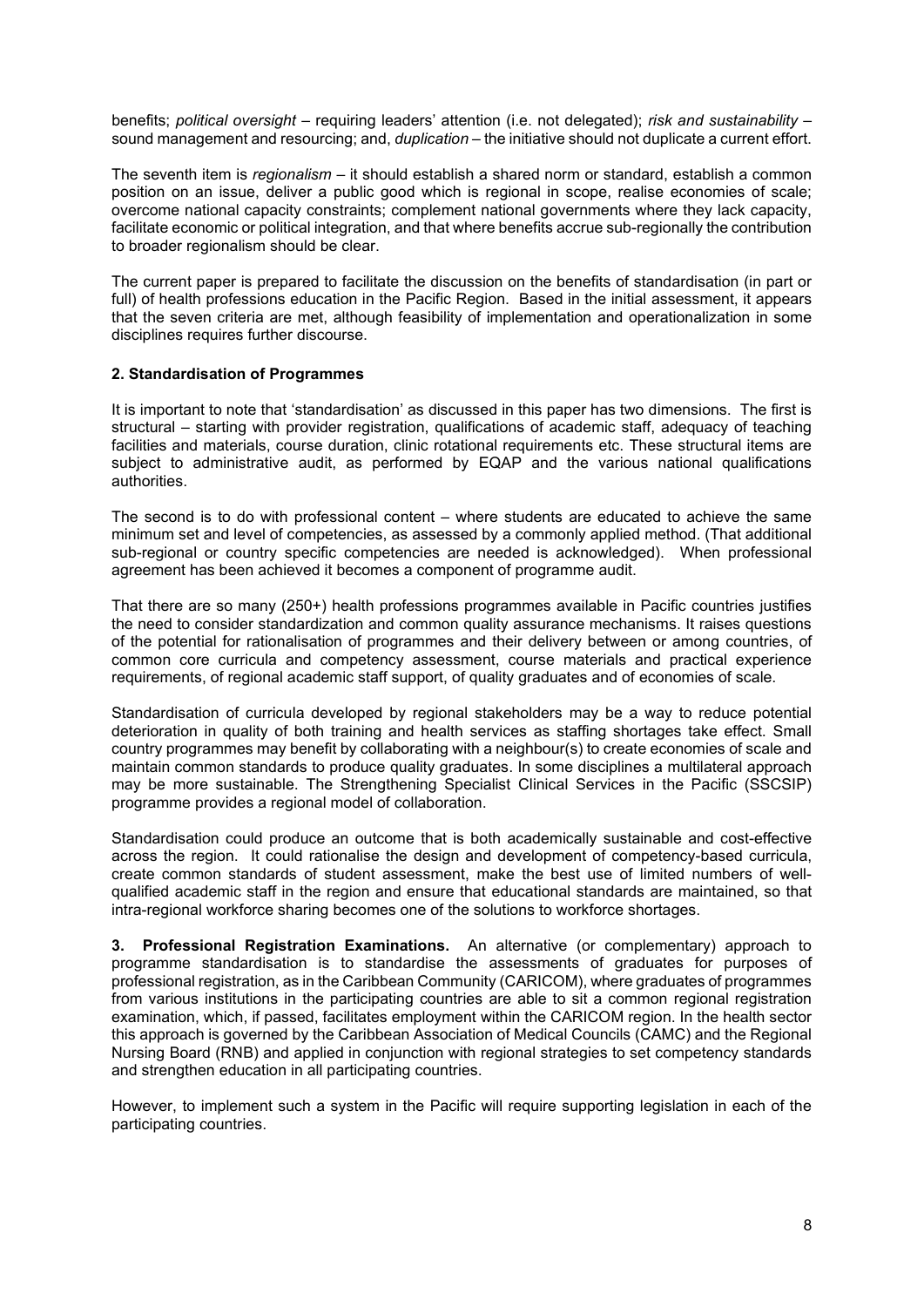benefits; *political oversight* – requiring leaders' attention (i.e. not delegated); *risk and sustainability* – sound management and resourcing; and, *duplication* – the initiative should not duplicate a current effort.

The seventh item is *regionalism* – it should establish a shared norm or standard, establish a common position on an issue, deliver a public good which is regional in scope, realise economies of scale; overcome national capacity constraints; complement national governments where they lack capacity, facilitate economic or political integration, and that where benefits accrue sub-regionally the contribution to broader regionalism should be clear.

The current paper is prepared to facilitate the discussion on the benefits of standardisation (in part or full) of health professions education in the Pacific Region. Based in the initial assessment, it appears that the seven criteria are met, although feasibility of implementation and operationalization in some disciplines requires further discourse.

#### <span id="page-7-0"></span>**2. Standardisation of Programmes**

It is important to note that 'standardisation' as discussed in this paper has two dimensions. The first is structural – starting with provider registration, qualifications of academic staff, adequacy of teaching facilities and materials, course duration, clinic rotational requirements etc. These structural items are subject to administrative audit, as performed by EQAP and the various national qualifications authorities.

The second is to do with professional content – where students are educated to achieve the same minimum set and level of competencies, as assessed by a commonly applied method. (That additional sub-regional or country specific competencies are needed is acknowledged). When professional agreement has been achieved it becomes a component of programme audit.

That there are so many (250+) health professions programmes available in Pacific countries justifies the need to consider standardization and common quality assurance mechanisms. It raises questions of the potential for rationalisation of programmes and their delivery between or among countries, of common core curricula and competency assessment, course materials and practical experience requirements, of regional academic staff support, of quality graduates and of economies of scale.

Standardisation of curricula developed by regional stakeholders may be a way to reduce potential deterioration in quality of both training and health services as staffing shortages take effect. Small country programmes may benefit by collaborating with a neighbour(s) to create economies of scale and maintain common standards to produce quality graduates. In some disciplines a multilateral approach may be more sustainable. The Strengthening Specialist Clinical Services in the Pacific (SSCSIP) programme provides a regional model of collaboration.

Standardisation could produce an outcome that is both academically sustainable and cost-effective across the region. It could rationalise the design and development of competency-based curricula, create common standards of student assessment, make the best use of limited numbers of wellqualified academic staff in the region and ensure that educational standards are maintained, so that intra-regional workforce sharing becomes one of the solutions to workforce shortages.

**3. Professional Registration Examinations.** An alternative (or complementary) approach to programme standardisation is to standardise the assessments of graduates for purposes of professional registration, as in the Caribbean Community (CARICOM), where graduates of programmes from various institutions in the participating countries are able to sit a common regional registration examination, which, if passed, facilitates employment within the CARICOM region. In the health sector this approach is governed by the Caribbean Association of Medical Councils (CAMC) and the Regional Nursing Board (RNB) and applied in conjunction with regional strategies to set competency standards and strengthen education in all participating countries.

However, to implement such a system in the Pacific will require supporting legislation in each of the participating countries.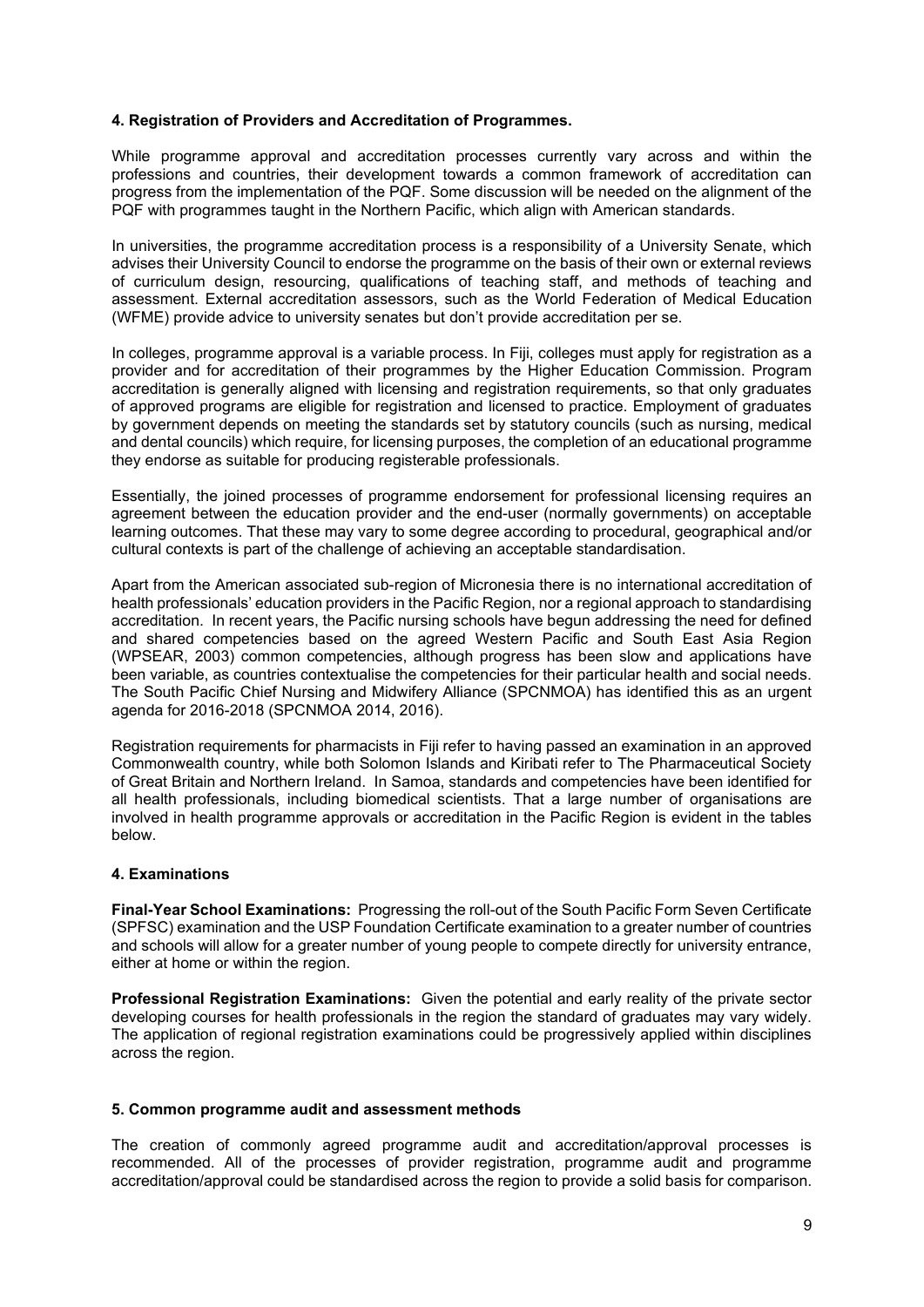#### <span id="page-8-0"></span>**4. Registration of Providers and Accreditation of Programmes.**

While programme approval and accreditation processes currently vary across and within the professions and countries, their development towards a common framework of accreditation can progress from the implementation of the PQF. Some discussion will be needed on the alignment of the PQF with programmes taught in the Northern Pacific, which align with American standards.

In universities, the programme accreditation process is a responsibility of a University Senate, which advises their University Council to endorse the programme on the basis of their own or external reviews of curriculum design, resourcing, qualifications of teaching staff, and methods of teaching and assessment. External accreditation assessors, such as the World Federation of Medical Education (WFME) provide advice to university senates but don't provide accreditation per se.

In colleges, programme approval is a variable process. In Fiji, colleges must apply for registration as a provider and for accreditation of their programmes by the Higher Education Commission. Program accreditation is generally aligned with licensing and registration requirements, so that only graduates of approved programs are eligible for registration and licensed to practice. Employment of graduates by government depends on meeting the standards set by statutory councils (such as nursing, medical and dental councils) which require, for licensing purposes, the completion of an educational programme they endorse as suitable for producing registerable professionals.

Essentially, the joined processes of programme endorsement for professional licensing requires an agreement between the education provider and the end-user (normally governments) on acceptable learning outcomes. That these may vary to some degree according to procedural, geographical and/or cultural contexts is part of the challenge of achieving an acceptable standardisation.

Apart from the American associated sub-region of Micronesia there is no international accreditation of health professionals' education providers in the Pacific Region, nor a regional approach to standardising accreditation. In recent years, the Pacific nursing schools have begun addressing the need for defined and shared competencies based on the agreed Western Pacific and South East Asia Region (WPSEAR, 2003) common competencies, although progress has been slow and applications have been variable, as countries contextualise the competencies for their particular health and social needs. The South Pacific Chief Nursing and Midwifery Alliance (SPCNMOA) has identified this as an urgent agenda for 2016-2018 (SPCNMOA 2014, 2016).

Registration requirements for pharmacists in Fiji refer to having passed an examination in an approved Commonwealth country, while both Solomon Islands and Kiribati refer to The Pharmaceutical Society of Great Britain and Northern Ireland. In Samoa, standards and competencies have been identified for all health professionals, including biomedical scientists. That a large number of organisations are involved in health programme approvals or accreditation in the Pacific Region is evident in the tables below.

#### <span id="page-8-1"></span>**4. Examinations**

**Final-Year School Examinations:** Progressing the roll-out of the South Pacific Form Seven Certificate (SPFSC) examination and the USP Foundation Certificate examination to a greater number of countries and schools will allow for a greater number of young people to compete directly for university entrance, either at home or within the region.

**Professional Registration Examinations:** Given the potential and early reality of the private sector developing courses for health professionals in the region the standard of graduates may vary widely. The application of regional registration examinations could be progressively applied within disciplines across the region.

#### <span id="page-8-2"></span>**5. Common programme audit and assessment methods**

The creation of commonly agreed programme audit and accreditation/approval processes is recommended. All of the processes of provider registration, programme audit and programme accreditation/approval could be standardised across the region to provide a solid basis for comparison.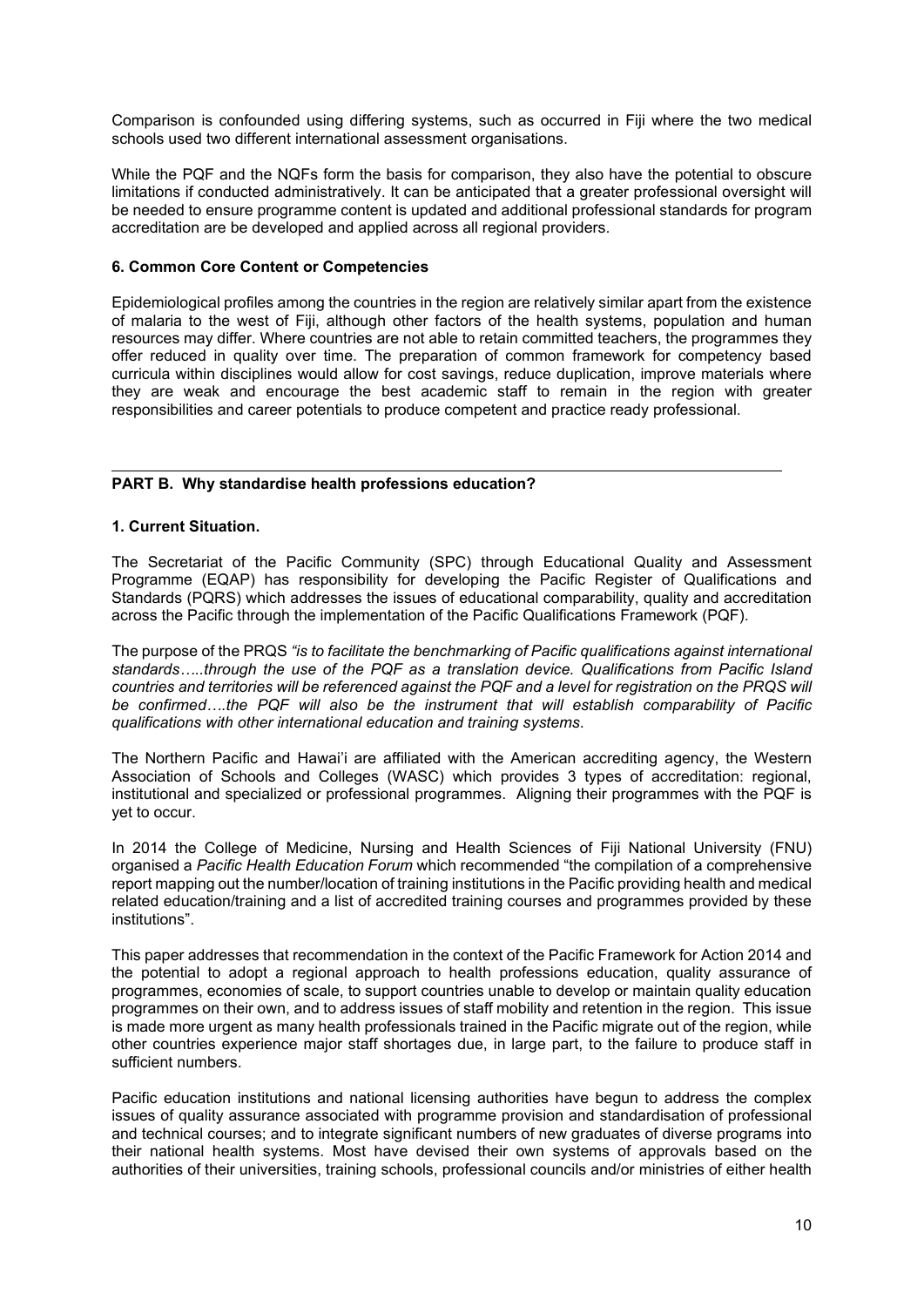Comparison is confounded using differing systems, such as occurred in Fiji where the two medical schools used two different international assessment organisations.

While the PQF and the NQFs form the basis for comparison, they also have the potential to obscure limitations if conducted administratively. It can be anticipated that a greater professional oversight will be needed to ensure programme content is updated and additional professional standards for program accreditation are be developed and applied across all regional providers.

#### <span id="page-9-0"></span>**6. Common Core Content or Competencies**

Epidemiological profiles among the countries in the region are relatively similar apart from the existence of malaria to the west of Fiji, although other factors of the health systems, population and human resources may differ. Where countries are not able to retain committed teachers, the programmes they offer reduced in quality over time. The preparation of common framework for competency based curricula within disciplines would allow for cost savings, reduce duplication, improve materials where they are weak and encourage the best academic staff to remain in the region with greater responsibilities and career potentials to produce competent and practice ready professional.

#### <span id="page-9-1"></span>**PART B. Why standardise health professions education?**

#### <span id="page-9-2"></span>**1. Current Situation.**

The Secretariat of the Pacific Community (SPC) through Educational Quality and Assessment Programme (EQAP) has responsibility for developing the Pacific Register of Qualifications and Standards (PQRS) which addresses the issues of educational comparability, quality and accreditation across the Pacific through the implementation of the Pacific Qualifications Framework (PQF).

The purpose of the PRQS *"is to facilitate the benchmarking of Pacific qualifications against international standards…..through the use of the PQF as a translation device. Qualifications from Pacific Island countries and territories will be referenced against the PQF and a level for registration on the PRQS will be confirmed….the PQF will also be the instrument that will establish comparability of Pacific qualifications with other international education and training systems*.

The Northern Pacific and Hawai'i are affiliated with the American accrediting agency, the Western Association of Schools and Colleges (WASC) which provides 3 types of accreditation: regional, institutional and specialized or professional programmes. Aligning their programmes with the PQF is yet to occur.

In 2014 the College of Medicine, Nursing and Health Sciences of Fiji National University (FNU) organised a *Pacific Health Education Forum* which recommended "the compilation of a comprehensive report mapping out the number/location of training institutions in the Pacific providing health and medical related education/training and a list of accredited training courses and programmes provided by these institutions".

This paper addresses that recommendation in the context of the Pacific Framework for Action 2014 and the potential to adopt a regional approach to health professions education, quality assurance of programmes, economies of scale, to support countries unable to develop or maintain quality education programmes on their own, and to address issues of staff mobility and retention in the region. This issue is made more urgent as many health professionals trained in the Pacific migrate out of the region, while other countries experience major staff shortages due, in large part, to the failure to produce staff in sufficient numbers.

Pacific education institutions and national licensing authorities have begun to address the complex issues of quality assurance associated with programme provision and standardisation of professional and technical courses; and to integrate significant numbers of new graduates of diverse programs into their national health systems. Most have devised their own systems of approvals based on the authorities of their universities, training schools, professional councils and/or ministries of either health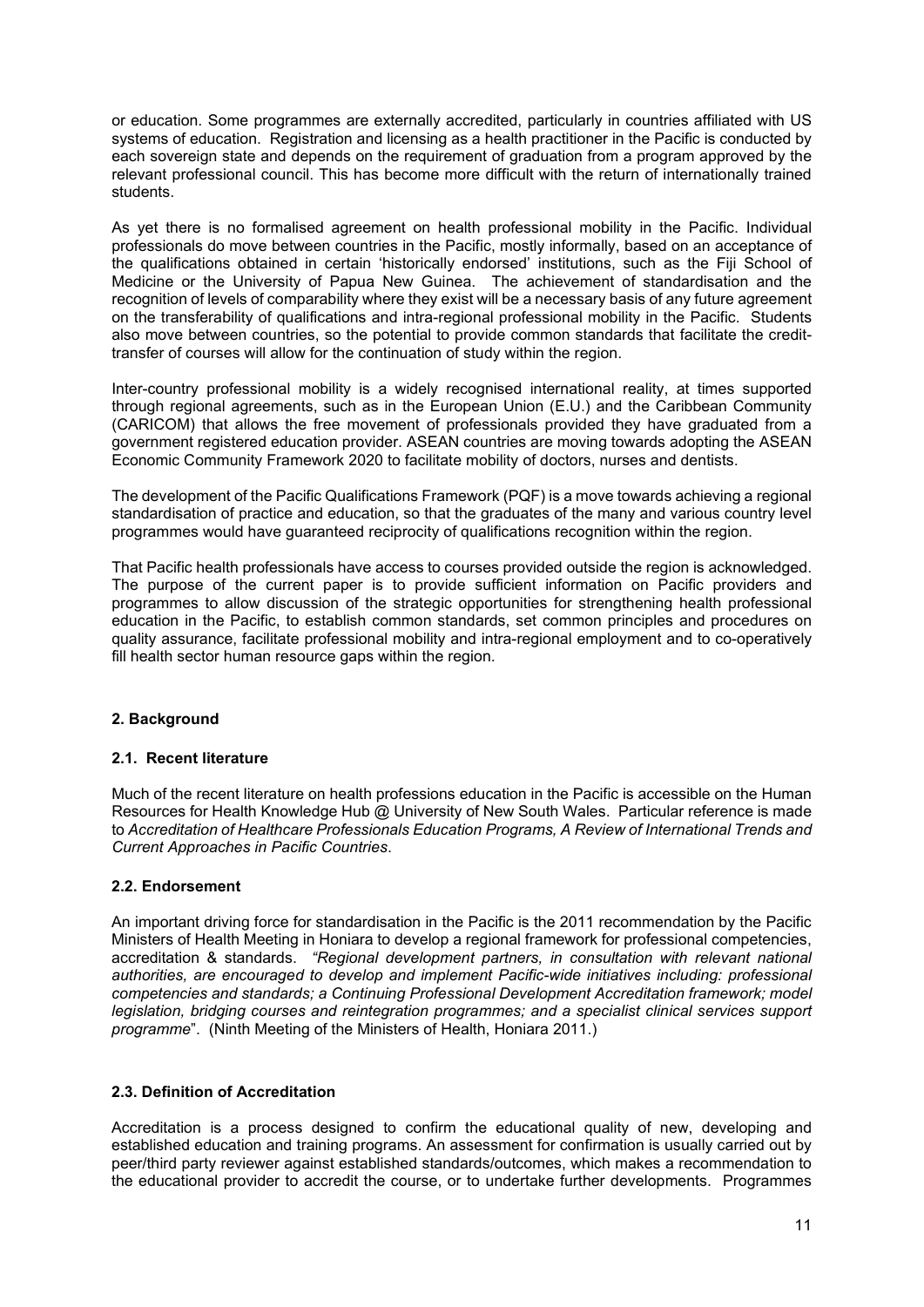or education. Some programmes are externally accredited, particularly in countries affiliated with US systems of education. Registration and licensing as a health practitioner in the Pacific is conducted by each sovereign state and depends on the requirement of graduation from a program approved by the relevant professional council. This has become more difficult with the return of internationally trained students.

As yet there is no formalised agreement on health professional mobility in the Pacific. Individual professionals do move between countries in the Pacific, mostly informally, based on an acceptance of the qualifications obtained in certain 'historically endorsed' institutions, such as the Fiji School of Medicine or the University of Papua New Guinea. The achievement of standardisation and the recognition of levels of comparability where they exist will be a necessary basis of any future agreement on the transferability of qualifications and intra-regional professional mobility in the Pacific. Students also move between countries, so the potential to provide common standards that facilitate the credittransfer of courses will allow for the continuation of study within the region.

Inter-country professional mobility is a widely recognised international reality, at times supported through regional agreements, such as in the European Union (E.U.) and the Caribbean Community (CARICOM) that allows the free movement of professionals provided they have graduated from a government registered education provider. ASEAN countries are moving towards adopting the ASEAN Economic Community Framework 2020 to facilitate mobility of doctors, nurses and dentists.

The development of the Pacific Qualifications Framework (PQF) is a move towards achieving a regional standardisation of practice and education, so that the graduates of the many and various country level programmes would have guaranteed reciprocity of qualifications recognition within the region.

That Pacific health professionals have access to courses provided outside the region is acknowledged. The purpose of the current paper is to provide sufficient information on Pacific providers and programmes to allow discussion of the strategic opportunities for strengthening health professional education in the Pacific, to establish common standards, set common principles and procedures on quality assurance, facilitate professional mobility and intra-regional employment and to co-operatively fill health sector human resource gaps within the region.

#### <span id="page-10-0"></span>**2. Background**

#### <span id="page-10-1"></span>**2.1. Recent literature**

Much of the recent literature on health professions education in the Pacific is accessible on the Human Resources for Health Knowledge Hub @ University of New South Wales. Particular reference is made to *Accreditation of Healthcare Professionals Education Programs, A Review of International Trends and Current Approaches in Pacific Countries*.

#### <span id="page-10-2"></span>**2.2. Endorsement**

An important driving force for standardisation in the Pacific is the 2011 recommendation by the Pacific Ministers of Health Meeting in Honiara to develop a regional framework for professional competencies, accreditation & standards. *"Regional development partners, in consultation with relevant national authorities, are encouraged to develop and implement Pacific-wide initiatives including: professional competencies and standards; a Continuing Professional Development Accreditation framework; model legislation, bridging courses and reintegration programmes; and a specialist clinical services support programme*". (Ninth Meeting of the Ministers of Health, Honiara 2011.)

# <span id="page-10-3"></span>**2.3. Definition of Accreditation**

Accreditation is a process designed to confirm the educational quality of new, developing and established education and training programs. An assessment for confirmation is usually carried out by peer/third party reviewer against established standards/outcomes, which makes a recommendation to the educational provider to accredit the course, or to undertake further developments. Programmes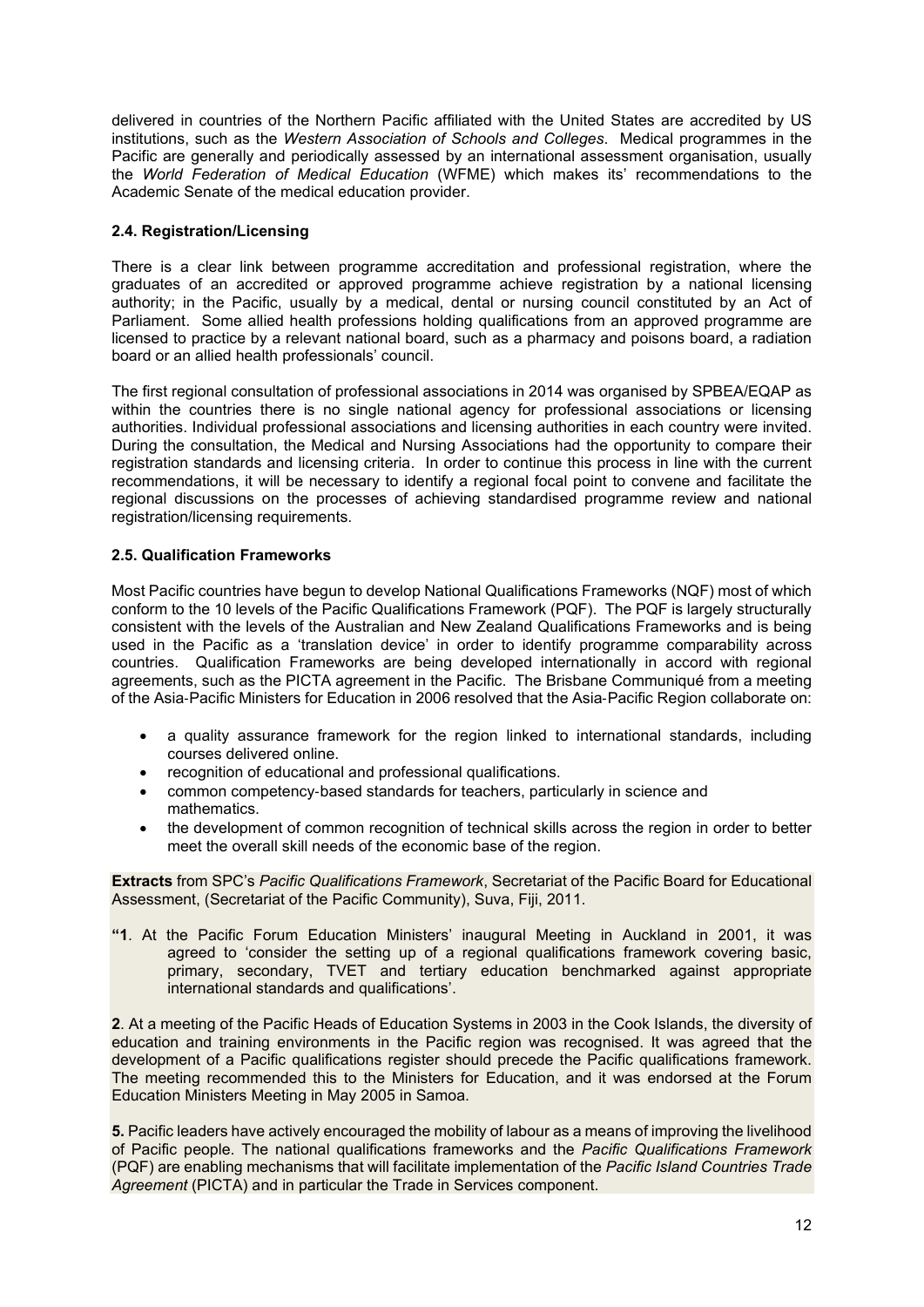delivered in countries of the Northern Pacific affiliated with the United States are accredited by US institutions, such as the *Western Association of Schools and Colleges*. Medical programmes in the Pacific are generally and periodically assessed by an international assessment organisation, usually the *World Federation of Medical Education* (WFME) which makes its' recommendations to the Academic Senate of the medical education provider.

### <span id="page-11-0"></span>**2.4. Registration/Licensing**

There is a clear link between programme accreditation and professional registration, where the graduates of an accredited or approved programme achieve registration by a national licensing authority; in the Pacific, usually by a medical, dental or nursing council constituted by an Act of Parliament. Some allied health professions holding qualifications from an approved programme are licensed to practice by a relevant national board, such as a pharmacy and poisons board, a radiation board or an allied health professionals' council.

The first regional consultation of professional associations in 2014 was organised by SPBEA/EQAP as within the countries there is no single national agency for professional associations or licensing authorities. Individual professional associations and licensing authorities in each country were invited. During the consultation, the Medical and Nursing Associations had the opportunity to compare their registration standards and licensing criteria. In order to continue this process in line with the current recommendations, it will be necessary to identify a regional focal point to convene and facilitate the regional discussions on the processes of achieving standardised programme review and national registration/licensing requirements.

# <span id="page-11-1"></span>**2.5. Qualification Frameworks**

Most Pacific countries have begun to develop National Qualifications Frameworks (NQF) most of which conform to the 10 levels of the Pacific Qualifications Framework (PQF). The PQF is largely structurally consistent with the levels of the Australian and New Zealand Qualifications Frameworks and is being used in the Pacific as a 'translation device' in order to identify programme comparability across countries. Qualification Frameworks are being developed internationally in accord with regional agreements, such as the PICTA agreement in the Pacific. The Brisbane Communiqué from a meeting of the Asia‐Pacific Ministers for Education in 2006 resolved that the Asia‐Pacific Region collaborate on:

- a quality assurance framework for the region linked to international standards, including courses delivered online.
- recognition of educational and professional qualifications.
- common competency‐based standards for teachers, particularly in science and mathematics.
- the development of common recognition of technical skills across the region in order to better meet the overall skill needs of the economic base of the region.

**Extracts** from SPC's *Pacific Qualifications Framework*, Secretariat of the Pacific Board for Educational Assessment, (Secretariat of the Pacific Community), Suva, Fiji, 2011.

**"1**. At the Pacific Forum Education Ministers' inaugural Meeting in Auckland in 2001, it was agreed to 'consider the setting up of a regional qualifications framework covering basic, primary, secondary, TVET and tertiary education benchmarked against appropriate international standards and qualifications'.

**2**. At a meeting of the Pacific Heads of Education Systems in 2003 in the Cook Islands, the diversity of education and training environments in the Pacific region was recognised. It was agreed that the development of a Pacific qualifications register should precede the Pacific qualifications framework. The meeting recommended this to the Ministers for Education, and it was endorsed at the Forum Education Ministers Meeting in May 2005 in Samoa.

**5.** Pacific leaders have actively encouraged the mobility of labour as a means of improving the livelihood of Pacific people. The national qualifications frameworks and the *Pacific Qualifications Framework* (PQF) are enabling mechanisms that will facilitate implementation of the *Pacific Island Countries Trade Agreement* (PICTA) and in particular the Trade in Services component.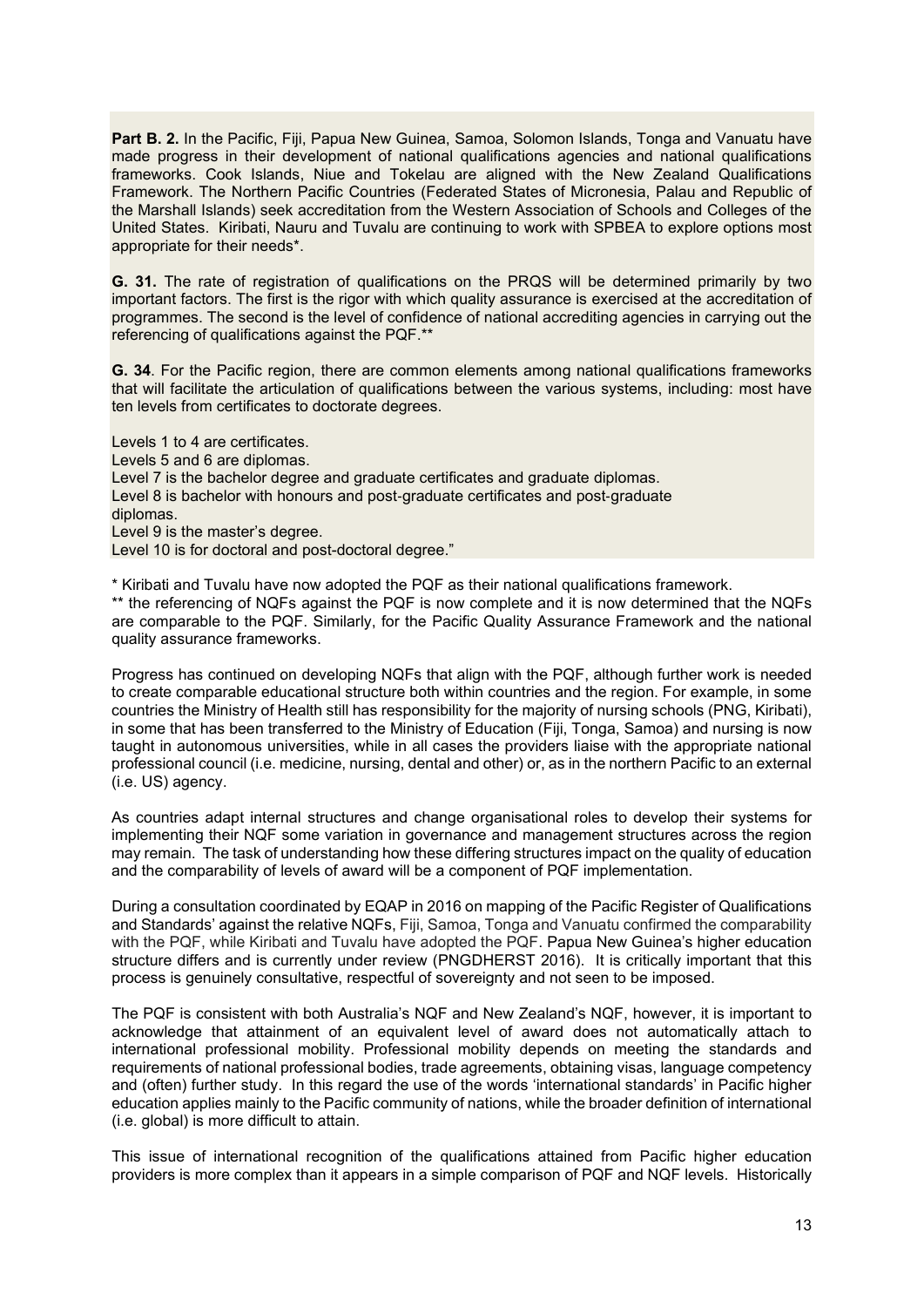**Part B. 2.** In the Pacific, Fiji, Papua New Guinea, Samoa, Solomon Islands, Tonga and Vanuatu have made progress in their development of national qualifications agencies and national qualifications frameworks. Cook Islands, Niue and Tokelau are aligned with the New Zealand Qualifications Framework. The Northern Pacific Countries (Federated States of Micronesia, Palau and Republic of the Marshall Islands) seek accreditation from the Western Association of Schools and Colleges of the United States. Kiribati, Nauru and Tuvalu are continuing to work with SPBEA to explore options most appropriate for their needs\*.

**G. 31.** The rate of registration of qualifications on the PRQS will be determined primarily by two important factors. The first is the rigor with which quality assurance is exercised at the accreditation of programmes. The second is the level of confidence of national accrediting agencies in carrying out the referencing of qualifications against the PQF.\*\*

**G. 34**. For the Pacific region, there are common elements among national qualifications frameworks that will facilitate the articulation of qualifications between the various systems, including: most have ten levels from certificates to doctorate degrees.

Levels 1 to 4 are certificates. Levels 5 and 6 are diplomas. Level 7 is the bachelor degree and graduate certificates and graduate diplomas. Level 8 is bachelor with honours and post‐graduate certificates and post‐graduate diplomas. Level 9 is the master's degree. Level 10 is for doctoral and post-doctoral degree."

\* Kiribati and Tuvalu have now adopted the PQF as their national qualifications framework. \*\* the referencing of NQFs against the PQF is now complete and it is now determined that the NQFs are comparable to the PQF. Similarly, for the Pacific Quality Assurance Framework and the national quality assurance frameworks.

Progress has continued on developing NQFs that align with the PQF, although further work is needed to create comparable educational structure both within countries and the region. For example, in some countries the Ministry of Health still has responsibility for the majority of nursing schools (PNG, Kiribati), in some that has been transferred to the Ministry of Education (Fiji, Tonga, Samoa) and nursing is now taught in autonomous universities, while in all cases the providers liaise with the appropriate national professional council (i.e. medicine, nursing, dental and other) or, as in the northern Pacific to an external (i.e. US) agency.

As countries adapt internal structures and change organisational roles to develop their systems for implementing their NQF some variation in governance and management structures across the region may remain. The task of understanding how these differing structures impact on the quality of education and the comparability of levels of award will be a component of PQF implementation.

During a consultation coordinated by EQAP in 2016 on mapping of the Pacific Register of Qualifications and Standards' against the relative NQFs, Fiji, Samoa, Tonga and Vanuatu confirmed the comparability with the PQF, while Kiribati and Tuvalu have adopted the PQF. Papua New Guinea's higher education structure differs and is currently under review (PNGDHERST 2016). It is critically important that this process is genuinely consultative, respectful of sovereignty and not seen to be imposed.

The PQF is consistent with both Australia's NQF and New Zealand's NQF, however, it is important to acknowledge that attainment of an equivalent level of award does not automatically attach to international professional mobility. Professional mobility depends on meeting the standards and requirements of national professional bodies, trade agreements, obtaining visas, language competency and (often) further study. In this regard the use of the words 'international standards' in Pacific higher education applies mainly to the Pacific community of nations, while the broader definition of international (i.e. global) is more difficult to attain.

This issue of international recognition of the qualifications attained from Pacific higher education providers is more complex than it appears in a simple comparison of PQF and NQF levels. Historically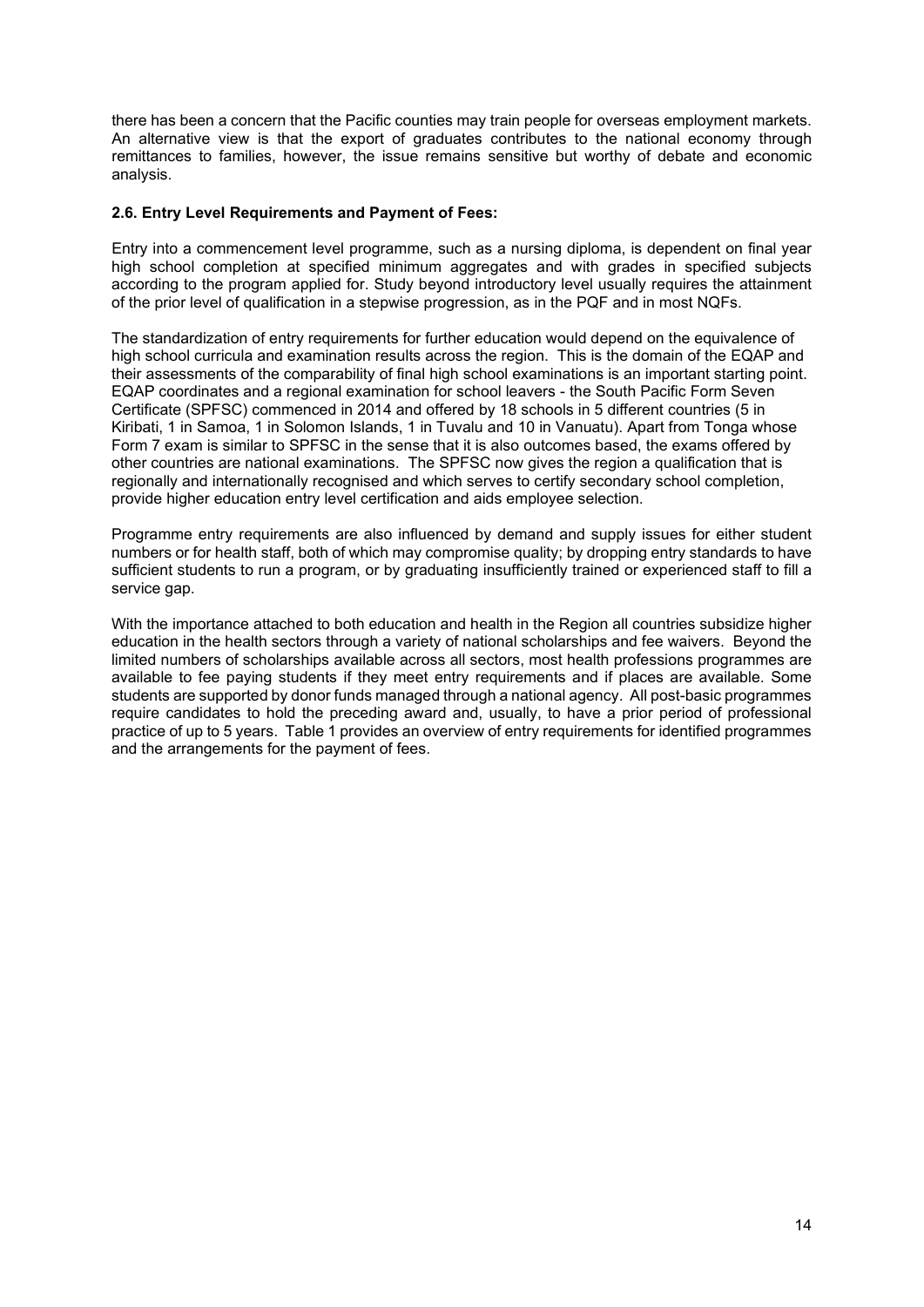there has been a concern that the Pacific counties may train people for overseas employment markets. An alternative view is that the export of graduates contributes to the national economy through remittances to families, however, the issue remains sensitive but worthy of debate and economic analysis.

#### <span id="page-13-0"></span>**2.6. Entry Level Requirements and Payment of Fees:**

Entry into a commencement level programme, such as a nursing diploma, is dependent on final year high school completion at specified minimum aggregates and with grades in specified subjects according to the program applied for. Study beyond introductory level usually requires the attainment of the prior level of qualification in a stepwise progression, as in the PQF and in most NQFs.

The standardization of entry requirements for further education would depend on the equivalence of high school curricula and examination results across the region. This is the domain of the EQAP and their assessments of the comparability of final high school examinations is an important starting point. EQAP coordinates and a regional examination for school leavers - the South Pacific Form Seven Certificate (SPFSC) commenced in 2014 and offered by 18 schools in 5 different countries (5 in Kiribati, 1 in Samoa, 1 in Solomon Islands, 1 in Tuvalu and 10 in Vanuatu). Apart from Tonga whose Form 7 exam is similar to SPFSC in the sense that it is also outcomes based, the exams offered by other countries are national examinations. The SPFSC now gives the region a qualification that is regionally and internationally recognised and which serves to certify secondary school completion, provide higher education entry level certification and aids employee selection.

Programme entry requirements are also influenced by demand and supply issues for either student numbers or for health staff, both of which may compromise quality; by dropping entry standards to have sufficient students to run a program, or by graduating insufficiently trained or experienced staff to fill a service gap.

With the importance attached to both education and health in the Region all countries subsidize higher education in the health sectors through a variety of national scholarships and fee waivers. Beyond the limited numbers of scholarships available across all sectors, most health professions programmes are available to fee paying students if they meet entry requirements and if places are available. Some students are supported by donor funds managed through a national agency. All post-basic programmes require candidates to hold the preceding award and, usually, to have a prior period of professional practice of up to 5 years. Table 1 provides an overview of entry requirements for identified programmes and the arrangements for the payment of fees.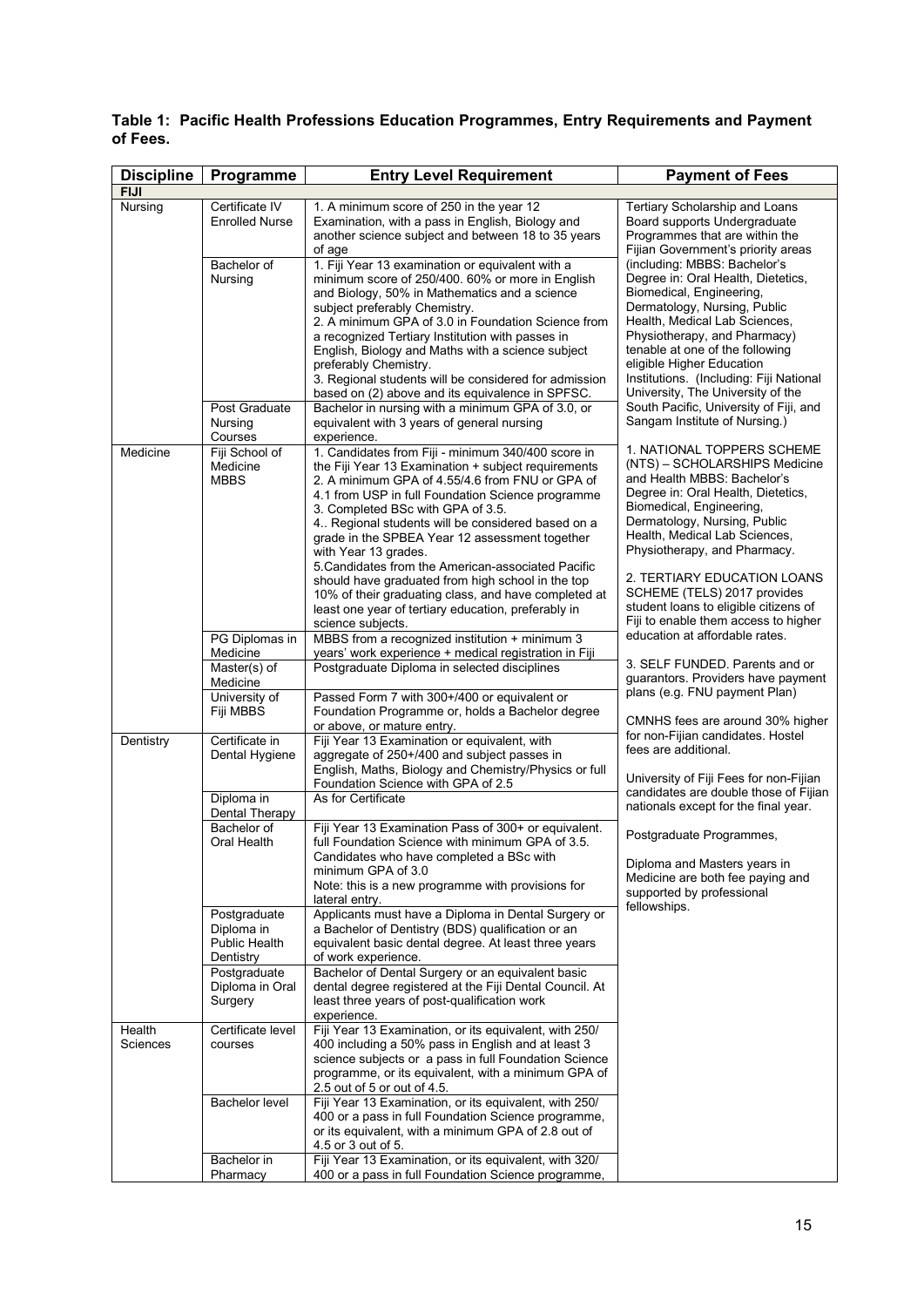| <b>Discipline</b> | Programme                  | <b>Entry Level Requirement</b>                                                                          | <b>Payment of Fees</b>                                                      |  |  |
|-------------------|----------------------------|---------------------------------------------------------------------------------------------------------|-----------------------------------------------------------------------------|--|--|
| <b>FIJI</b>       |                            |                                                                                                         |                                                                             |  |  |
| Nursing           | Certificate IV             | 1. A minimum score of 250 in the year 12                                                                | Tertiary Scholarship and Loans                                              |  |  |
|                   | <b>Enrolled Nurse</b>      | Examination, with a pass in English, Biology and                                                        | Board supports Undergraduate                                                |  |  |
|                   |                            | another science subject and between 18 to 35 years                                                      | Programmes that are within the                                              |  |  |
|                   |                            | of age                                                                                                  | Fijian Government's priority areas                                          |  |  |
|                   | Bachelor of                | 1. Fiji Year 13 examination or equivalent with a                                                        | (including: MBBS: Bachelor's<br>Degree in: Oral Health, Dietetics,          |  |  |
|                   | Nursing                    | minimum score of 250/400. 60% or more in English<br>and Biology, 50% in Mathematics and a science       | Biomedical, Engineering,                                                    |  |  |
|                   |                            | subject preferably Chemistry.                                                                           | Dermatology, Nursing, Public                                                |  |  |
|                   |                            | 2. A minimum GPA of 3.0 in Foundation Science from                                                      | Health, Medical Lab Sciences,                                               |  |  |
|                   |                            | a recognized Tertiary Institution with passes in                                                        | Physiotherapy, and Pharmacy)                                                |  |  |
|                   |                            | English, Biology and Maths with a science subject                                                       | tenable at one of the following                                             |  |  |
|                   |                            | preferably Chemistry.                                                                                   | eligible Higher Education                                                   |  |  |
|                   |                            | 3. Regional students will be considered for admission                                                   | Institutions. (Including: Fiji National                                     |  |  |
|                   | Post Graduate              | based on (2) above and its equivalence in SPFSC.                                                        | University, The University of the<br>South Pacific, University of Fiji, and |  |  |
|                   | Nursing                    | Bachelor in nursing with a minimum GPA of 3.0, or<br>equivalent with 3 years of general nursing         | Sangam Institute of Nursing.)                                               |  |  |
|                   | Courses                    | experience.                                                                                             |                                                                             |  |  |
| Medicine          | Fiji School of             | 1. Candidates from Fiji - minimum 340/400 score in                                                      | 1. NATIONAL TOPPERS SCHEME                                                  |  |  |
|                   | Medicine                   | the Fiji Year 13 Examination + subject requirements                                                     | (NTS) - SCHOLARSHIPS Medicine                                               |  |  |
|                   | <b>MBBS</b>                | 2. A minimum GPA of 4.55/4.6 from FNU or GPA of                                                         | and Health MBBS: Bachelor's                                                 |  |  |
|                   |                            | 4.1 from USP in full Foundation Science programme                                                       | Degree in: Oral Health, Dietetics,                                          |  |  |
|                   |                            | 3. Completed BSc with GPA of 3.5.                                                                       | Biomedical, Engineering,<br>Dermatology, Nursing, Public                    |  |  |
|                   |                            | 4 Regional students will be considered based on a<br>grade in the SPBEA Year 12 assessment together     | Health, Medical Lab Sciences,                                               |  |  |
|                   |                            | with Year 13 grades.                                                                                    | Physiotherapy, and Pharmacy.                                                |  |  |
|                   |                            | 5. Candidates from the American-associated Pacific                                                      |                                                                             |  |  |
|                   |                            | should have graduated from high school in the top                                                       | 2. TERTIARY EDUCATION LOANS                                                 |  |  |
|                   |                            | 10% of their graduating class, and have completed at                                                    | SCHEME (TELS) 2017 provides                                                 |  |  |
|                   |                            | least one year of tertiary education, preferably in                                                     | student loans to eligible citizens of                                       |  |  |
|                   |                            | science subjects.                                                                                       | Fiji to enable them access to higher<br>education at affordable rates.      |  |  |
|                   | PG Diplomas in<br>Medicine | MBBS from a recognized institution + minimum 3<br>years' work experience + medical registration in Fiji |                                                                             |  |  |
|                   | Master(s) of               | Postgraduate Diploma in selected disciplines                                                            | 3. SELF FUNDED. Parents and or                                              |  |  |
|                   | Medicine                   |                                                                                                         | guarantors. Providers have payment                                          |  |  |
|                   | University of              | Passed Form 7 with 300+/400 or equivalent or                                                            | plans (e.g. FNU payment Plan)                                               |  |  |
|                   | Fiji MBBS                  | Foundation Programme or, holds a Bachelor degree                                                        | CMNHS fees are around 30% higher                                            |  |  |
|                   |                            | or above, or mature entry.                                                                              | for non-Fijian candidates. Hostel                                           |  |  |
| Dentistry         | Certificate in             | Fiji Year 13 Examination or equivalent, with                                                            | fees are additional.                                                        |  |  |
|                   | Dental Hygiene             | aggregate of 250+/400 and subject passes in<br>English, Maths, Biology and Chemistry/Physics or full    |                                                                             |  |  |
|                   |                            | Foundation Science with GPA of 2.5                                                                      | University of Fiji Fees for non-Fijian                                      |  |  |
|                   | Diploma in                 | As for Certificate                                                                                      | candidates are double those of Fijian                                       |  |  |
|                   | Dental Therapy             |                                                                                                         | nationals except for the final year.                                        |  |  |
|                   | Bachelor of                | Fiji Year 13 Examination Pass of 300+ or equivalent.                                                    | Postgraduate Programmes,                                                    |  |  |
|                   | Oral Health                | full Foundation Science with minimum GPA of 3.5.                                                        |                                                                             |  |  |
|                   |                            | Candidates who have completed a BSc with<br>minimum GPA of 3.0                                          | Diploma and Masters years in                                                |  |  |
|                   |                            | Note: this is a new programme with provisions for                                                       | Medicine are both fee paying and                                            |  |  |
|                   |                            | lateral entry.                                                                                          | supported by professional                                                   |  |  |
|                   | Postgraduate               | Applicants must have a Diploma in Dental Surgery or                                                     | fellowships.                                                                |  |  |
|                   | Diploma in                 | a Bachelor of Dentistry (BDS) qualification or an                                                       |                                                                             |  |  |
|                   | Public Health              | equivalent basic dental degree. At least three years                                                    |                                                                             |  |  |
|                   | Dentistry<br>Postgraduate  | of work experience.<br>Bachelor of Dental Surgery or an equivalent basic                                |                                                                             |  |  |
|                   | Diploma in Oral            | dental degree registered at the Fiji Dental Council. At                                                 |                                                                             |  |  |
|                   | Surgery                    | least three years of post-qualification work                                                            |                                                                             |  |  |
|                   |                            | experience.                                                                                             |                                                                             |  |  |
| Health            | Certificate level          | Fiji Year 13 Examination, or its equivalent, with 250/                                                  |                                                                             |  |  |
| Sciences          | courses                    | 400 including a 50% pass in English and at least 3                                                      |                                                                             |  |  |
|                   |                            | science subjects or a pass in full Foundation Science                                                   |                                                                             |  |  |
|                   |                            | programme, or its equivalent, with a minimum GPA of<br>2.5 out of 5 or out of 4.5.                      |                                                                             |  |  |
|                   | <b>Bachelor level</b>      | Fiji Year 13 Examination, or its equivalent, with 250/                                                  |                                                                             |  |  |
|                   |                            | 400 or a pass in full Foundation Science programme,                                                     |                                                                             |  |  |
|                   |                            | or its equivalent, with a minimum GPA of 2.8 out of                                                     |                                                                             |  |  |
|                   |                            | 4.5 or 3 out of 5.                                                                                      |                                                                             |  |  |
|                   | Bachelor in                | Fiji Year 13 Examination, or its equivalent, with 320/                                                  |                                                                             |  |  |
|                   | Pharmacy                   | 400 or a pass in full Foundation Science programme,                                                     |                                                                             |  |  |

<span id="page-14-0"></span>**Table 1: Pacific Health Professions Education Programmes, Entry Requirements and Payment of Fees.**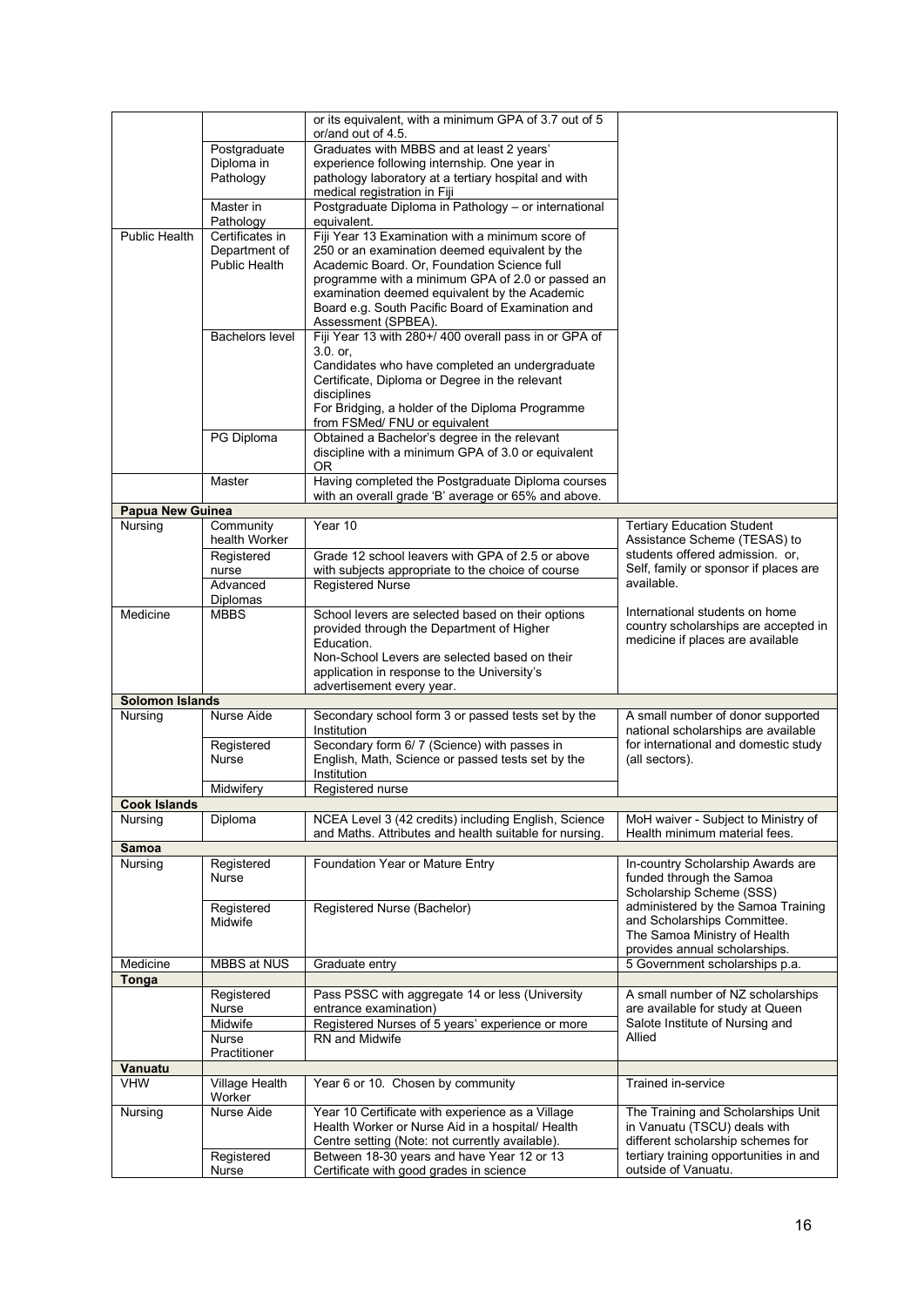|                        |                        | or its equivalent, with a minimum GPA of 3.7 out of 5<br>or/and out of 4.5.                      |                                                                          |
|------------------------|------------------------|--------------------------------------------------------------------------------------------------|--------------------------------------------------------------------------|
|                        |                        |                                                                                                  |                                                                          |
|                        | Postgraduate           | Graduates with MBBS and at least 2 years'                                                        |                                                                          |
|                        | Diploma in             | experience following internship. One year in                                                     |                                                                          |
|                        | Pathology              | pathology laboratory at a tertiary hospital and with                                             |                                                                          |
|                        |                        | medical registration in Fiji                                                                     |                                                                          |
|                        | Master in              | Postgraduate Diploma in Pathology - or international                                             |                                                                          |
|                        | Pathology              | equivalent.                                                                                      |                                                                          |
| <b>Public Health</b>   | Certificates in        | Fiji Year 13 Examination with a minimum score of                                                 |                                                                          |
|                        | Department of          | 250 or an examination deemed equivalent by the                                                   |                                                                          |
|                        | Public Health          | Academic Board. Or, Foundation Science full                                                      |                                                                          |
|                        |                        | programme with a minimum GPA of 2.0 or passed an                                                 |                                                                          |
|                        |                        | examination deemed equivalent by the Academic                                                    |                                                                          |
|                        |                        | Board e.g. South Pacific Board of Examination and                                                |                                                                          |
|                        |                        | Assessment (SPBEA).                                                                              |                                                                          |
|                        | <b>Bachelors level</b> | Fiji Year 13 with 280+/400 overall pass in or GPA of                                             |                                                                          |
|                        |                        | 3.0. or.                                                                                         |                                                                          |
|                        |                        | Candidates who have completed an undergraduate                                                   |                                                                          |
|                        |                        | Certificate, Diploma or Degree in the relevant                                                   |                                                                          |
|                        |                        | disciplines                                                                                      |                                                                          |
|                        |                        | For Bridging, a holder of the Diploma Programme                                                  |                                                                          |
|                        |                        | from FSMed/ FNU or equivalent                                                                    |                                                                          |
|                        | PG Diploma             | Obtained a Bachelor's degree in the relevant                                                     |                                                                          |
|                        |                        | discipline with a minimum GPA of 3.0 or equivalent<br>0R                                         |                                                                          |
|                        | Master                 | Having completed the Postgraduate Diploma courses                                                |                                                                          |
|                        |                        | with an overall grade 'B' average or 65% and above.                                              |                                                                          |
| Papua New Guinea       |                        |                                                                                                  |                                                                          |
| Nursing                | Community              | Year 10                                                                                          | <b>Tertiary Education Student</b>                                        |
|                        | health Worker          |                                                                                                  | Assistance Scheme (TESAS) to                                             |
|                        | Registered             | Grade 12 school leavers with GPA of 2.5 or above                                                 | students offered admission. or,                                          |
|                        | nurse                  | with subjects appropriate to the choice of course                                                | Self, family or sponsor if places are                                    |
|                        | Advanced               | <b>Registered Nurse</b>                                                                          | available.                                                               |
|                        | Diplomas               |                                                                                                  |                                                                          |
| Medicine               | <b>MBBS</b>            | School levers are selected based on their options                                                | International students on home                                           |
|                        |                        | provided through the Department of Higher                                                        | country scholarships are accepted in                                     |
|                        |                        | Education.                                                                                       | medicine if places are available                                         |
|                        |                        | Non-School Levers are selected based on their                                                    |                                                                          |
|                        |                        |                                                                                                  |                                                                          |
|                        |                        |                                                                                                  |                                                                          |
|                        |                        | application in response to the University's                                                      |                                                                          |
| <b>Solomon Islands</b> |                        | advertisement every year.                                                                        |                                                                          |
|                        | Nurse Aide             |                                                                                                  |                                                                          |
| Nursing                |                        | Secondary school form 3 or passed tests set by the<br>Institution                                | A small number of donor supported<br>national scholarships are available |
|                        | Registered             |                                                                                                  | for international and domestic study                                     |
|                        | <b>Nurse</b>           | Secondary form 6/7 (Science) with passes in<br>English, Math, Science or passed tests set by the | (all sectors).                                                           |
|                        |                        | Institution                                                                                      |                                                                          |
|                        | Midwifery              | Registered nurse                                                                                 |                                                                          |
| <b>Cook Islands</b>    |                        |                                                                                                  |                                                                          |
| Nursing                | Diploma                | NCEA Level 3 (42 credits) including English, Science                                             | MoH waiver - Subject to Ministry of                                      |
|                        |                        | and Maths. Attributes and health suitable for nursing.                                           | Health minimum material fees.                                            |
| Samoa                  |                        |                                                                                                  |                                                                          |
| Nursing                | Registered             | Foundation Year or Mature Entry                                                                  | In-country Scholarship Awards are                                        |
|                        | <b>Nurse</b>           |                                                                                                  | funded through the Samoa                                                 |
|                        |                        |                                                                                                  | Scholarship Scheme (SSS)                                                 |
|                        | Registered             | Registered Nurse (Bachelor)                                                                      | administered by the Samoa Training                                       |
|                        | Midwife                |                                                                                                  | and Scholarships Committee.                                              |
|                        |                        |                                                                                                  | The Samoa Ministry of Health                                             |
|                        |                        |                                                                                                  | provides annual scholarships.                                            |
| Medicine               | MBBS at NUS            | Graduate entry                                                                                   | 5 Government scholarships p.a.                                           |
| Tonga                  |                        |                                                                                                  |                                                                          |
|                        | Registered             | Pass PSSC with aggregate 14 or less (University                                                  | A small number of NZ scholarships                                        |
|                        | Nurse                  | entrance examination)                                                                            | are available for study at Queen                                         |
|                        | Midwife                | Registered Nurses of 5 years' experience or more                                                 | Salote Institute of Nursing and                                          |
|                        | <b>Nurse</b>           | RN and Midwife                                                                                   | Allied                                                                   |
|                        | Practitioner           |                                                                                                  |                                                                          |
| Vanuatu                |                        |                                                                                                  |                                                                          |
| <b>VHW</b>             | Village Health         | Year 6 or 10. Chosen by community                                                                | Trained in-service                                                       |
|                        | Worker                 |                                                                                                  |                                                                          |
| Nursing                | Nurse Aide             | Year 10 Certificate with experience as a Village                                                 | The Training and Scholarships Unit                                       |
|                        |                        | Health Worker or Nurse Aid in a hospital/ Health                                                 | in Vanuatu (TSCU) deals with                                             |
|                        |                        | Centre setting (Note: not currently available).                                                  | different scholarship schemes for                                        |
|                        | Registered<br>Nurse    | Between 18-30 years and have Year 12 or 13<br>Certificate with good grades in science            | tertiary training opportunities in and<br>outside of Vanuatu.            |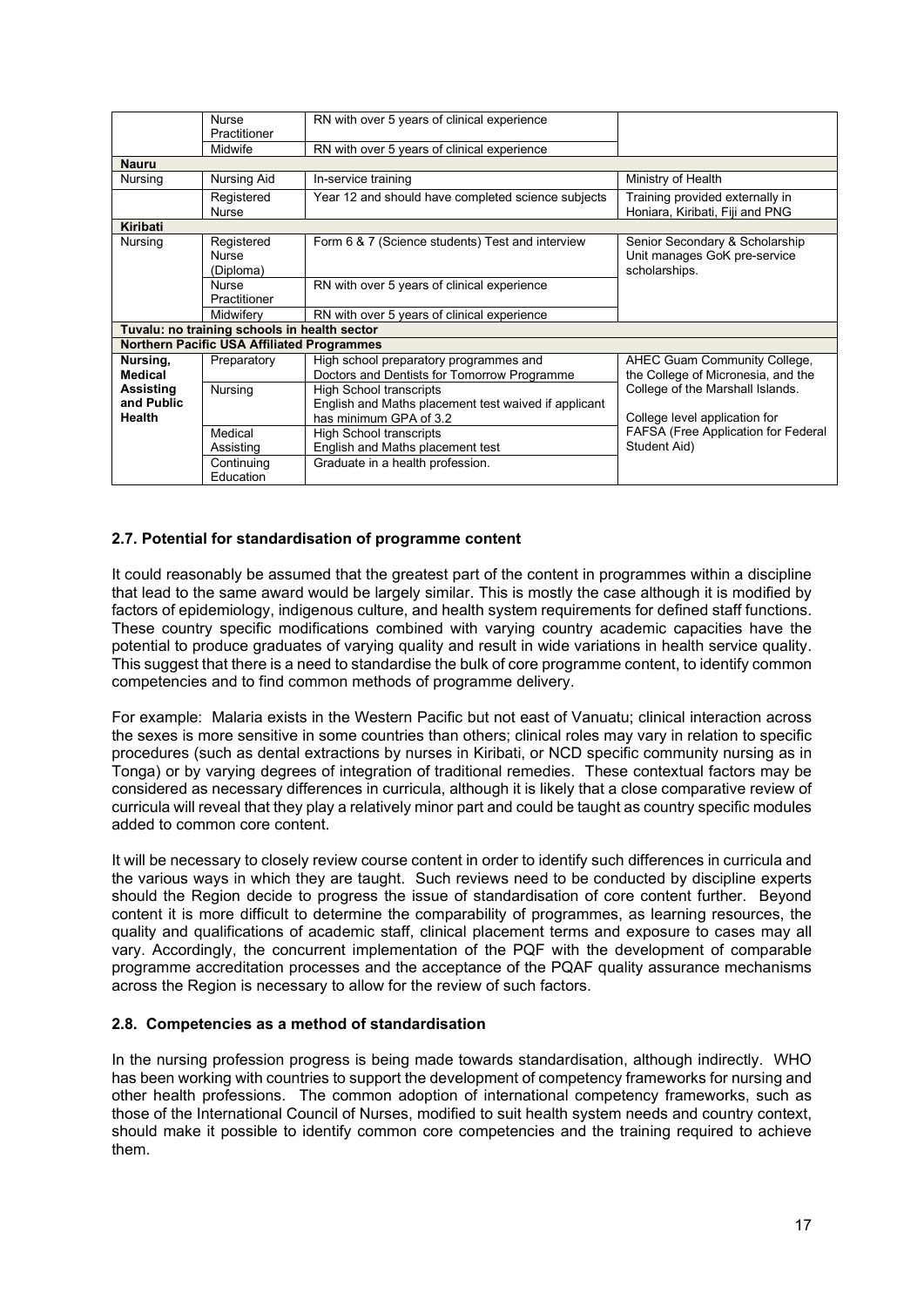|              | <b>Nurse</b>                                      | RN with over 5 years of clinical experience          |                                     |
|--------------|---------------------------------------------------|------------------------------------------------------|-------------------------------------|
|              | Practitioner                                      |                                                      |                                     |
|              | Midwife                                           | RN with over 5 years of clinical experience          |                                     |
| <b>Nauru</b> |                                                   |                                                      |                                     |
| Nursing      | <b>Nursing Aid</b>                                | In-service training                                  | Ministry of Health                  |
|              | Registered                                        | Year 12 and should have completed science subjects   | Training provided externally in     |
|              | <b>Nurse</b>                                      |                                                      | Honiara, Kiribati, Fiji and PNG     |
| Kiribati     |                                                   |                                                      |                                     |
| Nursing      | Registered                                        | Form 6 & 7 (Science students) Test and interview     | Senior Secondary & Scholarship      |
|              | <b>Nurse</b>                                      |                                                      | Unit manages GoK pre-service        |
|              | (Diploma)                                         |                                                      | scholarships.                       |
|              | <b>Nurse</b>                                      | RN with over 5 years of clinical experience          |                                     |
|              | Practitioner                                      |                                                      |                                     |
|              | Midwifery                                         | RN with over 5 years of clinical experience          |                                     |
|              | Tuvalu: no training schools in health sector      |                                                      |                                     |
|              | <b>Northern Pacific USA Affiliated Programmes</b> |                                                      |                                     |
| Nursing,     | Preparatory                                       | High school preparatory programmes and               | AHEC Guam Community College,        |
| Medical      |                                                   | Doctors and Dentists for Tomorrow Programme          | the College of Micronesia, and the  |
| Assisting    | Nursing                                           | <b>High School transcripts</b>                       | College of the Marshall Islands.    |
| and Public   |                                                   | English and Maths placement test waived if applicant |                                     |
| Health       |                                                   | has minimum GPA of 3.2                               | College level application for       |
|              | Medical                                           | <b>High School transcripts</b>                       | FAFSA (Free Application for Federal |
|              | Assisting                                         | English and Maths placement test                     | Student Aid)                        |
|              | Continuing                                        | Graduate in a health profession.                     |                                     |
|              | Education                                         |                                                      |                                     |

# <span id="page-16-0"></span>**2.7. Potential for standardisation of programme content**

It could reasonably be assumed that the greatest part of the content in programmes within a discipline that lead to the same award would be largely similar. This is mostly the case although it is modified by factors of epidemiology, indigenous culture, and health system requirements for defined staff functions. These country specific modifications combined with varying country academic capacities have the potential to produce graduates of varying quality and result in wide variations in health service quality. This suggest that there is a need to standardise the bulk of core programme content, to identify common competencies and to find common methods of programme delivery.

For example: Malaria exists in the Western Pacific but not east of Vanuatu; clinical interaction across the sexes is more sensitive in some countries than others; clinical roles may vary in relation to specific procedures (such as dental extractions by nurses in Kiribati, or NCD specific community nursing as in Tonga) or by varying degrees of integration of traditional remedies. These contextual factors may be considered as necessary differences in curricula, although it is likely that a close comparative review of curricula will reveal that they play a relatively minor part and could be taught as country specific modules added to common core content.

It will be necessary to closely review course content in order to identify such differences in curricula and the various ways in which they are taught. Such reviews need to be conducted by discipline experts should the Region decide to progress the issue of standardisation of core content further. Beyond content it is more difficult to determine the comparability of programmes, as learning resources, the quality and qualifications of academic staff, clinical placement terms and exposure to cases may all vary. Accordingly, the concurrent implementation of the PQF with the development of comparable programme accreditation processes and the acceptance of the PQAF quality assurance mechanisms across the Region is necessary to allow for the review of such factors.

#### <span id="page-16-1"></span>**2.8. Competencies as a method of standardisation**

In the nursing profession progress is being made towards standardisation, although indirectly. WHO has been working with countries to support the development of competency frameworks for nursing and other health professions. The common adoption of international competency frameworks, such as those of the International Council of Nurses, modified to suit health system needs and country context, should make it possible to identify common core competencies and the training required to achieve them.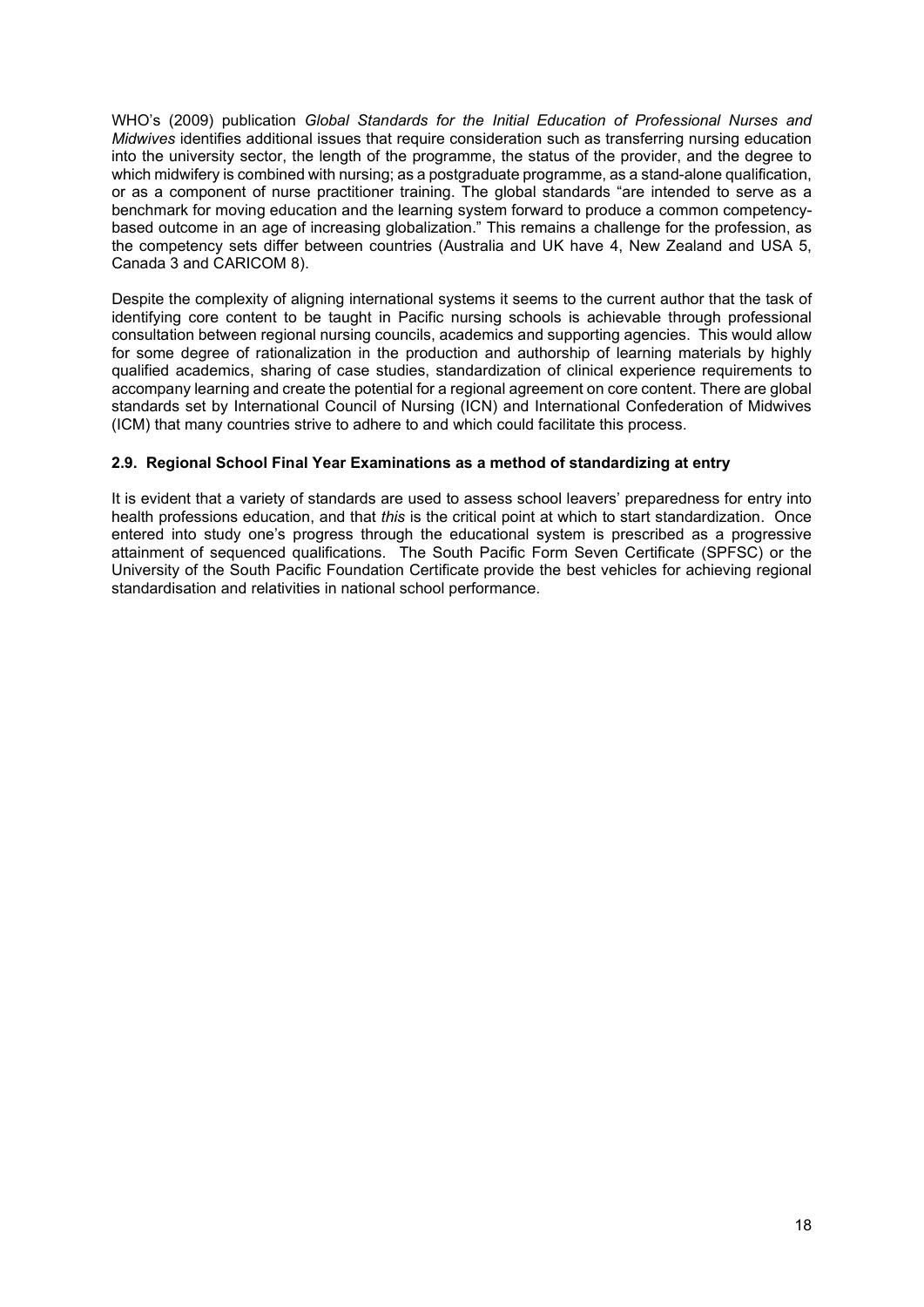WHO's (2009) publication *Global Standards for the Initial Education of Professional Nurses and Midwives* identifies additional issues that require consideration such as transferring nursing education into the university sector, the length of the programme, the status of the provider, and the degree to which midwifery is combined with nursing; as a postgraduate programme, as a stand-alone qualification, or as a component of nurse practitioner training. The global standards "are intended to serve as a benchmark for moving education and the learning system forward to produce a common competencybased outcome in an age of increasing globalization." This remains a challenge for the profession, as the competency sets differ between countries (Australia and UK have 4, New Zealand and USA 5, Canada 3 and CARICOM 8).

Despite the complexity of aligning international systems it seems to the current author that the task of identifying core content to be taught in Pacific nursing schools is achievable through professional consultation between regional nursing councils, academics and supporting agencies. This would allow for some degree of rationalization in the production and authorship of learning materials by highly qualified academics, sharing of case studies, standardization of clinical experience requirements to accompany learning and create the potential for a regional agreement on core content. There are global standards set by International Council of Nursing (ICN) and International Confederation of Midwives (ICM) that many countries strive to adhere to and which could facilitate this process.

# <span id="page-17-0"></span>**2.9. Regional School Final Year Examinations as a method of standardizing at entry**

It is evident that a variety of standards are used to assess school leavers' preparedness for entry into health professions education, and that *this* is the critical point at which to start standardization. Once entered into study one's progress through the educational system is prescribed as a progressive attainment of sequenced qualifications. The South Pacific Form Seven Certificate (SPFSC) or the University of the South Pacific Foundation Certificate provide the best vehicles for achieving regional standardisation and relativities in national school performance.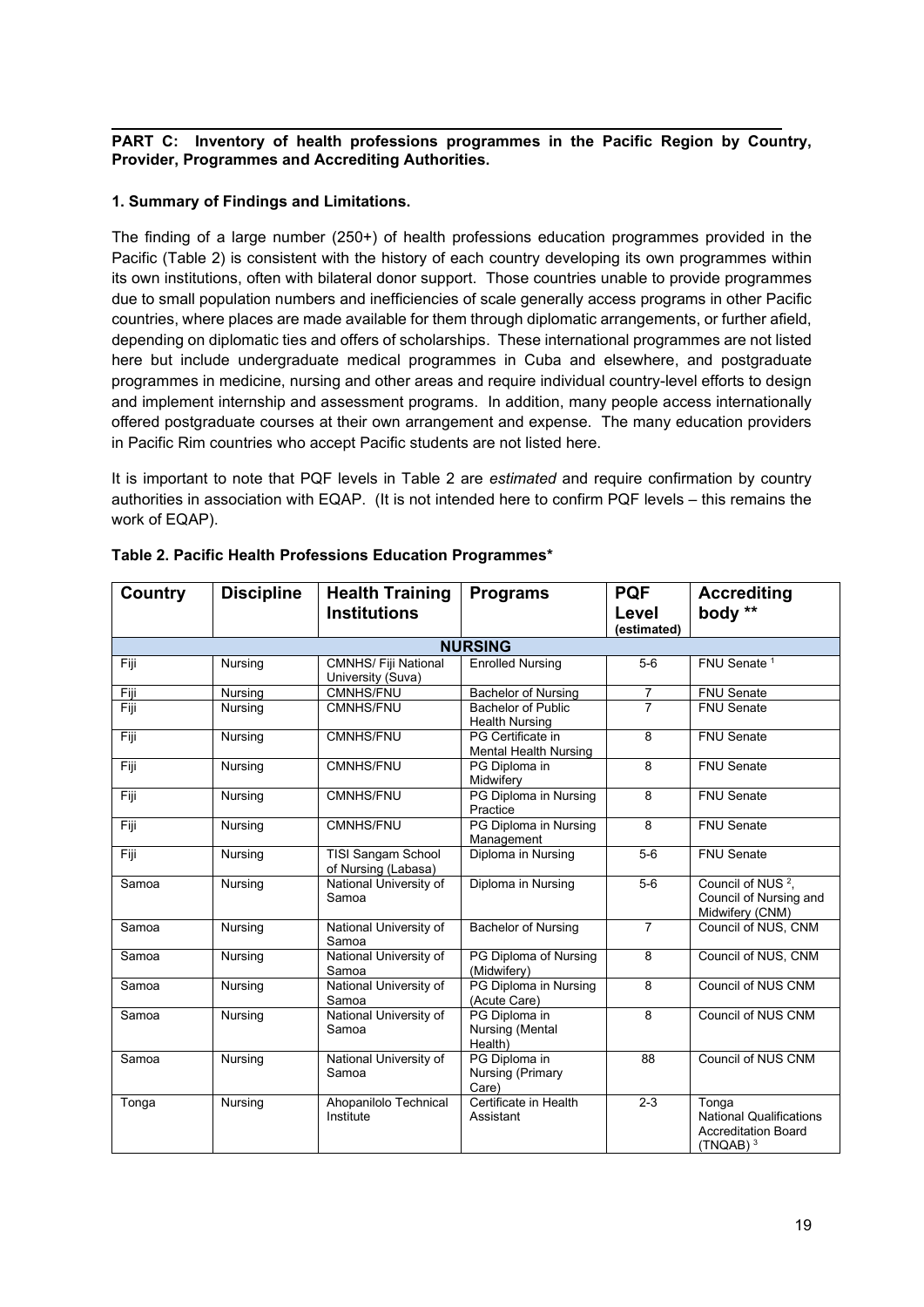#### <span id="page-18-0"></span>**PART C: Inventory of health professions programmes in the Pacific Region by Country, Provider, Programmes and Accrediting Authorities.**

# <span id="page-18-1"></span>**1. Summary of Findings and Limitations.**

The finding of a large number (250+) of health professions education programmes provided in the Pacific (Table 2) is consistent with the history of each country developing its own programmes within its own institutions, often with bilateral donor support. Those countries unable to provide programmes due to small population numbers and inefficiencies of scale generally access programs in other Pacific countries, where places are made available for them through diplomatic arrangements, or further afield, depending on diplomatic ties and offers of scholarships. These international programmes are not listed here but include undergraduate medical programmes in Cuba and elsewhere, and postgraduate programmes in medicine, nursing and other areas and require individual country-level efforts to design and implement internship and assessment programs. In addition, many people access internationally offered postgraduate courses at their own arrangement and expense. The many education providers in Pacific Rim countries who accept Pacific students are not listed here.

It is important to note that PQF levels in Table 2 are *estimated* and require confirmation by country authorities in association with EQAP. (It is not intended here to confirm PQF levels – this remains the work of EQAP).

| <b>Country</b> | <b>Discipline</b> | <b>Health Training</b>                           | <b>Programs</b>                                    | <b>PQF</b>     | <b>Accrediting</b>                                                                   |  |  |  |
|----------------|-------------------|--------------------------------------------------|----------------------------------------------------|----------------|--------------------------------------------------------------------------------------|--|--|--|
|                |                   | <b>Institutions</b>                              |                                                    | Level          | body **                                                                              |  |  |  |
|                |                   |                                                  |                                                    | (estimated)    |                                                                                      |  |  |  |
|                | <b>NURSING</b>    |                                                  |                                                    |                |                                                                                      |  |  |  |
| Fiji           | Nursing           | <b>CMNHS/ Fiji National</b><br>University (Suva) | <b>Enrolled Nursing</b>                            | $5-6$          | FNU Senate <sup>1</sup>                                                              |  |  |  |
| Fiji           | Nursing           | <b>CMNHS/FNU</b>                                 | <b>Bachelor of Nursing</b>                         | $\overline{7}$ | FNU Senate                                                                           |  |  |  |
| Fiji           | Nursing           | <b>CMNHS/FNU</b>                                 | <b>Bachelor of Public</b><br><b>Health Nursing</b> | $\overline{7}$ | <b>FNU Senate</b>                                                                    |  |  |  |
| Fiji           | Nursing           | <b>CMNHS/FNU</b>                                 | PG Certificate in<br><b>Mental Health Nursing</b>  | 8              | <b>FNU Senate</b>                                                                    |  |  |  |
| Fiji           | Nursing           | <b>CMNHS/FNU</b>                                 | PG Diploma in<br>Midwifery                         | 8              | <b>FNU Senate</b>                                                                    |  |  |  |
| Fiji           | Nursing           | <b>CMNHS/FNU</b>                                 | PG Diploma in Nursing<br>Practice                  | 8              | <b>FNU Senate</b>                                                                    |  |  |  |
| Fiji           | Nursing           | <b>CMNHS/FNU</b>                                 | PG Diploma in Nursing<br>Management                | 8              | <b>FNU Senate</b>                                                                    |  |  |  |
| Fiji           | Nursing           | <b>TISI Sangam School</b><br>of Nursing (Labasa) | Diploma in Nursing                                 | $5-6$          | <b>FNU Senate</b>                                                                    |  |  |  |
| Samoa          | Nursing           | National University of<br>Samoa                  | Diploma in Nursing                                 | $5-6$          | Council of NUS <sup>2</sup> .<br>Council of Nursing and<br>Midwifery (CNM)           |  |  |  |
| Samoa          | Nursing           | National University of<br>Samoa                  | <b>Bachelor of Nursing</b>                         | $\overline{7}$ | Council of NUS, CNM                                                                  |  |  |  |
| Samoa          | Nursing           | National University of<br>Samoa                  | PG Diploma of Nursing<br>(Midwifery)               | 8              | Council of NUS, CNM                                                                  |  |  |  |
| Samoa          | Nursing           | National University of<br>Samoa                  | PG Diploma in Nursing<br>(Acute Care)              | 8              | Council of NUS CNM                                                                   |  |  |  |
| Samoa          | Nursing           | National University of<br>Samoa                  | PG Diploma in<br>Nursing (Mental<br>Health)        | 8              | <b>Council of NUS CNM</b>                                                            |  |  |  |
| Samoa          | Nursing           | National University of<br>Samoa                  | PG Diploma in<br>Nursing (Primary<br>Care)         | 88             | Council of NUS CNM                                                                   |  |  |  |
| Tonga          | Nursing           | Ahopanilolo Technical<br>Institute               | Certificate in Health<br>Assistant                 | $2 - 3$        | Tonga<br><b>National Qualifications</b><br><b>Accreditation Board</b><br>$(TNQAB)^3$ |  |  |  |

# <span id="page-18-2"></span>**Table 2. Pacific Health Professions Education Programmes\***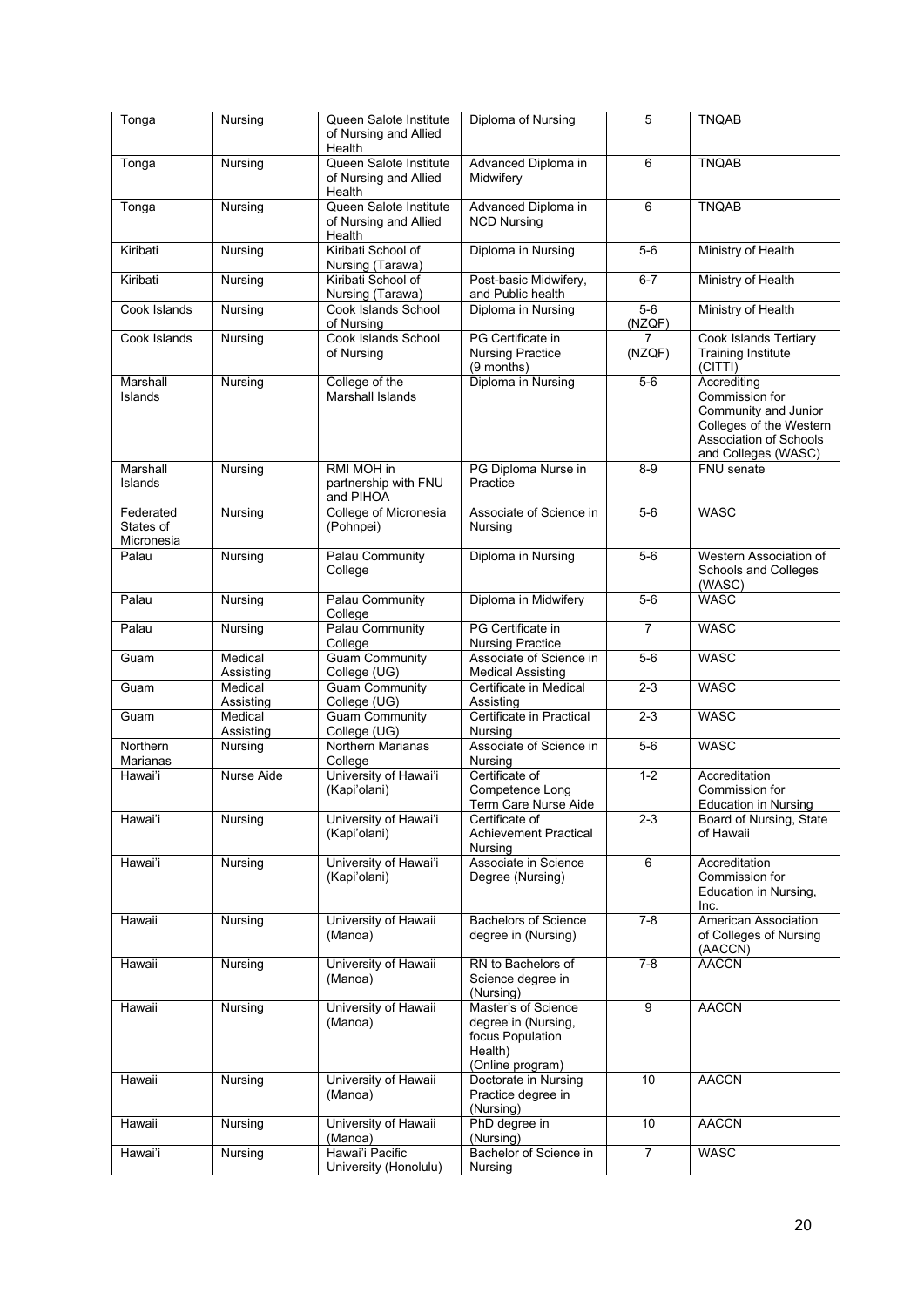| Tonga                                | Nursing                        | Queen Salote Institute<br>of Nursing and Allied<br>Health | Diploma of Nursing                                                                            | 5               | <b>TNQAB</b>                                                                                                                      |
|--------------------------------------|--------------------------------|-----------------------------------------------------------|-----------------------------------------------------------------------------------------------|-----------------|-----------------------------------------------------------------------------------------------------------------------------------|
| Tonga                                | Nursing                        | Queen Salote Institute<br>of Nursing and Allied<br>Health | Advanced Diploma in<br>Midwifery                                                              | 6               | <b>TNQAB</b>                                                                                                                      |
| Tonga                                | Nursing                        | Queen Salote Institute<br>of Nursing and Allied<br>Health | Advanced Diploma in<br><b>NCD Nursing</b>                                                     | 6               | <b>TNQAB</b>                                                                                                                      |
| Kiribati                             | Nursing                        | Kiribati School of<br>Nursing (Tarawa)                    | Diploma in Nursing                                                                            | $5-6$           | Ministry of Health                                                                                                                |
| Kiribati                             | Nursing                        | Kiribati School of<br>Nursing (Tarawa)                    | Post-basic Midwifery,<br>and Public health                                                    | $6 - 7$         | Ministry of Health                                                                                                                |
| Cook Islands                         | Nursing                        | Cook Islands School<br>of Nursing                         | Diploma in Nursing                                                                            | $5-6$<br>(NZQF) | Ministry of Health                                                                                                                |
| Cook Islands                         | Nursing                        | Cook Islands School<br>of Nursing                         | PG Certificate in<br><b>Nursing Practice</b><br>(9 months)                                    | (NZQF)          | Cook Islands Tertiary<br><b>Training Institute</b><br>(CITTI)                                                                     |
| Marshall<br>Islands                  | Nursing                        | College of the<br>Marshall Islands                        | Diploma in Nursing                                                                            | $5-6$           | Accrediting<br>Commission for<br>Community and Junior<br>Colleges of the Western<br>Association of Schools<br>and Colleges (WASC) |
| Marshall<br>Islands                  | $\overline{\mathsf{N}}$ ursing | RMI MOH in<br>partnership with FNU<br>and PIHOA           | PG Diploma Nurse in<br>Practice                                                               | $8 - 9$         | FNU senate                                                                                                                        |
| Federated<br>States of<br>Micronesia | Nursing                        | College of Micronesia<br>(Pohnpei)                        | Associate of Science in<br>Nursing                                                            | $5-6$           | <b>WASC</b>                                                                                                                       |
| Palau                                | Nursing                        | Palau Community<br>College                                | Diploma in Nursing                                                                            | $5-6$           | Western Association of<br>Schools and Colleges<br>(WASC)                                                                          |
| Palau                                | Nursing                        | Palau Community<br>College                                | Diploma in Midwifery                                                                          | $5-6$           | <b>WASC</b>                                                                                                                       |
| Palau                                | Nursing                        | Palau Community<br>College                                | PG Certificate in<br><b>Nursing Practice</b>                                                  | $\overline{7}$  | <b>WASC</b>                                                                                                                       |
| Guam                                 | Medical<br>Assisting           | <b>Guam Community</b><br>College (UG)                     | Associate of Science in<br><b>Medical Assisting</b>                                           | $5-6$           | <b>WASC</b>                                                                                                                       |
| Guam                                 | Medical<br>Assisting           | <b>Guam Community</b><br>College (UG)                     | Certificate in Medical<br>Assisting                                                           | $2 - 3$         | <b>WASC</b>                                                                                                                       |
| Guam                                 | Medical<br>Assisting           | <b>Guam Community</b><br>College (UG)                     | Certificate in Practical<br>Nursina                                                           | $2 - 3$         | <b>WASC</b>                                                                                                                       |
| Northern<br>Marianas                 | Nursing                        | Northern Marianas<br>College                              | Associate of Science in<br>Nursing                                                            | $5-6$           | <b>WASC</b>                                                                                                                       |
| Hawai'i                              | Nurse Aide                     | University of Hawai'i<br>(Kapi'olani)                     | Certificate of<br>Competence Long<br>Term Care Nurse Aide                                     | $1 - 2$         | Accreditation<br>Commission for<br><b>Education in Nursing</b>                                                                    |
| Hawai'i                              | Nursing                        | University of Hawai'i<br>(Kapi'olani)                     | Certificate of<br><b>Achievement Practical</b><br>Nursing                                     | $2 - 3$         | Board of Nursing, State<br>of Hawaii                                                                                              |
| Hawai'i                              | Nursing                        | University of Hawai'i<br>(Kapi'olani)                     | Associate in Science<br>Degree (Nursing)                                                      | 6               | Accreditation<br>Commission for<br>Education in Nursing,<br>Inc.                                                                  |
| Hawaii                               | Nursing                        | University of Hawaii<br>(Manoa)                           | <b>Bachelors of Science</b><br>degree in (Nursing)                                            | 7-8             | American Association<br>of Colleges of Nursing<br>(AACCN)                                                                         |
| Hawaii                               | Nursing                        | University of Hawaii<br>(Manoa)                           | RN to Bachelors of<br>Science degree in<br>(Nursing)                                          | $7 - 8$         | <b>AACCN</b>                                                                                                                      |
| Hawaii                               | Nursing                        | University of Hawaii<br>(Manoa)                           | Master's of Science<br>degree in (Nursing,<br>focus Population<br>Health)<br>(Online program) | 9               | <b>AACCN</b>                                                                                                                      |
| Hawaii                               | Nursing                        | University of Hawaii<br>(Manoa)                           | Doctorate in Nursing<br>Practice degree in<br>(Nursing)                                       | 10              | <b>AACCN</b>                                                                                                                      |
| Hawaii                               | Nursing                        | University of Hawaii<br>(Manoa)                           | PhD degree in<br>(Nursing)                                                                    | 10              | <b>AACCN</b>                                                                                                                      |
| Hawai'i                              | Nursing                        | Hawai'i Pacific<br>University (Honolulu)                  | Bachelor of Science in<br>Nursing                                                             | $\overline{7}$  | <b>WASC</b>                                                                                                                       |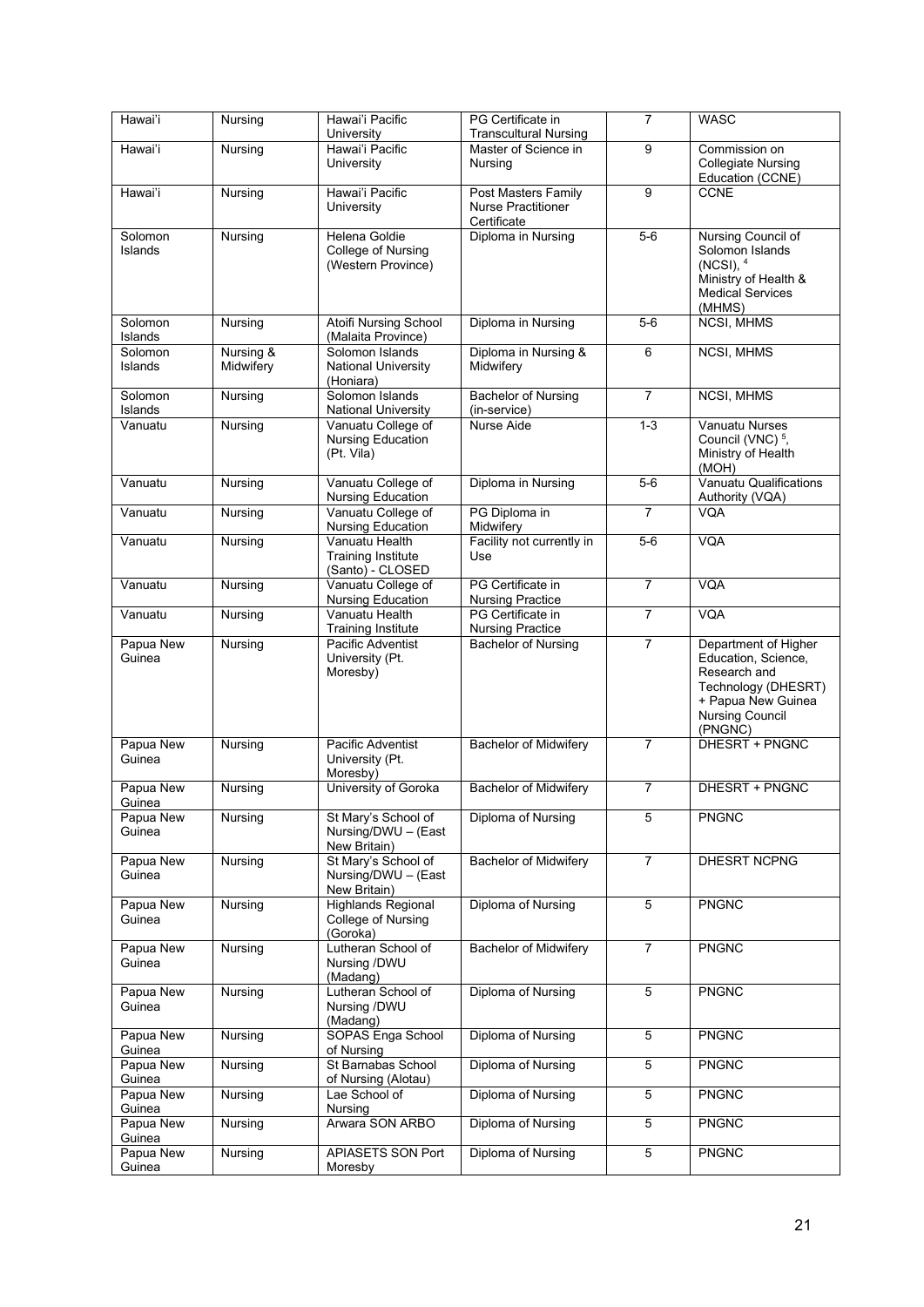| Hawai'i             | Nursing                | Hawai'i Pacific<br>University                                   | PG Certificate in<br>Transcultural Nursing                      | $\overline{7}$ | <b>WASC</b>                                                                                                                                   |
|---------------------|------------------------|-----------------------------------------------------------------|-----------------------------------------------------------------|----------------|-----------------------------------------------------------------------------------------------------------------------------------------------|
| Hawai'i             | Nursing                | Hawai'i Pacific                                                 | Master of Science in                                            | $\overline{9}$ | Commission on                                                                                                                                 |
|                     |                        | University                                                      | Nursing                                                         |                | <b>Collegiate Nursing</b><br>Education (CCNE)                                                                                                 |
| Hawai'i             | Nursing                | Hawai'i Pacific<br>University                                   | Post Masters Family<br><b>Nurse Practitioner</b><br>Certificate | 9              | <b>CCNE</b>                                                                                                                                   |
| Solomon<br>Islands  | Nursing                | Helena Goldie<br>College of Nursing<br>(Western Province)       | Diploma in Nursing                                              | $5-6$          | Nursing Council of<br>Solomon Islands<br>$(NCSI)$ , $4$<br>Ministry of Health &<br>Medical Services<br>(MHMS)                                 |
| Solomon<br>Islands  | Nursing                | <b>Atoifi Nursing School</b><br>(Malaita Province)              | Diploma in Nursing                                              | $5-6$          | NCSI, MHMS                                                                                                                                    |
| Solomon<br>Islands  | Nursing &<br>Midwifery | Solomon Islands<br><b>National University</b><br>(Honiara)      | Diploma in Nursing &<br>Midwifery                               | 6              | <b>NCSI, MHMS</b>                                                                                                                             |
| Solomon<br>Islands  | Nursing                | Solomon Islands<br>National University                          | <b>Bachelor of Nursing</b><br>(in-service)                      | $\overline{7}$ | <b>NCSI, MHMS</b>                                                                                                                             |
| Vanuatu             | Nursing                | Vanuatu College of<br>Nursing Education<br>(Pt. Vila)           | Nurse Aide                                                      | $1 - 3$        | <b>Vanuatu Nurses</b><br>Council (VNC) <sup>5</sup> ,<br>Ministry of Health<br>(MOH)                                                          |
| Vanuatu             | Nursing                | Vanuatu College of<br>Nursing Education                         | Diploma in Nursing                                              | $5-6$          | Vanuatu Qualifications<br>Authority (VQA)                                                                                                     |
| Vanuatu             | Nursing                | Vanuatu College of<br><b>Nursing Education</b>                  | PG Diploma in<br>Midwifery                                      | $\overline{7}$ | <b>VQA</b>                                                                                                                                    |
| Vanuatu             | Nursing                | Vanuatu Health<br><b>Training Institute</b><br>(Santo) - CLOSED | Facility not currently in<br>Use                                | $5-6$          | <b>VQA</b>                                                                                                                                    |
| Vanuatu             | Nursing                | Vanuatu College of<br><b>Nursing Education</b>                  | <b>PG Certificate in</b><br><b>Nursing Practice</b>             | $\overline{7}$ | <b>VQA</b>                                                                                                                                    |
| Vanuatu             | Nursing                | Vanuatu Health<br><b>Training Institute</b>                     | PG Certificate in<br><b>Nursing Practice</b>                    | $\overline{7}$ | <b>VQA</b>                                                                                                                                    |
| Papua New<br>Guinea | Nursing                | Pacific Adventist<br>University (Pt.<br>Moresby)                | <b>Bachelor of Nursing</b>                                      | 7              | Department of Higher<br>Education, Science,<br>Research and<br>Technology (DHESRT)<br>+ Papua New Guinea<br><b>Nursing Council</b><br>(PNGNC) |
| Papua New<br>Guinea | Nursing                | Pacific Adventist<br>University (Pt.<br>Moresby)                | <b>Bachelor of Midwifery</b>                                    | $\overline{7}$ | DHESRT + PNGNC                                                                                                                                |
| Papua New<br>Guinea | Nursing                | University of Goroka                                            | <b>Bachelor of Midwifery</b>                                    | $\overline{7}$ | DHESRT + PNGNC                                                                                                                                |
| Papua New<br>Guinea | Nursing                | St Mary's School of<br>Nursing/DWU - (East<br>New Britain)      | Diploma of Nursing                                              | 5              | <b>PNGNC</b>                                                                                                                                  |
| Papua New<br>Guinea | Nursing                | St Mary's School of<br>Nursing/DWU - (East<br>New Britain)      | <b>Bachelor of Midwifery</b>                                    | $\overline{7}$ | DHESRT NCPNG                                                                                                                                  |
| Papua New<br>Guinea | Nursing                | <b>Highlands Regional</b><br>College of Nursing<br>(Goroka)     | Diploma of Nursing                                              | 5              | <b>PNGNC</b>                                                                                                                                  |
| Papua New<br>Guinea | Nursing                | Lutheran School of<br>Nursing /DWU<br>(Madang)                  | <b>Bachelor of Midwifery</b>                                    | $\overline{7}$ | <b>PNGNC</b>                                                                                                                                  |
| Papua New<br>Guinea | Nursing                | Lutheran School of<br>Nursing /DWU<br>(Madang)                  | Diploma of Nursing                                              | 5              | <b>PNGNC</b>                                                                                                                                  |
| Papua New<br>Guinea | Nursing                | SOPAS Enga School<br>of Nursing                                 | Diploma of Nursing                                              | $\overline{5}$ | <b>PNGNC</b>                                                                                                                                  |
| Papua New<br>Guinea | Nursing                | St Barnabas School<br>of Nursing (Alotau)                       | Diploma of Nursing                                              | 5              | <b>PNGNC</b>                                                                                                                                  |
| Papua New<br>Guinea | Nursing                | Lae School of<br>Nursing                                        | Diploma of Nursing                                              | 5              | <b>PNGNC</b>                                                                                                                                  |
| Papua New<br>Guinea | Nursing                | Arwara SON ARBO                                                 | Diploma of Nursing                                              | 5              | <b>PNGNC</b>                                                                                                                                  |
| Papua New<br>Guinea | Nursing                | APIASETS SON Port<br>Moresby                                    | Diploma of Nursing                                              | $\overline{5}$ | <b>PNGNC</b>                                                                                                                                  |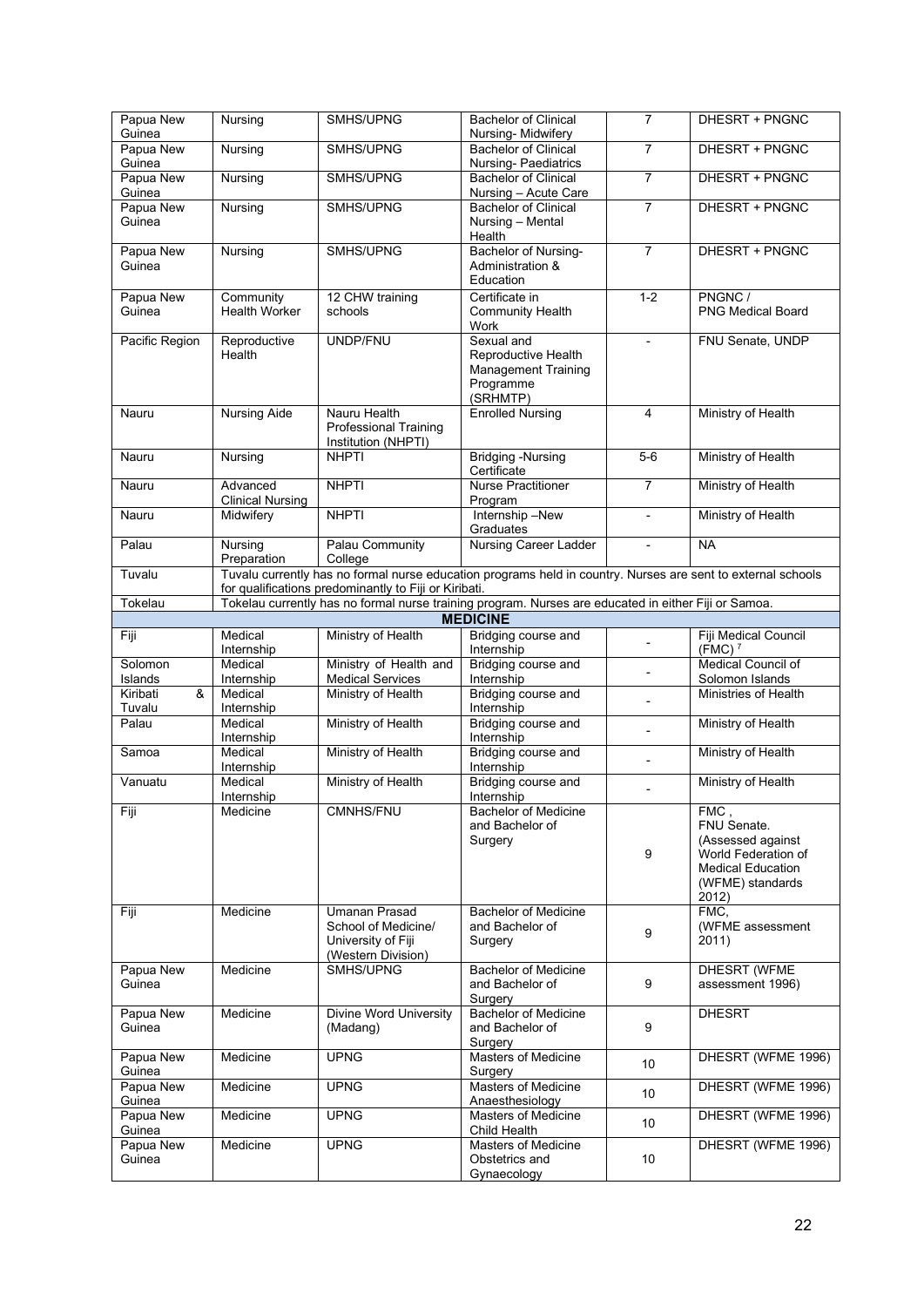| Papua New                           | Nursing                 | SMHS/UPNG                                             | <b>Bachelor of Clinical</b>                                                                                             | $\overline{7}$           | DHESRT + PNGNC                             |
|-------------------------------------|-------------------------|-------------------------------------------------------|-------------------------------------------------------------------------------------------------------------------------|--------------------------|--------------------------------------------|
| Guinea                              |                         |                                                       | Nursing-Midwifery                                                                                                       |                          |                                            |
| Papua New                           | Nursing                 | SMHS/UPNG                                             | <b>Bachelor of Clinical</b>                                                                                             | $\overline{7}$           | DHESRT + PNGNC                             |
| Guinea                              |                         |                                                       | Nursing- Paediatrics                                                                                                    |                          |                                            |
| Papua New                           | Nursing                 | SMHS/UPNG                                             | <b>Bachelor of Clinical</b>                                                                                             | $\overline{7}$           | DHESRT + PNGNC                             |
| Guinea                              |                         |                                                       | Nursing - Acute Care                                                                                                    |                          |                                            |
| Papua New                           | Nursing                 | SMHS/UPNG                                             | <b>Bachelor of Clinical</b>                                                                                             | $\overline{7}$           | DHESRT + PNGNC                             |
| Guinea                              |                         |                                                       | Nursing - Mental                                                                                                        |                          |                                            |
|                                     |                         |                                                       | Health                                                                                                                  |                          |                                            |
| Papua New                           | Nursing                 | SMHS/UPNG                                             | Bachelor of Nursing-                                                                                                    | $\overline{7}$           | DHESRT + PNGNC                             |
| Guinea                              |                         |                                                       | Administration &                                                                                                        |                          |                                            |
|                                     |                         |                                                       | Education                                                                                                               |                          |                                            |
| Papua New                           | Community               | 12 CHW training                                       | Certificate in                                                                                                          | $1 - 2$                  | PNGNC /                                    |
| Guinea                              | <b>Health Worker</b>    | schools                                               | <b>Community Health</b>                                                                                                 |                          | <b>PNG Medical Board</b>                   |
|                                     |                         |                                                       | Work                                                                                                                    |                          |                                            |
| Pacific Region                      | Reproductive            | UNDP/FNU                                              | Sexual and                                                                                                              |                          | FNU Senate, UNDP                           |
|                                     | Health                  |                                                       | Reproductive Health                                                                                                     |                          |                                            |
|                                     |                         |                                                       | <b>Management Training</b>                                                                                              |                          |                                            |
|                                     |                         |                                                       | Programme                                                                                                               |                          |                                            |
|                                     |                         |                                                       | (SRHMTP)                                                                                                                |                          |                                            |
| Nauru                               | <b>Nursing Aide</b>     | Nauru Health                                          | <b>Enrolled Nursing</b>                                                                                                 | $\overline{4}$           | Ministry of Health                         |
|                                     |                         | <b>Professional Training</b>                          |                                                                                                                         |                          |                                            |
|                                     |                         | Institution (NHPTI)                                   |                                                                                                                         |                          |                                            |
| Nauru                               | Nursing                 | <b>NHPTI</b>                                          | <b>Bridging -Nursing</b>                                                                                                | $5-6$                    | Ministry of Health                         |
|                                     |                         |                                                       | Certificate                                                                                                             |                          |                                            |
| Nauru                               | Advanced                | <b>NHPTI</b>                                          | Nurse Practitioner                                                                                                      | $\overline{7}$           | Ministry of Health                         |
|                                     | <b>Clinical Nursing</b> |                                                       | Program                                                                                                                 |                          |                                            |
| Nauru                               | Midwifery               | <b>NHPTI</b>                                          | Internship -New                                                                                                         | $\overline{\phantom{0}}$ | Ministry of Health                         |
|                                     |                         |                                                       | Graduates                                                                                                               |                          |                                            |
| Palau                               | Nursing                 | Palau Community                                       | <b>Nursing Career Ladder</b>                                                                                            |                          | <b>NA</b>                                  |
|                                     | Preparation             | College                                               |                                                                                                                         |                          |                                            |
| Tuvalu                              |                         |                                                       | Tuvalu currently has no formal nurse education programs held in country. Nurses are sent to external schools            |                          |                                            |
|                                     |                         | for qualifications predominantly to Fiji or Kiribati. |                                                                                                                         |                          |                                            |
| Tokelau                             |                         |                                                       | Tokelau currently has no formal nurse training program. Nurses are educated in either Fiji or Samoa.<br><b>MEDICINE</b> |                          |                                            |
|                                     |                         |                                                       |                                                                                                                         |                          |                                            |
| Fiji                                | Medical                 | Ministry of Health                                    | Bridging course and                                                                                                     |                          | Fiji Medical Council<br>(FMC) <sup>7</sup> |
| Solomon                             | Internship<br>Medical   | Ministry of Health and                                | Internship<br>Bridging course and                                                                                       |                          | Medical Council of                         |
| Islands                             | Internship              | <b>Medical Services</b>                               | Internship                                                                                                              |                          | Solomon Islands                            |
| $\overline{\mathbf{8}}$<br>Kiribati | Medical                 | Ministry of Health                                    | Bridging course and                                                                                                     |                          | Ministries of Health                       |
| Tuvalu                              | Internship              |                                                       | Internship                                                                                                              | $\overline{a}$           |                                            |
| Palau                               | Medical                 | Ministry of Health                                    | Bridging course and                                                                                                     |                          | Ministry of Health                         |
|                                     | Internship              |                                                       | Internship                                                                                                              |                          |                                            |
| Samoa                               | Medical                 | Ministry of Health                                    | Bridging course and                                                                                                     |                          | Ministry of Health                         |
|                                     | Internship              |                                                       | Internship                                                                                                              |                          |                                            |
| Vanuatu                             | Medical                 | Ministry of Health                                    | Bridging course and                                                                                                     |                          | Ministry of Health                         |
|                                     | Internship              |                                                       | Internship                                                                                                              |                          |                                            |
| Fiji                                | Medicine                | CMNHS/FNU                                             | <b>Bachelor of Medicine</b>                                                                                             |                          | FMC,                                       |
|                                     |                         |                                                       | and Bachelor of                                                                                                         |                          | FNU Senate.                                |
|                                     |                         |                                                       | Surgery                                                                                                                 |                          | (Assessed against                          |
|                                     |                         |                                                       |                                                                                                                         | 9                        | World Federation of                        |
|                                     |                         |                                                       |                                                                                                                         |                          | <b>Medical Education</b>                   |
|                                     |                         |                                                       |                                                                                                                         |                          | (WFME) standards                           |
|                                     |                         |                                                       |                                                                                                                         |                          | 2012)                                      |
| Fiji                                | Medicine                | <b>Umanan Prasad</b>                                  | <b>Bachelor of Medicine</b>                                                                                             |                          | FMC.                                       |
|                                     |                         | School of Medicine/                                   | and Bachelor of                                                                                                         | 9                        | (WFME assessment                           |
|                                     |                         | University of Fiji                                    | Surgery                                                                                                                 |                          | 2011)                                      |
|                                     |                         | (Western Division)                                    |                                                                                                                         |                          |                                            |
| Papua New                           | Medicine                | SMHS/UPNG                                             | <b>Bachelor of Medicine</b>                                                                                             |                          | DHESRT (WFME                               |
| Guinea                              |                         |                                                       | and Bachelor of                                                                                                         | 9                        | assessment 1996)                           |
|                                     |                         |                                                       | Surgery                                                                                                                 |                          |                                            |
| Papua New                           | Medicine                | <b>Divine Word University</b>                         | <b>Bachelor of Medicine</b>                                                                                             |                          | <b>DHESRT</b>                              |
| Guinea                              |                         | (Madang)                                              | and Bachelor of                                                                                                         | 9                        |                                            |
|                                     |                         |                                                       | Surgery                                                                                                                 |                          |                                            |
| Papua New                           | Medicine                | <b>UPNG</b>                                           | <b>Masters of Medicine</b>                                                                                              | 10 <sup>°</sup>          | DHESRT (WFME 1996)                         |
| Guinea                              |                         |                                                       | Surgery                                                                                                                 |                          |                                            |
| Papua New                           | Medicine                | <b>UPNG</b>                                           | <b>Masters of Medicine</b>                                                                                              | 10 <sup>1</sup>          | DHESRT (WFME 1996)                         |
| Guinea<br>Papua New                 |                         |                                                       | Anaesthesiology                                                                                                         |                          |                                            |
|                                     |                         |                                                       |                                                                                                                         |                          |                                            |
|                                     | Medicine                | <b>UPNG</b>                                           | <b>Masters of Medicine</b>                                                                                              | 10 <sup>°</sup>          | DHESRT (WFME 1996)                         |
| Guinea                              |                         |                                                       | Child Health                                                                                                            |                          |                                            |
| Papua New                           | Medicine                | <b>UPNG</b>                                           | <b>Masters of Medicine</b>                                                                                              |                          | DHESRT (WFME 1996)                         |
| Guinea                              |                         |                                                       | Obstetrics and<br>Gynaecology                                                                                           | 10 <sup>1</sup>          |                                            |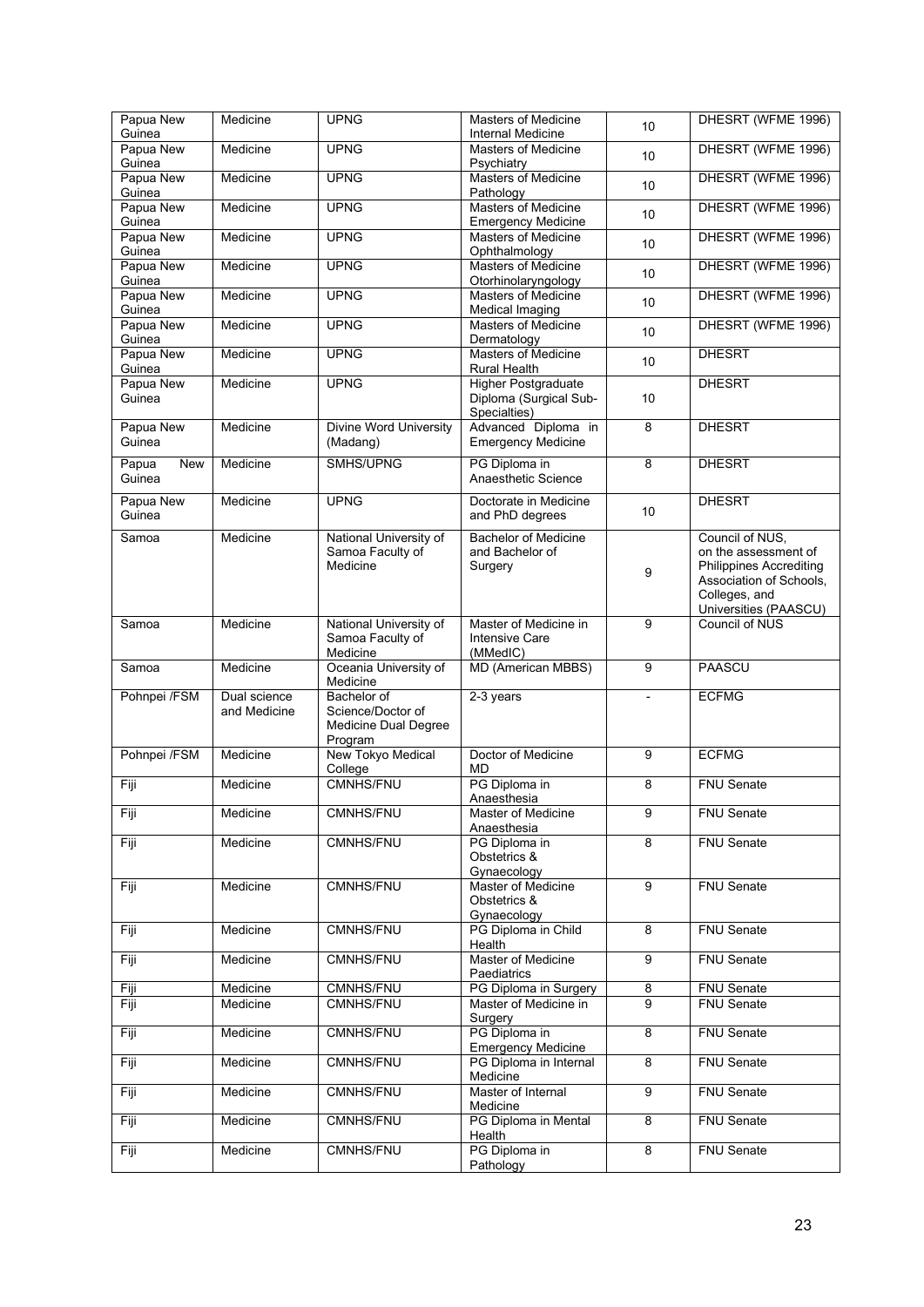| Papua New<br>Guinea | Medicine     | <b>UPNG</b>                                | <b>Masters of Medicine</b><br>Internal Medicine     | 10             | DHESRT (WFME 1996)                                        |
|---------------------|--------------|--------------------------------------------|-----------------------------------------------------|----------------|-----------------------------------------------------------|
| Papua New           | Medicine     | <b>UPNG</b>                                | <b>Masters of Medicine</b>                          | 10             | DHESRT (WFME 1996)                                        |
| Guinea<br>Papua New | Medicine     | <b>UPNG</b>                                | Psychiatry<br>Masters of Medicine                   | 10             | DHESRT (WFME 1996)                                        |
| Guinea<br>Papua New | Medicine     | <b>UPNG</b>                                | Pathology<br><b>Masters of Medicine</b>             |                | DHESRT (WFME 1996)                                        |
| Guinea              |              |                                            | <b>Emergency Medicine</b>                           | 10             |                                                           |
| Papua New<br>Guinea | Medicine     | <b>UPNG</b>                                | <b>Masters of Medicine</b><br>Ophthalmology         | 10             | DHESRT (WFME 1996)                                        |
| Papua New           | Medicine     | <b>UPNG</b>                                | Masters of Medicine                                 | 10             | DHESRT (WFME 1996)                                        |
| Guinea<br>Papua New | Medicine     | <b>UPNG</b>                                | Otorhinolaryngology<br><b>Masters of Medicine</b>   | 10             | DHESRT (WFME 1996)                                        |
| Guinea<br>Papua New | Medicine     | <b>UPNG</b>                                | <b>Medical Imaging</b><br>Masters of Medicine       |                | DHESRT (WFME 1996)                                        |
| Guinea              |              |                                            | Dermatology                                         | 10             |                                                           |
| Papua New<br>Guinea | Medicine     | <b>UPNG</b>                                | <b>Masters of Medicine</b><br><b>Rural Health</b>   | 10             | <b>DHESRT</b>                                             |
| Papua New           | Medicine     | <b>UPNG</b>                                | <b>Higher Postgraduate</b>                          |                | <b>DHESRT</b>                                             |
| Guinea              |              |                                            | Diploma (Surgical Sub-<br>Specialties)              | 10             |                                                           |
| Papua New<br>Guinea | Medicine     | <b>Divine Word University</b><br>(Madang)  | Advanced Diploma in<br><b>Emergency Medicine</b>    | $\overline{8}$ | <b>DHESRT</b>                                             |
| Papua<br><b>New</b> | Medicine     | SMHS/UPNG                                  | PG Diploma in                                       | 8              | <b>DHESRT</b>                                             |
| Guinea              |              |                                            | Anaesthetic Science                                 |                |                                                           |
| Papua New           | Medicine     | <b>UPNG</b>                                | Doctorate in Medicine                               | 10             | <b>DHESRT</b>                                             |
| Guinea              |              |                                            | and PhD degrees                                     |                |                                                           |
| Samoa               | Medicine     | National University of<br>Samoa Faculty of | <b>Bachelor of Medicine</b><br>and Bachelor of      |                | Council of NUS,<br>on the assessment of                   |
|                     |              | Medicine                                   | Surgery                                             | 9              | <b>Philippines Accrediting</b><br>Association of Schools, |
|                     |              |                                            |                                                     |                | Colleges, and                                             |
| Samoa               | Medicine     | National University of                     | Master of Medicine in                               | 9              | Universities (PAASCU)<br><b>Council of NUS</b>            |
|                     |              | Samoa Faculty of<br>Medicine               | <b>Intensive Care</b><br>(MMedIC)                   |                |                                                           |
| Samoa               | Medicine     | Oceania University of                      | <b>MD (American MBBS)</b>                           | $\overline{9}$ | <b>PAASCU</b>                                             |
| Pohnpei /FSM        | Dual science | Medicine<br>Bachelor of                    | 2-3 years                                           | $\overline{a}$ | <b>ECFMG</b>                                              |
|                     | and Medicine | Science/Doctor of<br>Medicine Dual Degree  |                                                     |                |                                                           |
|                     |              | Program                                    |                                                     |                |                                                           |
| Pohnpei /FSM        | Medicine     | New Tokyo Medical<br>College               | Doctor of Medicine<br>MD                            | 9              | <b>ECFMG</b>                                              |
| Fiji                | Medicine     | <b>CMNHS/FNU</b>                           | PG Diploma in<br>Anaesthesia                        | 8              | <b>FNU Senate</b>                                         |
| Fiji                | Medicine     | CMNHS/FNU                                  | Master of Medicine                                  | 9              | <b>FNU Senate</b>                                         |
| Fiji                | Medicine     | CMNHS/FNU                                  | Anaesthesia<br>PG Diploma in                        | 8              | FNU Senate                                                |
|                     |              |                                            | Obstetrics &                                        |                |                                                           |
| Fiji                | Medicine     | CMNHS/FNU                                  | Gynaecology<br><b>Master of Medicine</b>            | 9              | <b>FNU Senate</b>                                         |
|                     |              |                                            | Obstetrics &<br>Gynaecology                         |                |                                                           |
| Fiji                | Medicine     | CMNHS/FNU                                  | PG Diploma in Child                                 | 8              | FNU Senate                                                |
| Fiji                | Medicine     | <b>CMNHS/FNU</b>                           | Health<br><b>Master of Medicine</b>                 | $\overline{9}$ | <b>FNU Senate</b>                                         |
| Fiji                | Medicine     | CMNHS/FNU                                  | <b>Paediatrics</b><br>PG Diploma in Surgery         | $\overline{8}$ | <b>FNU Senate</b>                                         |
| Fiji                | Medicine     | CMNHS/FNU                                  | Master of Medicine in                               | 9              | <b>FNU Senate</b>                                         |
| Fiji                | Medicine     | CMNHS/FNU                                  | Surgery<br>PG Diploma in                            | 8              | FNU Senate                                                |
| Fiji                | Medicine     | CMNHS/FNU                                  | <b>Emergency Medicine</b><br>PG Diploma in Internal | 8              | FNU Senate                                                |
|                     |              |                                            | Medicine                                            |                |                                                           |
| Fiji                | Medicine     | CMNHS/FNU                                  | Master of Internal<br>Medicine                      | 9              | FNU Senate                                                |
| Fiji                | Medicine     | CMNHS/FNU                                  | PG Diploma in Mental                                | 8              | FNU Senate                                                |
| Fiji                | Medicine     | CMNHS/FNU                                  | Health<br>PG Diploma in                             | 8              | FNU Senate                                                |
|                     |              |                                            | Pathology                                           |                |                                                           |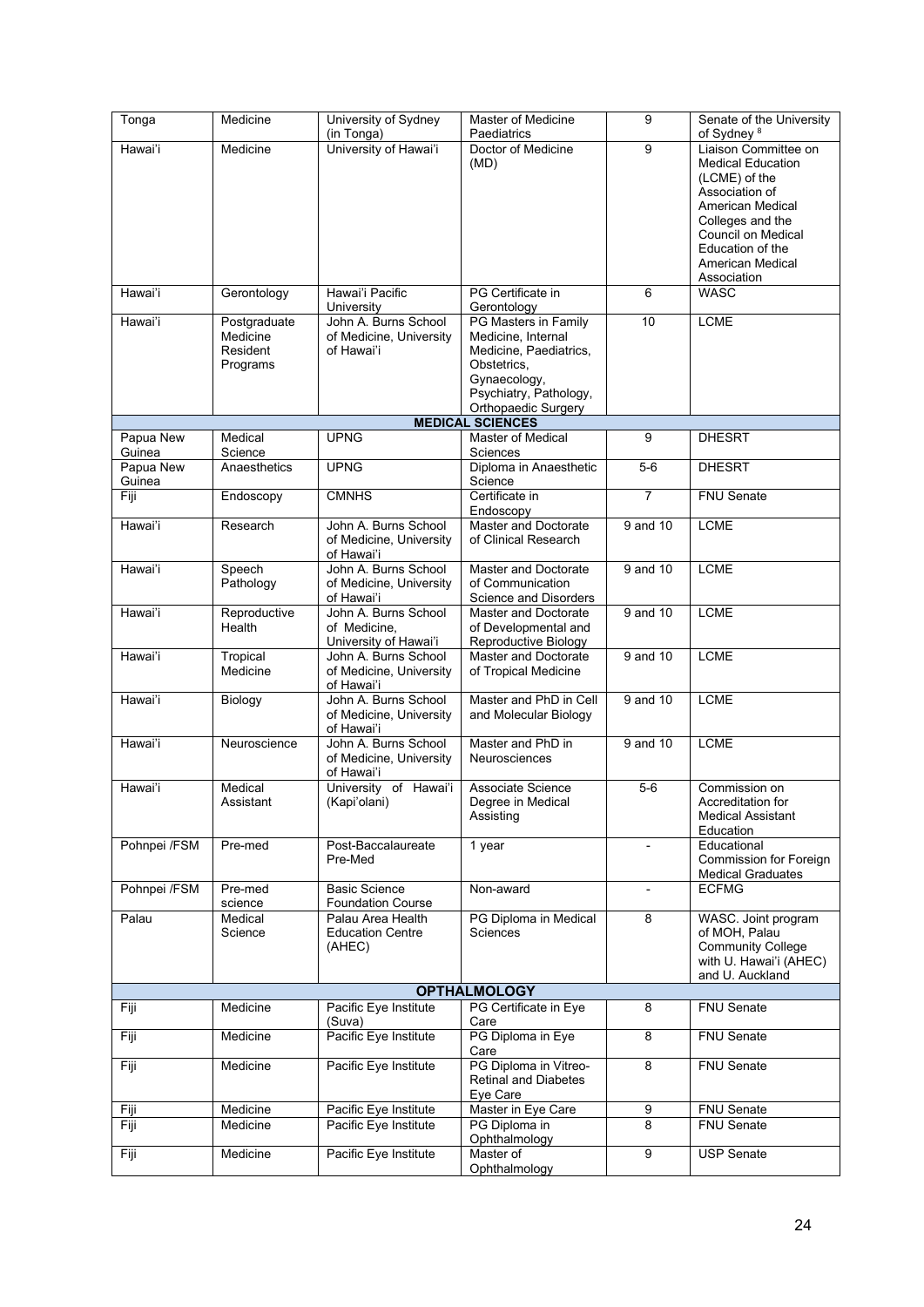| Tonga               | Medicine                                         | University of Sydney<br>(in Tonga)                            | Master of Medicine<br>Paediatrics                                                                                                                    | 9                        | Senate of the University<br>of Sydney <sup>8</sup>                                                                                                                                                       |
|---------------------|--------------------------------------------------|---------------------------------------------------------------|------------------------------------------------------------------------------------------------------------------------------------------------------|--------------------------|----------------------------------------------------------------------------------------------------------------------------------------------------------------------------------------------------------|
| Hawai'i             | Medicine                                         | University of Hawai'i                                         | Doctor of Medicine<br>(MD)                                                                                                                           | $\boldsymbol{9}$         | Liaison Committee on<br><b>Medical Education</b><br>(LCME) of the<br>Association of<br>American Medical<br>Colleges and the<br>Council on Medical<br>Education of the<br>American Medical<br>Association |
| Hawai'i             | Gerontology                                      | Hawai'i Pacific<br>University                                 | PG Certificate in<br>Gerontology                                                                                                                     | $6\phantom{1}$           | <b>WASC</b>                                                                                                                                                                                              |
| Hawai'i             | Postgraduate<br>Medicine<br>Resident<br>Programs | John A. Burns School<br>of Medicine, University<br>of Hawai'i | PG Masters in Family<br>Medicine. Internal<br>Medicine, Paediatrics,<br>Obstetrics,<br>Gynaecology,<br>Psychiatry, Pathology,<br>Orthopaedic Surgery | 10                       | <b>LCME</b>                                                                                                                                                                                              |
|                     |                                                  |                                                               | <b>MEDICAL SCIENCES</b>                                                                                                                              |                          |                                                                                                                                                                                                          |
| Papua New<br>Guinea | Medical<br>Science                               | <b>UPNG</b>                                                   | <b>Master of Medical</b><br>Sciences                                                                                                                 | 9                        | <b>DHESRT</b>                                                                                                                                                                                            |
| Papua New<br>Guinea | Anaesthetics                                     | <b>UPNG</b>                                                   | Diploma in Anaesthetic<br>Science                                                                                                                    | $5-6$                    | <b>DHESRT</b>                                                                                                                                                                                            |
| Fiji                | Endoscopy                                        | <b>CMNHS</b>                                                  | Certificate in<br>Endoscopy                                                                                                                          | $\overline{7}$           | <b>FNU Senate</b>                                                                                                                                                                                        |
| Hawai'i             | Research                                         | John A. Burns School<br>of Medicine, University<br>of Hawai'i | Master and Doctorate<br>of Clinical Research                                                                                                         | 9 and 10                 | <b>LCME</b>                                                                                                                                                                                              |
| Hawai'i             | Speech<br>Pathology                              | John A. Burns School<br>of Medicine, University<br>of Hawai'i | Master and Doctorate<br>of Communication<br>Science and Disorders                                                                                    | 9 and 10                 | <b>LCME</b>                                                                                                                                                                                              |
| Hawai'i             | Reproductive<br>Health                           | John A. Burns School<br>of Medicine,<br>University of Hawai'i | Master and Doctorate<br>of Developmental and<br>Reproductive Biology                                                                                 | 9 and 10                 | LCME                                                                                                                                                                                                     |
| Hawai'i             | Tropical<br>Medicine                             | John A. Burns School<br>of Medicine, University<br>of Hawai'i | Master and Doctorate<br>of Tropical Medicine                                                                                                         | 9 and 10                 | <b>LCME</b>                                                                                                                                                                                              |
| Hawai'i             | Biology                                          | John A. Burns School<br>of Medicine, University<br>of Hawai'i | Master and PhD in Cell<br>and Molecular Biology                                                                                                      | 9 and 10                 | <b>LCME</b>                                                                                                                                                                                              |
| Hawai'i             | Neuroscience                                     | John A. Burns School<br>of Medicine, University<br>of Hawai'i | Master and PhD in<br>Neurosciences                                                                                                                   | 9 and 10                 | <b>LCME</b>                                                                                                                                                                                              |
| Hawai'i             | Medical<br>Assistant                             | University of Hawai'i<br>(Kapi'olani)                         | Associate Science<br>Degree in Medical<br>Assisting                                                                                                  | $5-6$                    | Commission on<br>Accreditation for<br><b>Medical Assistant</b><br>Education                                                                                                                              |
| Pohnpei /FSM        | Pre-med                                          | Post-Baccalaureate<br>Pre-Med                                 | 1 year                                                                                                                                               | $\overline{\phantom{a}}$ | Educational<br><b>Commission for Foreign</b><br><b>Medical Graduates</b>                                                                                                                                 |
| Pohnpei /FSM        | Pre-med<br>science                               | <b>Basic Science</b><br><b>Foundation Course</b>              | Non-award                                                                                                                                            |                          | <b>ECFMG</b>                                                                                                                                                                                             |
| Palau               | Medical<br>Science                               | Palau Area Health<br><b>Education Centre</b><br>(AHEC)        | PG Diploma in Medical<br>Sciences                                                                                                                    | 8                        | WASC. Joint program<br>of MOH, Palau<br><b>Community College</b><br>with U. Hawai'i (AHEC)<br>and U. Auckland                                                                                            |
|                     |                                                  |                                                               | <b>OPTHALMOLOGY</b>                                                                                                                                  |                          |                                                                                                                                                                                                          |
| Fiji                | Medicine                                         | Pacific Eye Institute<br>(Suva)                               | PG Certificate in Eye<br>Care                                                                                                                        | 8                        | <b>FNU Senate</b>                                                                                                                                                                                        |
| Fiji                | Medicine                                         | Pacific Eye Institute                                         | PG Diploma in Eye<br>Care                                                                                                                            | $\overline{8}$           | <b>FNU Senate</b>                                                                                                                                                                                        |
| Fiji                | Medicine                                         | Pacific Eye Institute                                         | PG Diploma in Vitreo-<br>Retinal and Diabetes<br>Eye Care                                                                                            | 8                        | FNU Senate                                                                                                                                                                                               |
| Fiji                | Medicine                                         | Pacific Eye Institute                                         | Master in Eye Care                                                                                                                                   | 9                        | FNU Senate                                                                                                                                                                                               |
| Fiji                | Medicine                                         | Pacific Eye Institute                                         | PG Diploma in<br>Ophthalmology                                                                                                                       | 8                        | FNU Senate                                                                                                                                                                                               |
| Fiji                | Medicine                                         | Pacific Eye Institute                                         | Master of<br>Ophthalmology                                                                                                                           | 9                        | <b>USP Senate</b>                                                                                                                                                                                        |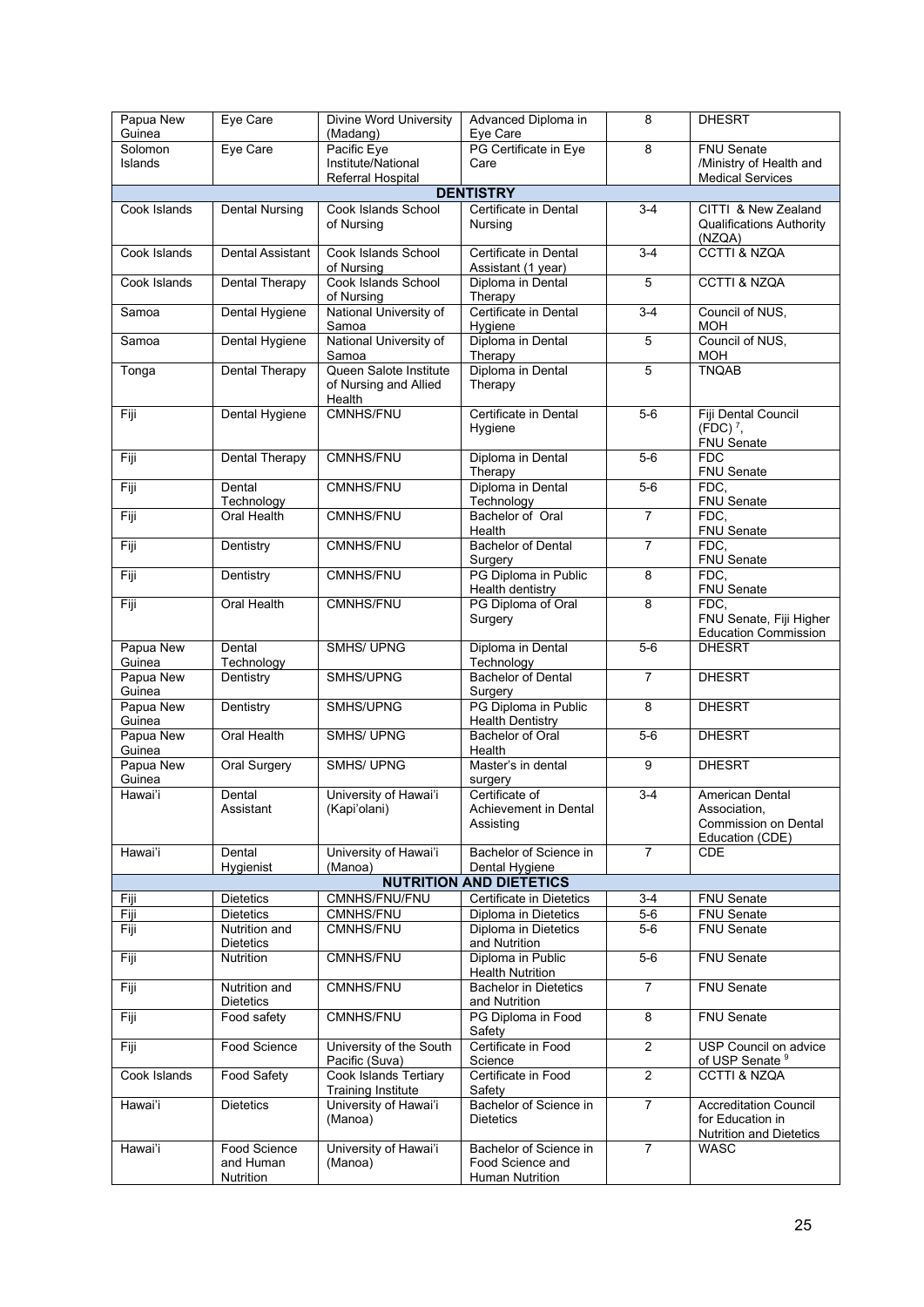| Papua New<br>Guinea | Eye Care                | Divine Word University<br>(Madang) | Advanced Diploma in<br>Eye Care         | 8              | <b>DHESRT</b>                                          |
|---------------------|-------------------------|------------------------------------|-----------------------------------------|----------------|--------------------------------------------------------|
| Solomon             | Eye Care                | Pacific Eye                        | PG Certificate in Eye<br>8              |                | FNU Senate                                             |
| Islands             | Institute/National      |                                    | Care                                    |                | /Ministry of Health and                                |
|                     |                         | Referral Hospital                  |                                         |                | <b>Medical Services</b>                                |
|                     |                         |                                    | <b>DENTISTRY</b>                        |                |                                                        |
|                     |                         |                                    |                                         |                |                                                        |
| Cook Islands        | <b>Dental Nursing</b>   | Cook Islands School<br>of Nursing  | Certificate in Dental                   | $3-4$          | CITTI & New Zealand<br><b>Qualifications Authority</b> |
| Nursing             |                         |                                    |                                         |                | (NZQA)                                                 |
| Cook Islands        | <b>Dental Assistant</b> | Cook Islands School                | Certificate in Dental                   | $3-4$          | CCTTI & NZQA                                           |
|                     |                         |                                    |                                         |                |                                                        |
| Cook Islands        | <b>Dental Therapy</b>   | of Nursing<br>Cook Islands School  | Assistant (1 year)<br>Diploma in Dental | $\overline{5}$ | <b>CCTTI &amp; NZQA</b>                                |
|                     |                         | of Nursing                         |                                         |                |                                                        |
|                     | Dental Hygiene          | National University of             | Therapy<br>Certificate in Dental        | $3 - 4$        | Council of NUS,                                        |
| Samoa               |                         | Samoa                              | Hygiene                                 |                | MOH                                                    |
| Samoa               | Dental Hygiene          | National University of             | Diploma in Dental                       | 5              | Council of NUS,                                        |
|                     |                         | Samoa                              | Therapy                                 |                | <b>MOH</b>                                             |
|                     | <b>Dental Therapy</b>   | Queen Salote Institute             | Diploma in Dental                       | $\overline{5}$ | <b>TNQAB</b>                                           |
| Tonga               |                         |                                    | Therapy                                 |                |                                                        |
|                     |                         | of Nursing and Allied<br>Health    |                                         |                |                                                        |
| Fiji                | Dental Hygiene          | <b>CMNHS/FNU</b>                   | Certificate in Dental                   | $5-6$          | Fiji Dental Council                                    |
|                     |                         |                                    | Hygiene                                 |                | $(FDC)^7$ ,                                            |
|                     |                         |                                    |                                         |                | <b>FNU Senate</b>                                      |
| Fiji                | <b>Dental Therapy</b>   | <b>CMNHS/FNU</b>                   | Diploma in Dental                       | $5-6$          | <b>FDC</b>                                             |
|                     |                         |                                    | Therapy                                 |                | FNU Senate                                             |
| Fiji                | Dental                  | <b>CMNHS/FNU</b>                   | Diploma in Dental                       | $5-6$          | FDC.                                                   |
|                     | Technology              |                                    | Technology                              |                | FNU Senate                                             |
| Fiji                | Oral Health             | <b>CMNHS/FNU</b>                   | Bachelor of Oral                        | $\overline{7}$ | FDC,                                                   |
|                     |                         |                                    | Health                                  |                |                                                        |
|                     |                         |                                    | <b>Bachelor of Dental</b>               | $\overline{7}$ | FNU Senate<br>FDC,                                     |
| Fiji                | Dentistry               | CMNHS/FNU                          |                                         |                |                                                        |
|                     |                         |                                    | Surgery                                 |                | FNU Senate                                             |
| Fiji                | Dentistry               | CMNHS/FNU                          | PG Diploma in Public                    | 8              | FDC,                                                   |
|                     |                         |                                    | Health dentistry                        | $\overline{8}$ | FNU Senate                                             |
| Fiji                | Oral Health             | CMNHS/FNU                          | PG Diploma of Oral                      |                | FDC.                                                   |
|                     |                         |                                    | Surgery                                 |                | FNU Senate, Fiji Higher                                |
|                     |                         |                                    |                                         | $5-6$          | <b>Education Commission</b>                            |
| Papua New           | Dental                  | <b>SMHS/ UPNG</b>                  | Diploma in Dental                       |                | <b>DHESRT</b>                                          |
| Guinea              | Technology              |                                    | Technology                              |                |                                                        |
| Papua New           | Dentistry               | SMHS/UPNG                          | <b>Bachelor of Dental</b>               | $\overline{7}$ | <b>DHESRT</b>                                          |
| Guinea              |                         |                                    | Surgery                                 |                |                                                        |
| Papua New           | Dentistry               | SMHS/UPNG                          | PG Diploma in Public                    | 8              | <b>DHESRT</b>                                          |
| Guinea              |                         |                                    | <b>Health Dentistry</b>                 |                |                                                        |
| Papua New           | Oral Health             | <b>SMHS/ UPNG</b>                  | Bachelor of Oral                        | $5-6$          | <b>DHESRT</b>                                          |
| Guinea              |                         |                                    | Health                                  | 9              |                                                        |
| Papua New           | <b>Oral Surgery</b>     | <b>SMHS/ UPNG</b>                  | Master's in dental                      |                | <b>DHESRT</b>                                          |
| Guinea              |                         |                                    | surgery                                 | $3-4$          |                                                        |
| Hawai'i             | Dental                  | University of Hawai'i              | Certificate of                          |                | American Dental                                        |
|                     | Assistant               | (Kapı'olanı)                       | Achievement in Dental                   |                | Association,                                           |
|                     |                         |                                    | Assisting                               |                | <b>Commission on Dental</b>                            |
| Hawai'i             | Dental                  | University of Hawai'i              | Bachelor of Science in                  | $\overline{7}$ | Education (CDE)<br>CDE                                 |
|                     |                         |                                    |                                         |                |                                                        |
|                     | Hygienist               | (Manoa)                            | Dental Hygiene                          |                |                                                        |
|                     |                         |                                    | <b>NUTRITION AND DIETETICS</b>          |                |                                                        |
| Fiji                | <b>Dietetics</b>        | CMNHS/FNU/FNU                      | Certificate in Dietetics                | 3-4            | FNU Senate                                             |
| Fiji                | <b>Dietetics</b>        | CMNHS/FNU                          | Diploma in Dietetics                    | $5-6$          | FNU Senate                                             |
| Fiji                | Nutrition and           | CMNHS/FNU                          | Diploma in Dietetics                    | $5-6$          | FNU Senate                                             |
|                     | <b>Dietetics</b>        |                                    | and Nutrition                           |                |                                                        |
| Fiji                | Nutrition               | <b>CMNHS/FNU</b>                   | Diploma in Public                       | $5-6$          | FNU Senate                                             |
|                     |                         |                                    | <b>Health Nutrition</b>                 |                |                                                        |
| Fiji                | Nutrition and           | CMNHS/FNU                          | <b>Bachelor</b> in Dietetics            | $\overline{7}$ | FNU Senate                                             |
|                     | <b>Dietetics</b>        |                                    | and Nutrition                           |                |                                                        |
| Fiji                | Food safety             | CMNHS/FNU                          | PG Diploma in Food                      | 8              | FNU Senate                                             |
|                     |                         |                                    | Safety                                  |                |                                                        |
| Fiji                | Food Science            | University of the South            | Certificate in Food                     | $\overline{2}$ | <b>USP</b> Council on advice                           |
|                     |                         | Pacific (Suva)                     | Science                                 |                | of USP Senate 9                                        |
| Cook Islands        | Food Safety             | Cook Islands Tertiary              | Certificate in Food                     | $\overline{2}$ | <b>CCTTI &amp; NZQA</b>                                |
|                     |                         | <b>Training Institute</b>          | Safety                                  |                |                                                        |
| Hawai'i             | <b>Dietetics</b>        | University of Hawai'i              | Bachelor of Science in                  | $\overline{7}$ | <b>Accreditation Council</b>                           |
|                     |                         | (Manoa)                            | <b>Dietetics</b>                        |                | for Education in                                       |
|                     |                         |                                    |                                         |                | <b>Nutrition and Dietetics</b>                         |
| Hawai'i             | Food Science            | University of Hawai'i              | Bachelor of Science in                  | $\overline{7}$ | <b>WASC</b>                                            |
|                     | and Human               | (Manoa)                            | Food Science and                        |                |                                                        |
|                     | Nutrition               |                                    | Human Nutrition                         |                |                                                        |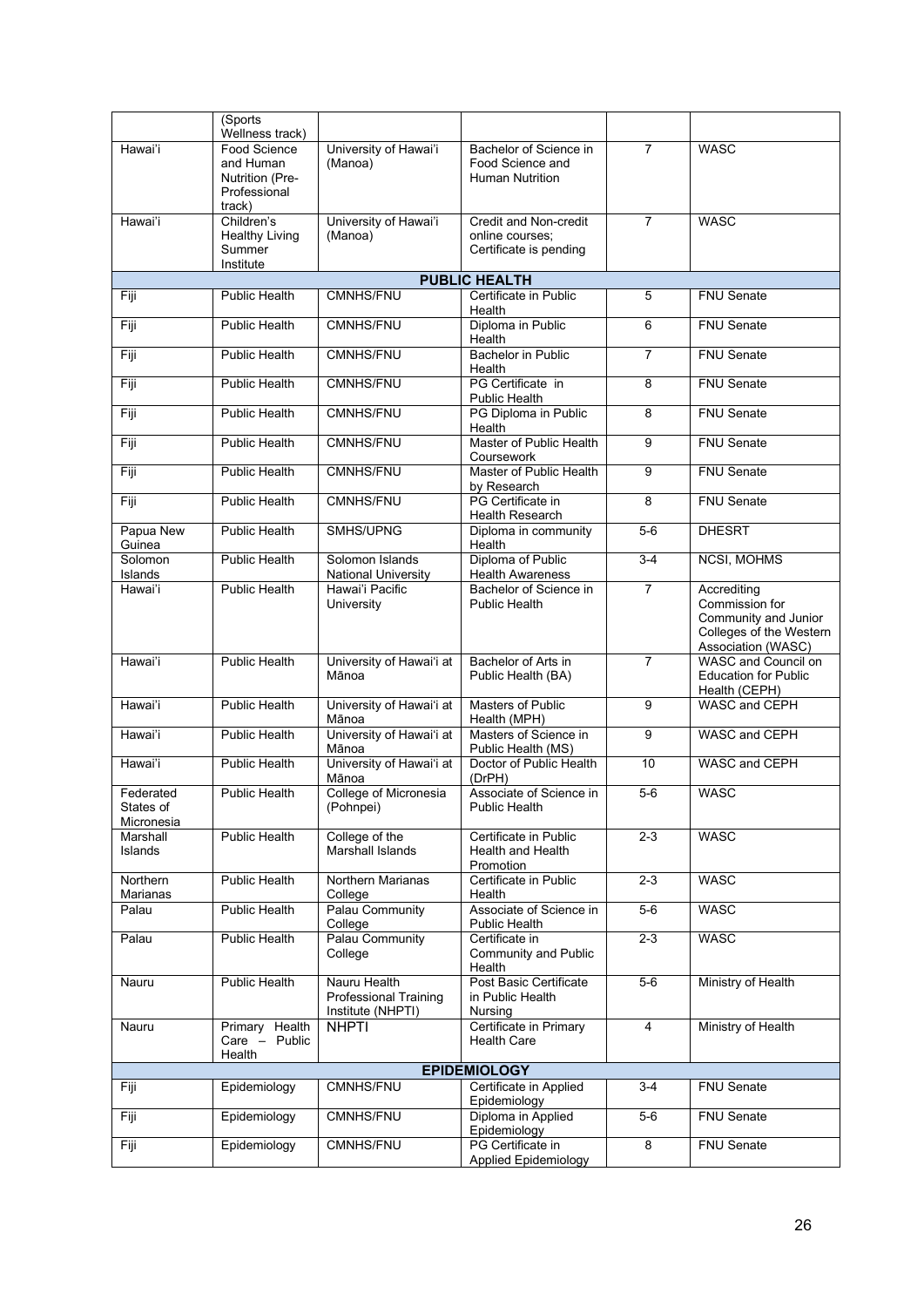|                                      | (Sports<br>Wellness track)                                             |                                                                   |                                                                      |                  |                                                                                                        |
|--------------------------------------|------------------------------------------------------------------------|-------------------------------------------------------------------|----------------------------------------------------------------------|------------------|--------------------------------------------------------------------------------------------------------|
| Hawai'i                              | Food Science<br>and Human<br>Nutrition (Pre-<br>Professional<br>track) | University of Hawai'i<br>(Manoa)                                  | Bachelor of Science in<br>Food Science and<br><b>Human Nutrition</b> | $\overline{7}$   | <b>WASC</b>                                                                                            |
| Hawai'i                              | Children's<br><b>Healthy Living</b><br>Summer<br>Institute             | University of Hawai'i<br>(Manoa)                                  | Credit and Non-credit<br>online courses;<br>Certificate is pending   | $\overline{7}$   | <b>WASC</b>                                                                                            |
|                                      |                                                                        |                                                                   | <b>PUBLIC HEALTH</b>                                                 |                  |                                                                                                        |
| Fiji                                 | Public Health                                                          | <b>CMNHS/FNU</b>                                                  | Certificate in Public<br>Health                                      | 5                | <b>FNU Senate</b>                                                                                      |
| Fiji                                 | <b>Public Health</b>                                                   | <b>CMNHS/FNU</b>                                                  | Diploma in Public<br>Health                                          | 6                | <b>FNU Senate</b>                                                                                      |
| Fiji                                 | <b>Public Health</b>                                                   | CMNHS/FNU                                                         | <b>Bachelor in Public</b><br>Health                                  | $\overline{7}$   | <b>FNU Senate</b>                                                                                      |
| Fiji                                 | <b>Public Health</b>                                                   | <b>CMNHS/FNU</b>                                                  | PG Certificate in<br>Public Health                                   | 8                | <b>FNU Senate</b>                                                                                      |
| Fiji                                 | <b>Public Health</b>                                                   | CMNHS/FNU                                                         | PG Diploma in Public<br>Health                                       | 8                | <b>FNU Senate</b>                                                                                      |
| Fiji                                 | <b>Public Health</b>                                                   | <b>CMNHS/FNU</b>                                                  | Master of Public Health<br>Coursework                                | 9                | <b>FNU Senate</b>                                                                                      |
| Fiji                                 | Public Health                                                          | CMNHS/FNU                                                         | Master of Public Health<br>by Research                               | 9                | <b>FNU Senate</b>                                                                                      |
| Fiji                                 | <b>Public Health</b>                                                   | CMNHS/FNU                                                         | PG Certificate in<br>Health Research                                 | 8                | <b>FNU Senate</b>                                                                                      |
| Papua New<br>Guinea                  | <b>Public Health</b>                                                   | SMHS/UPNG                                                         | Diploma in community<br>Health                                       | $5-6$            | <b>DHESRT</b>                                                                                          |
| Solomon<br>Islands                   | <b>Public Health</b>                                                   | Solomon Islands<br><b>National University</b>                     | Diploma of Public<br><b>Health Awareness</b>                         | $3-4$            | NCSI, MOHMS                                                                                            |
| Hawai'i                              | <b>Public Health</b>                                                   | Hawai'i Pacific<br>University                                     | Bachelor of Science in<br>Public Health                              | $\overline{7}$   | Accrediting<br>Commission for<br>Community and Junior<br>Colleges of the Western<br>Association (WASC) |
| Hawai'i                              | <b>Public Health</b>                                                   | University of Hawai'i at<br>Mānoa                                 | Bachelor of Arts in<br>Public Health (BA)                            | $\overline{7}$   | <b>WASC</b> and Council on<br><b>Education for Public</b><br>Health (CEPH)                             |
| Hawai'i                              | <b>Public Health</b>                                                   | University of Hawai'i at<br>Mānoa                                 | <b>Masters of Public</b><br>Health (MPH)                             | 9                | WASC and CEPH                                                                                          |
| Hawai'i                              | <b>Public Health</b>                                                   | University of Hawai'i at<br>Mānoa                                 | Masters of Science in<br>Public Health (MS)                          | 9                | WASC and CEPH                                                                                          |
| Hawai'i                              | Public Health                                                          | University of Hawai'i at<br>Mānoa                                 | Doctor of Public Health<br>(DrPH)                                    | 10 <sup>10</sup> | WASC and CEPH                                                                                          |
| Federated<br>States of<br>Micronesia | <b>Public Health</b>                                                   | College of Micronesia<br>(Pohnpei)                                | Associate of Science in<br>Public Health                             | $5-6$            | <b>WASC</b>                                                                                            |
| Marshall<br>Islands                  | Public Health                                                          | College of the<br>Marshall Islands                                | Certificate in Public<br>Health and Health<br>Promotion              | $2 - 3$          | <b>WASC</b>                                                                                            |
| Northern<br>Marianas                 | Public Health                                                          | Northern Marianas<br>College                                      | Certificate in Public<br>Health                                      | $2 - 3$          | <b>WASC</b>                                                                                            |
| Palau                                | Public Health                                                          | Palau Community<br>College                                        | Associate of Science in<br>Public Health                             | $5-6$            | <b>WASC</b>                                                                                            |
| Palau                                | Public Health                                                          | Palau Community<br>College                                        | Certificate in<br>Community and Public<br>Health                     | $2 - 3$          | WASC                                                                                                   |
| Nauru                                | Public Health                                                          | Nauru Health<br><b>Professional Training</b><br>Institute (NHPTI) | Post Basic Certificate<br>in Public Health<br>Nursing                | $5-6$            | Ministry of Health                                                                                     |
| Nauru                                | Primary Health<br>Care $-$ Public<br>Health                            | <b>NHPTI</b>                                                      | Certificate in Primary<br><b>Health Care</b>                         | 4                | Ministry of Health                                                                                     |
|                                      |                                                                        |                                                                   | <b>EPIDEMIOLOGY</b>                                                  |                  |                                                                                                        |
| Fiji                                 | Epidemiology                                                           | CMNHS/FNU                                                         | Certificate in Applied<br>Epidemiology                               | $3 - 4$          | FNU Senate                                                                                             |
| Fiji                                 | Epidemiology                                                           | <b>CMNHS/FNU</b>                                                  | Diploma in Applied<br>Epidemiology                                   | $5-6$            | FNU Senate                                                                                             |
| Fiji                                 | Epidemiology                                                           | CMNHS/FNU                                                         | PG Certificate in<br><b>Applied Epidemiology</b>                     | 8                | FNU Senate                                                                                             |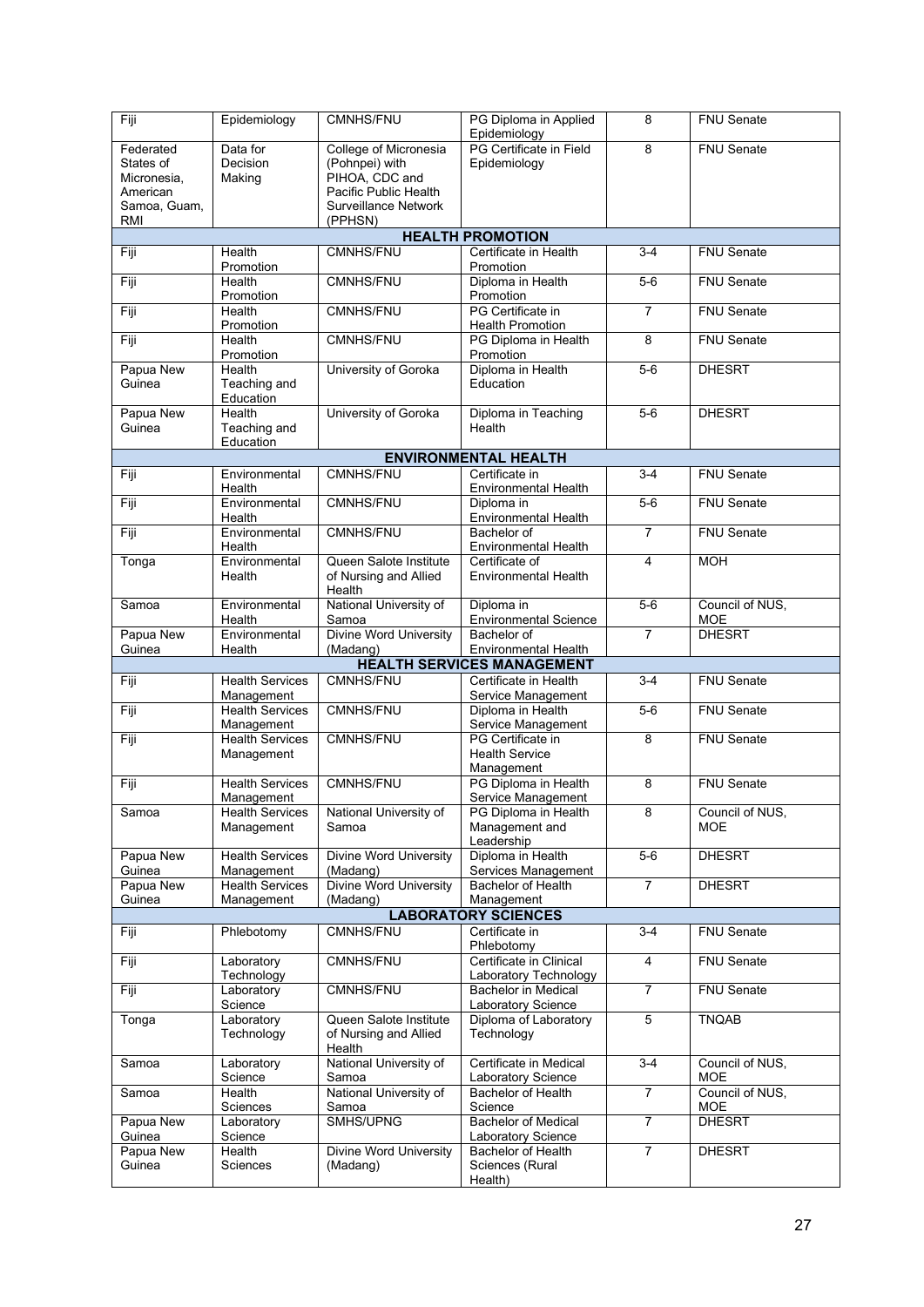| Fiji                | Epidemiology                         | <b>CMNHS/FNU</b>                                     | PG Diploma in Applied<br>Epidemiology                            | 8              | <b>FNU Senate</b>           |  |
|---------------------|--------------------------------------|------------------------------------------------------|------------------------------------------------------------------|----------------|-----------------------------|--|
| Federated           | Data for                             | College of Micronesia                                | PG Certificate in Field                                          | $\overline{8}$ | <b>FNU Senate</b>           |  |
| States of           | (Pohnpei) with<br>Decision           |                                                      | Epidemiology                                                     |                |                             |  |
| Micronesia,         | PIHOA, CDC and<br>Making             |                                                      |                                                                  |                |                             |  |
| American            |                                      | Pacific Public Health<br><b>Surveillance Network</b> |                                                                  |                |                             |  |
| RMI                 | Samoa, Guam,<br>(PPHSN)              |                                                      |                                                                  |                |                             |  |
|                     |                                      |                                                      | <b>HEALTH PROMOTION</b>                                          |                |                             |  |
| Fiji                | Health                               | <b>CMNHS/FNU</b>                                     | Certificate in Health                                            | $3-4$          | <b>FNU Senate</b>           |  |
| Fiji                | Promotion<br>Health                  | <b>CMNHS/FNU</b>                                     | Promotion<br>Diploma in Health                                   | $5-6$          | FNU Senate                  |  |
|                     | Promotion                            |                                                      | Promotion                                                        |                |                             |  |
| Fiji                | Health<br>Promotion                  | CMNHS/FNU                                            | PG Certificate in<br><b>Health Promotion</b>                     | $\overline{7}$ | <b>FNU Senate</b>           |  |
| Fiji                | Health<br>Promotion                  | CMNHS/FNU                                            | PG Diploma in Health<br>Promotion                                | 8              | <b>FNU</b> Senate           |  |
| Papua New           | Health                               | University of Goroka                                 | Diploma in Health                                                | $5-6$          | <b>DHESRT</b>               |  |
| Guinea              | Teaching and                         |                                                      | Education                                                        |                |                             |  |
| Papua New           | Education<br>Health                  | University of Goroka                                 | Diploma in Teaching                                              | $5-6$          | <b>DHESRT</b>               |  |
| Guinea              | Teaching and                         |                                                      | Health                                                           |                |                             |  |
|                     | Education                            |                                                      |                                                                  |                |                             |  |
|                     |                                      |                                                      | <b>ENVIRONMENTAL HEALTH</b>                                      |                |                             |  |
| Fiji                | Environmental<br>Health              | <b>CMNHS/FNU</b>                                     | Certificate in<br>Environmental Health                           | $3 - 4$        | <b>FNU</b> Senate           |  |
| Fiji                | Environmental                        | <b>CMNHS/FNU</b>                                     | Diploma in                                                       | $5-6$          | <b>FNU Senate</b>           |  |
|                     | Health                               |                                                      | Environmental Health                                             |                |                             |  |
| Fiji                | Environmental<br>Health              | <b>CMNHS/FNU</b>                                     | Bachelor of<br>Environmental Health                              | $\overline{7}$ | <b>FNU Senate</b>           |  |
| Tonga               | Environmental                        | Queen Salote Institute                               | Certificate of                                                   | 4              | <b>MOH</b>                  |  |
|                     | Health                               | of Nursing and Allied<br>Health                      | <b>Environmental Health</b>                                      |                |                             |  |
| Samoa               | Environmental                        | National University of                               | Diploma in                                                       | $5-6$          | Council of NUS,             |  |
|                     | Health                               | Samoa                                                | <b>Environmental Science</b>                                     |                | <b>MOE</b>                  |  |
| Papua New           | Environmental                        | Divine Word University                               | Bachelor of                                                      | $\overline{7}$ | <b>DHESRT</b>               |  |
| Guinea              | Health                               | (Madang)                                             | <b>Environmental Health</b><br><b>HEALTH SERVICES MANAGEMENT</b> |                |                             |  |
| Fiji                | <b>Health Services</b>               | <b>CMNHS/FNU</b>                                     | Certificate in Health                                            | $3 - 4$        | <b>FNU Senate</b>           |  |
|                     | Management                           |                                                      | Service Management                                               |                |                             |  |
| Fiji                | <b>Health Services</b><br>Management | <b>CMNHS/FNU</b>                                     | Diploma in Health<br>Service Management                          | $5-6$          | <b>FNU Senate</b>           |  |
| Fiji                | <b>Health Services</b>               | CMNHS/FNU                                            | PG Certificate in                                                | 8              | FNU Senate                  |  |
|                     | Management                           |                                                      | <b>Health Service</b><br>Management                              |                |                             |  |
| Fiji                | <b>Health Services</b>               | CMNHS/FNU                                            | PG Diploma in Health                                             | 8              | FNU Senate                  |  |
|                     | Management                           |                                                      | Service Management                                               |                |                             |  |
| Samoa               | <b>Health Services</b>               | National University of                               | PG Diploma in Health                                             | 8              | Council of NUS,             |  |
|                     | Management                           | Samoa                                                | Management and<br>Leadership                                     |                | <b>MOE</b>                  |  |
| Papua New           | <b>Health Services</b>               | Divine Word University                               | Diploma in Health                                                | $5-6$          | <b>DHESRT</b>               |  |
| Guinea<br>Papua New | Management<br><b>Health Services</b> | (Madang)<br><b>Divine Word University</b>            | Services Management<br><b>Bachelor of Health</b>                 | $\overline{7}$ | <b>DHESRT</b>               |  |
| Guinea              | Management                           | (Madang)                                             | Management                                                       |                |                             |  |
|                     |                                      |                                                      | <b>LABORATORY SCIENCES</b>                                       |                |                             |  |
| Fiji                | Phlebotomy                           | CMNHS/FNU                                            | Certificate in<br>Phlebotomv                                     | $3-4$          | FNU Senate                  |  |
| Fiji                | Laboratory<br>Technology             | CMNHS/FNU                                            | Certificate in Clinical<br>Laboratory Technology                 | 4              | FNU Senate                  |  |
| Fiji                | Laboratory                           | CMNHS/FNU                                            | <b>Bachelor in Medical</b>                                       | $\overline{7}$ | FNU Senate                  |  |
|                     | Science                              | Queen Salote Institute                               | Laboratory Science                                               | 5              |                             |  |
| Tonga               | Laboratory<br>Technology             | of Nursing and Allied<br>Health                      | Diploma of Laboratory<br>Technology                              |                | <b>TNQAB</b>                |  |
| Samoa               | Laboratory<br>Science                | National University of<br>Samoa                      | Certificate in Medical<br>Laboratory Science                     | $3 - 4$        | Council of NUS,<br>MOE      |  |
| Samoa               | Health                               | National University of                               | <b>Bachelor of Health</b>                                        | $\overline{7}$ | Council of NUS,             |  |
| Papua New           | Sciences<br>Laboratory               | Samoa<br>SMHS/UPNG                                   | Science<br><b>Bachelor of Medical</b>                            | $\overline{7}$ | <b>MOE</b><br><b>DHESRT</b> |  |
| Guinea              | Science                              |                                                      | Laboratory Science                                               |                |                             |  |
| Papua New           | Health                               | Divine Word University                               | Bachelor of Health                                               | $\overline{7}$ | <b>DHESRT</b>               |  |
| Guinea              | Sciences                             | (Madang)                                             | Sciences (Rural<br>Health)                                       |                |                             |  |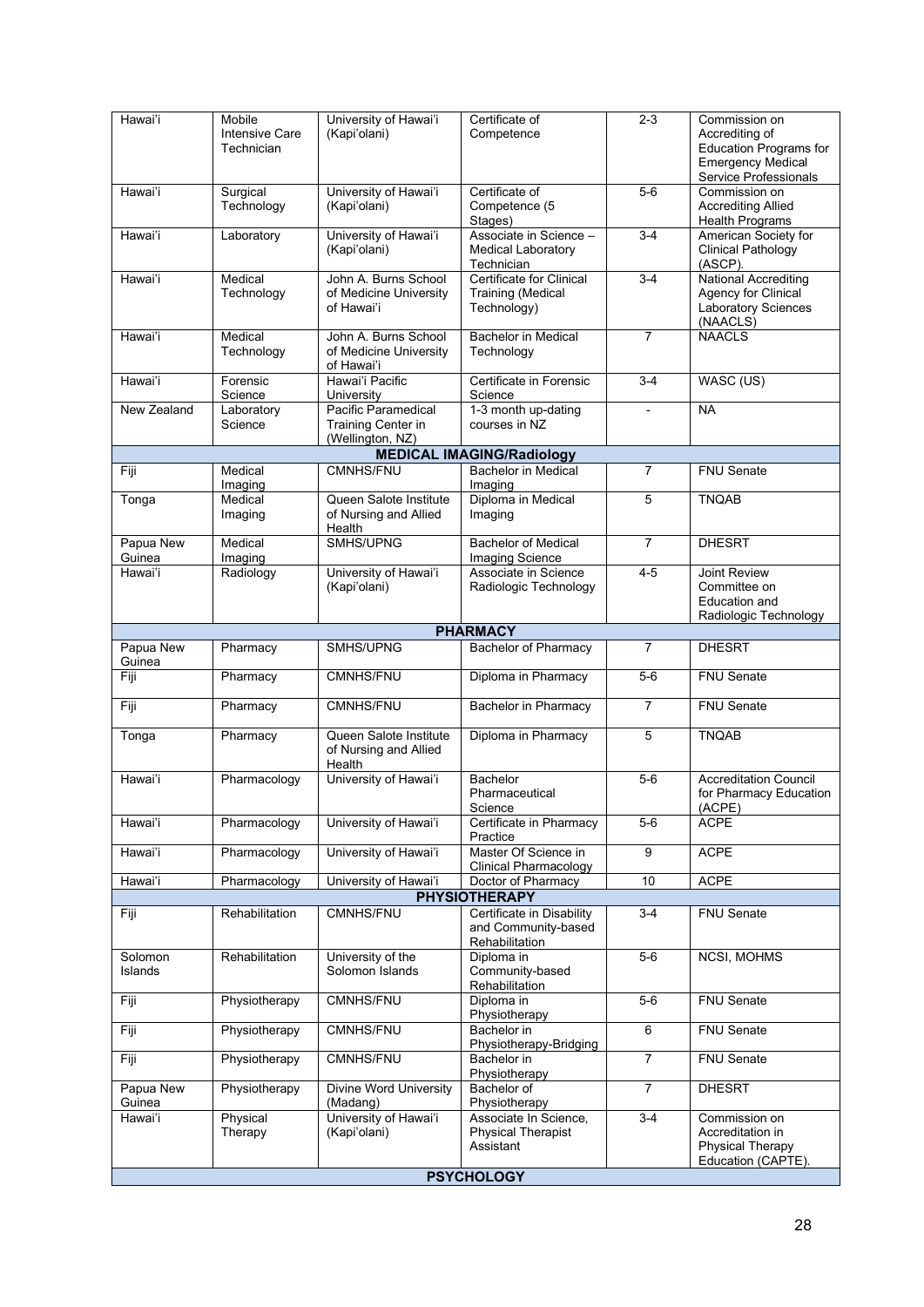| Hawai'i             | Mobile<br>Intensive Care<br>Technician | University of Hawai'i<br>(Kapi'olani)                         | Certificate of<br>Competence                                        | $2 - 3$        | Commission on<br>Accrediting of<br><b>Education Programs for</b><br><b>Emergency Medical</b><br>Service Professionals |  |
|---------------------|----------------------------------------|---------------------------------------------------------------|---------------------------------------------------------------------|----------------|-----------------------------------------------------------------------------------------------------------------------|--|
| Hawai'i             | Surgical<br>Technology                 | University of Hawai'i<br>(Kapi'olani)                         | Certificate of<br>Competence (5<br>Stages)                          | $5-6$          | Commission on<br><b>Accrediting Allied</b><br><b>Health Programs</b>                                                  |  |
| Hawai'i             | Laboratory                             | University of Hawai'i<br>(Kapi'olani)                         | Associate in Science -<br><b>Medical Laboratory</b><br>Technician   | $3-4$          | American Society for<br><b>Clinical Pathology</b><br>(ASCP).                                                          |  |
| Hawai'i             | Medical<br>Technology                  | John A. Burns School<br>of Medicine University<br>of Hawai'i  | Certificate for Clinical<br><b>Training (Medical</b><br>Technology) | $3 - 4$        | <b>National Accrediting</b><br>Agency for Clinical<br>Laboratory Sciences<br>(NAACLS)                                 |  |
| Hawai'i             | Medical<br>Technology                  | John A. Burns School<br>of Medicine University<br>of Hawai'i  | <b>Bachelor in Medical</b><br>Technology                            | $\overline{7}$ | <b>NAACLS</b>                                                                                                         |  |
| Hawai'i             | Forensic<br>Science                    | Hawai'i Pacific<br>University                                 | Certificate in Forensic<br>Science                                  | $3-4$          | WASC (US)                                                                                                             |  |
| New Zealand         | Laboratory<br>Science                  | Pacific Paramedical<br>Training Center in<br>(Wellington, NZ) | 1-3 month up-dating<br>courses in NZ                                | ÷,             | <b>NA</b>                                                                                                             |  |
|                     |                                        |                                                               | <b>MEDICAL IMAGING/Radiology</b>                                    |                |                                                                                                                       |  |
| Fiji                | Medical<br>Imaging                     | <b>CMNHS/FNU</b>                                              | Bachelor in Medical<br>Imaging                                      | $\overline{7}$ | <b>FNU Senate</b>                                                                                                     |  |
| Tonga               | Medical<br>Imaging                     | Queen Salote Institute<br>of Nursing and Allied<br>Health     | Diploma in Medical<br>Imaging                                       | 5              | <b>TNQAB</b>                                                                                                          |  |
| Papua New<br>Guinea | Medical<br>Imaging                     | SMHS/UPNG                                                     | <b>Bachelor of Medical</b><br>Imaging Science                       | $\overline{7}$ | <b>DHESRT</b>                                                                                                         |  |
| Hawai'i             | Radiology                              | University of Hawai'i<br>(Kapi'olani)                         | Associate in Science<br>Radiologic Technology                       | $4 - 5$        | <b>Joint Review</b><br>Committee on<br>Education and<br>Radiologic Technology                                         |  |
|                     |                                        |                                                               | <b>PHARMACY</b>                                                     |                |                                                                                                                       |  |
| Papua New           | Pharmacy                               | <b>SMHS/UPNG</b>                                              | <b>Bachelor of Pharmacy</b>                                         | $\overline{7}$ | <b>DHESRT</b>                                                                                                         |  |
| Guinea<br>Fiji      | Pharmacy                               | <b>CMNHS/FNU</b>                                              | Diploma in Pharmacy                                                 | $5-6$          | <b>FNU Senate</b>                                                                                                     |  |
| Fiji                | Pharmacy                               | CMNHS/FNU                                                     | <b>Bachelor in Pharmacy</b>                                         | $\overline{7}$ | <b>FNU Senate</b>                                                                                                     |  |
| Tonga               | Pharmacy                               | Queen Salote Institute<br>of Nursing and Allied<br>Health     | Diploma in Pharmacy                                                 | 5              | <b>TNQAB</b>                                                                                                          |  |
| Hawai'i             | Pharmacology                           | University of Hawai'i                                         | <b>Bachelor</b><br>Pharmaceutical<br>Science                        | $5-6$          | <b>Accreditation Council</b><br>for Pharmacy Education<br>(ACPE)                                                      |  |
| Hawai'i             | Pharmacology                           | University of Hawai'i                                         | Certificate in Pharmacy<br>Practice                                 | $5-6$          | ACPE                                                                                                                  |  |
| Hawai'i             | Pharmacology                           | University of Hawai'i                                         | Master Of Science in<br><b>Clinical Pharmacology</b>                | 9              | <b>ACPE</b>                                                                                                           |  |
| Hawai'i             | Pharmacology                           | University of Hawai'i                                         | Doctor of Pharmacy                                                  | 10             | <b>ACPE</b>                                                                                                           |  |
|                     |                                        |                                                               | <b>PHYSIOTHERAPY</b>                                                |                |                                                                                                                       |  |
| Fiji                | Rehabilitation                         | <b>CMNHS/FNU</b>                                              | Certificate in Disability<br>and Community-based<br>Rehabilitation  | $3 - 4$        | FNU Senate                                                                                                            |  |
| Solomon<br>Islands  | Rehabilitation                         | University of the<br>Solomon Islands                          | Diploma in<br>Community-based<br>Rehabilitation                     | $5-6$          | NCSI, MOHMS                                                                                                           |  |
| Fiji                | Physiotherapy                          | CMNHS/FNU                                                     | Diploma in<br>Physiotherapy                                         | $5-6$          | FNU Senate                                                                                                            |  |
| Fiji                | Physiotherapy                          | CMNHS/FNU                                                     | Bachelor in<br>Physiotherapy-Bridging                               | 6              | FNU Senate                                                                                                            |  |
| Fiji                | Physiotherapy                          | CMNHS/FNU                                                     | Bachelor in<br>Physiotherapy                                        | $\overline{7}$ | FNU Senate                                                                                                            |  |
| Papua New<br>Guinea | Physiotherapy                          | Divine Word University<br>(Madang)                            | <b>Bachelor</b> of<br>Physiotherapy                                 | $\overline{7}$ | <b>DHESRT</b>                                                                                                         |  |
| Hawai'i             | Physical<br>Therapy                    | University of Hawai'i<br>(Kapi'olani)                         | Associate In Science,<br><b>Physical Therapist</b><br>Assistant     | $3-4$          | Commission on<br>Accreditation in<br><b>Physical Therapy</b><br>Education (CAPTE).                                    |  |
| <b>PSYCHOLOGY</b>   |                                        |                                                               |                                                                     |                |                                                                                                                       |  |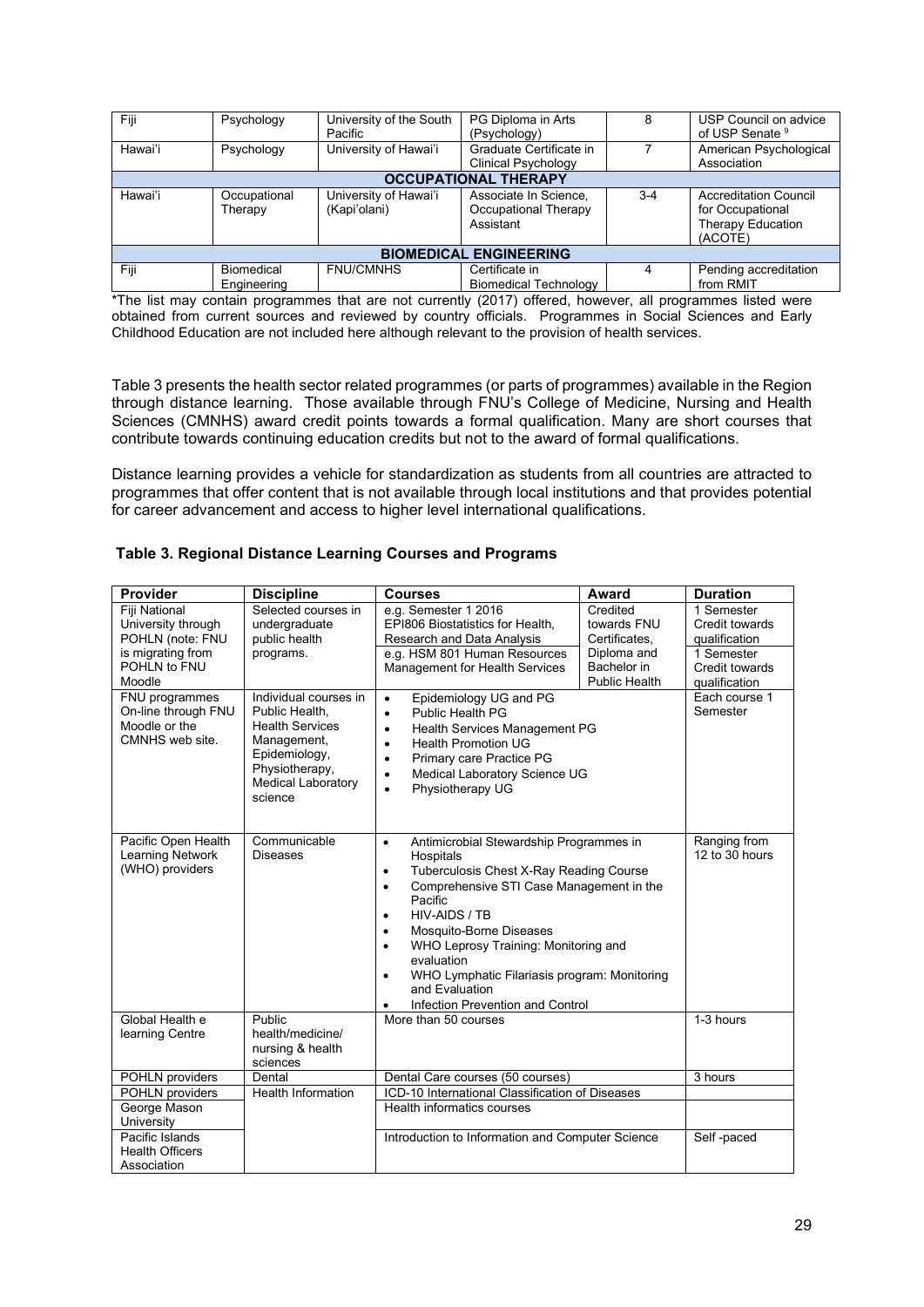| Fiji                          | Psychology        | University of the South | PG Diploma in Arts           |       | USP Council on advice        |  |
|-------------------------------|-------------------|-------------------------|------------------------------|-------|------------------------------|--|
|                               |                   |                         |                              |       |                              |  |
|                               |                   | Pacific                 | (Psychology)                 |       | of USP Senate 9              |  |
| Hawai'i                       | Psychology        | University of Hawai'i   | Graduate Certificate in      |       | American Psychological       |  |
|                               |                   |                         |                              |       |                              |  |
|                               |                   |                         | Clinical Psychology          |       | Association                  |  |
| <b>OCCUPATIONAL THERAPY</b>   |                   |                         |                              |       |                              |  |
|                               |                   |                         |                              |       |                              |  |
| Hawai'i                       | Occupational      | University of Hawai'i   | Associate In Science,        | $3-4$ | <b>Accreditation Council</b> |  |
|                               | Therapy           | (Kapi'olani)            | Occupational Therapy         |       | for Occupational             |  |
|                               |                   |                         |                              |       |                              |  |
|                               |                   |                         | Assistant                    |       | Therapy Education            |  |
|                               |                   |                         |                              |       |                              |  |
|                               |                   |                         |                              |       | (ACOTE)                      |  |
| <b>BIOMEDICAL ENGINEERING</b> |                   |                         |                              |       |                              |  |
| Fiji                          | <b>Biomedical</b> | <b>FNU/CMNHS</b>        | Certificate in               |       | Pending accreditation        |  |
|                               | Engineering       |                         | <b>Biomedical Technology</b> |       | from RMIT                    |  |
|                               |                   |                         |                              |       |                              |  |

\*The list may contain programmes that are not currently (2017) offered, however, all programmes listed were obtained from current sources and reviewed by country officials. Programmes in Social Sciences and Early Childhood Education are not included here although relevant to the provision of health services.

Table 3 presents the health sector related programmes (or parts of programmes) available in the Region through distance learning. Those available through FNU's College of Medicine, Nursing and Health Sciences (CMNHS) award credit points towards a formal qualification. Many are short courses that contribute towards continuing education credits but not to the award of formal qualifications.

Distance learning provides a vehicle for standardization as students from all countries are attracted to programmes that offer content that is not available through local institutions and that provides potential for career advancement and access to higher level international qualifications.

<span id="page-28-0"></span>

| Table 3. Regional Distance Learning Courses and Programs |  |
|----------------------------------------------------------|--|
|----------------------------------------------------------|--|

| <b>Provider</b>                                                                                                                                                                            | <b>Discipline</b>                                                                                                                                                                                                          | <b>Courses</b>                                                                                                                                                                                                                                                                                                                                                                                                                                                         | Award                                                                                          | <b>Duration</b>                                                                                                             |
|--------------------------------------------------------------------------------------------------------------------------------------------------------------------------------------------|----------------------------------------------------------------------------------------------------------------------------------------------------------------------------------------------------------------------------|------------------------------------------------------------------------------------------------------------------------------------------------------------------------------------------------------------------------------------------------------------------------------------------------------------------------------------------------------------------------------------------------------------------------------------------------------------------------|------------------------------------------------------------------------------------------------|-----------------------------------------------------------------------------------------------------------------------------|
| <b>Fiii National</b><br>University through<br>POHLN (note: FNU<br>is migrating from<br>POHLN to FNU<br>Moodle<br>FNU programmes<br>On-line through FNU<br>Moodle or the<br>CMNHS web site. | Selected courses in<br>undergraduate<br>public health<br>programs.<br>Individual courses in<br>Public Health,<br><b>Health Services</b><br>Management,<br>Epidemiology,<br>Physiotherapy,<br>Medical Laboratory<br>science | e.g. Semester 1 2016<br>EPI806 Biostatistics for Health,<br>Research and Data Analysis<br>e.g. HSM 801 Human Resources<br>Management for Health Services<br>Epidemiology UG and PG<br>$\bullet$<br>Public Health PG<br>$\bullet$<br>Health Services Management PG<br>$\bullet$<br><b>Health Promotion UG</b><br>$\bullet$<br>Primary care Practice PG<br>$\bullet$<br>Medical Laboratory Science UG<br>$\bullet$<br>Physiotherapy UG<br>$\bullet$                      | Credited<br>towards FNU<br>Certificates,<br>Diploma and<br>Bachelor in<br><b>Public Health</b> | 1 Semester<br>Credit towards<br>qualification<br>1 Semester<br>Credit towards<br>qualification<br>Each course 1<br>Semester |
| Pacific Open Health<br><b>Learning Network</b><br>(WHO) providers                                                                                                                          | Communicable<br><b>Diseases</b>                                                                                                                                                                                            | Antimicrobial Stewardship Programmes in<br>$\bullet$<br>Hospitals<br>Tuberculosis Chest X-Ray Reading Course<br>$\bullet$<br>Comprehensive STI Case Management in the<br>$\bullet$<br>Pacific<br>HIV-AIDS / TB<br>$\bullet$<br>Mosquito-Borne Diseases<br>$\bullet$<br>WHO Leprosy Training: Monitoring and<br>$\bullet$<br>evaluation<br>WHO Lymphatic Filariasis program: Monitoring<br>$\bullet$<br>and Evaluation<br>Infection Prevention and Control<br>$\bullet$ |                                                                                                | Ranging from<br>12 to 30 hours                                                                                              |
| Global Health e<br>learning Centre                                                                                                                                                         | Public<br>health/medicine/<br>nursing & health<br>sciences                                                                                                                                                                 | More than 50 courses                                                                                                                                                                                                                                                                                                                                                                                                                                                   |                                                                                                | 1-3 hours                                                                                                                   |
| POHLN providers                                                                                                                                                                            | Dental                                                                                                                                                                                                                     | Dental Care courses (50 courses)                                                                                                                                                                                                                                                                                                                                                                                                                                       |                                                                                                | 3 hours                                                                                                                     |
| POHLN providers                                                                                                                                                                            | <b>Health Information</b>                                                                                                                                                                                                  | ICD-10 International Classification of Diseases                                                                                                                                                                                                                                                                                                                                                                                                                        |                                                                                                |                                                                                                                             |
| George Mason<br>University                                                                                                                                                                 |                                                                                                                                                                                                                            | Health informatics courses                                                                                                                                                                                                                                                                                                                                                                                                                                             |                                                                                                |                                                                                                                             |
| Pacific Islands<br><b>Health Officers</b><br>Association                                                                                                                                   |                                                                                                                                                                                                                            | Introduction to Information and Computer Science                                                                                                                                                                                                                                                                                                                                                                                                                       |                                                                                                | Self-paced                                                                                                                  |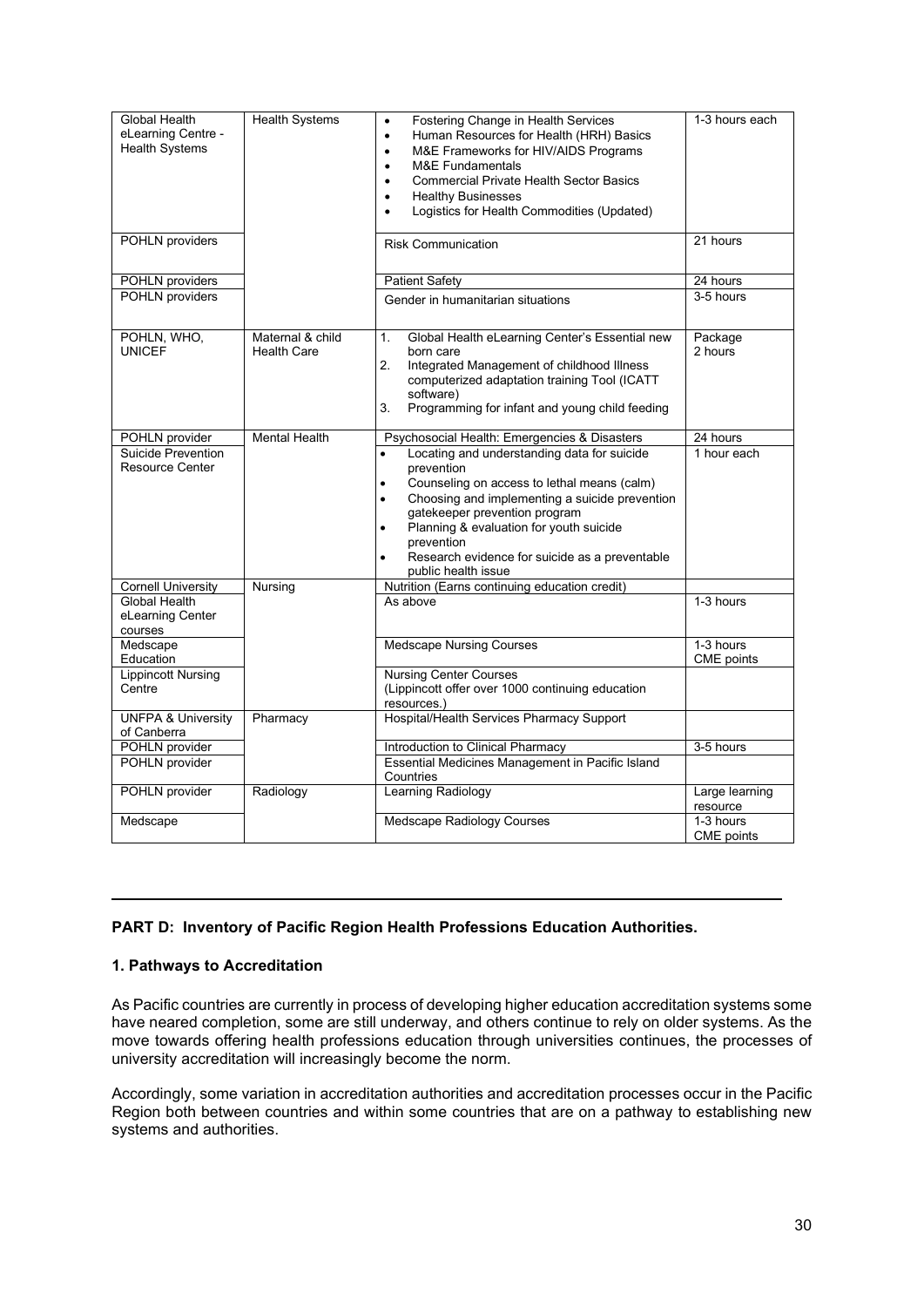| <b>Global Health</b><br>eLearning Centre -<br><b>Health Systems</b><br>POHLN providers | <b>Health Systems</b>                  | Fostering Change in Health Services<br>$\bullet$<br>Human Resources for Health (HRH) Basics<br>$\bullet$<br>M&E Frameworks for HIV/AIDS Programs<br>$\bullet$<br><b>M&amp;E Fundamentals</b><br>$\bullet$<br><b>Commercial Private Health Sector Basics</b><br>$\bullet$<br><b>Healthy Businesses</b><br>$\bullet$<br>Logistics for Health Commodities (Updated)<br>$\bullet$<br><b>Risk Communication</b> | 1-3 hours each<br>21 hours |
|----------------------------------------------------------------------------------------|----------------------------------------|------------------------------------------------------------------------------------------------------------------------------------------------------------------------------------------------------------------------------------------------------------------------------------------------------------------------------------------------------------------------------------------------------------|----------------------------|
|                                                                                        |                                        |                                                                                                                                                                                                                                                                                                                                                                                                            |                            |
| POHLN providers                                                                        |                                        | Patient Safety                                                                                                                                                                                                                                                                                                                                                                                             | 24 hours                   |
| POHLN providers                                                                        |                                        | Gender in humanitarian situations                                                                                                                                                                                                                                                                                                                                                                          | 3-5 hours                  |
| POHLN, WHO,<br><b>UNICEF</b>                                                           | Maternal & child<br><b>Health Care</b> | Global Health eLearning Center's Essential new<br>1.<br>born care<br>2.<br>Integrated Management of childhood Illness<br>computerized adaptation training Tool (ICATT<br>software)<br>3.<br>Programming for infant and young child feeding                                                                                                                                                                 | Package<br>2 hours         |
| POHLN provider                                                                         | <b>Mental Health</b>                   | Psychosocial Health: Emergencies & Disasters                                                                                                                                                                                                                                                                                                                                                               | 24 hours                   |
| Suicide Prevention<br>Resource Center                                                  |                                        | Locating and understanding data for suicide<br>prevention<br>Counseling on access to lethal means (calm)<br>$\bullet$<br>Choosing and implementing a suicide prevention<br>$\bullet$<br>gatekeeper prevention program<br>Planning & evaluation for youth suicide<br>$\bullet$<br>prevention<br>Research evidence for suicide as a preventable<br>public health issue                                       | 1 hour each                |
| <b>Cornell University</b>                                                              | <b>Nursing</b>                         | Nutrition (Earns continuing education credit)                                                                                                                                                                                                                                                                                                                                                              |                            |
| Global Health<br>eLearning Center<br>courses                                           |                                        | As above                                                                                                                                                                                                                                                                                                                                                                                                   | 1-3 hours                  |
| Medscape<br>Education                                                                  |                                        | <b>Medscape Nursing Courses</b>                                                                                                                                                                                                                                                                                                                                                                            | 1-3 hours<br>CME points    |
| <b>Lippincott Nursing</b><br>Centre                                                    |                                        | <b>Nursing Center Courses</b><br>(Lippincott offer over 1000 continuing education<br>resources.)                                                                                                                                                                                                                                                                                                           |                            |
| <b>UNFPA &amp; University</b><br>of Canberra                                           | Pharmacy                               | Hospital/Health Services Pharmacy Support                                                                                                                                                                                                                                                                                                                                                                  |                            |
| POHLN provider                                                                         |                                        | Introduction to Clinical Pharmacy                                                                                                                                                                                                                                                                                                                                                                          | 3-5 hours                  |
| POHLN provider                                                                         |                                        | Essential Medicines Management in Pacific Island<br>Countries                                                                                                                                                                                                                                                                                                                                              |                            |
| POHLN provider                                                                         | Radiology                              | Learning Radiology                                                                                                                                                                                                                                                                                                                                                                                         | Large learning<br>resource |
| Medscape                                                                               |                                        | Medscape Radiology Courses                                                                                                                                                                                                                                                                                                                                                                                 | 1-3 hours<br>CME points    |

#### <span id="page-29-0"></span>**PART D: Inventory of Pacific Region Health Professions Education Authorities.**

#### <span id="page-29-1"></span>**1. Pathways to Accreditation**

As Pacific countries are currently in process of developing higher education accreditation systems some have neared completion, some are still underway, and others continue to rely on older systems. As the move towards offering health professions education through universities continues, the processes of university accreditation will increasingly become the norm.

Accordingly, some variation in accreditation authorities and accreditation processes occur in the Pacific Region both between countries and within some countries that are on a pathway to establishing new systems and authorities.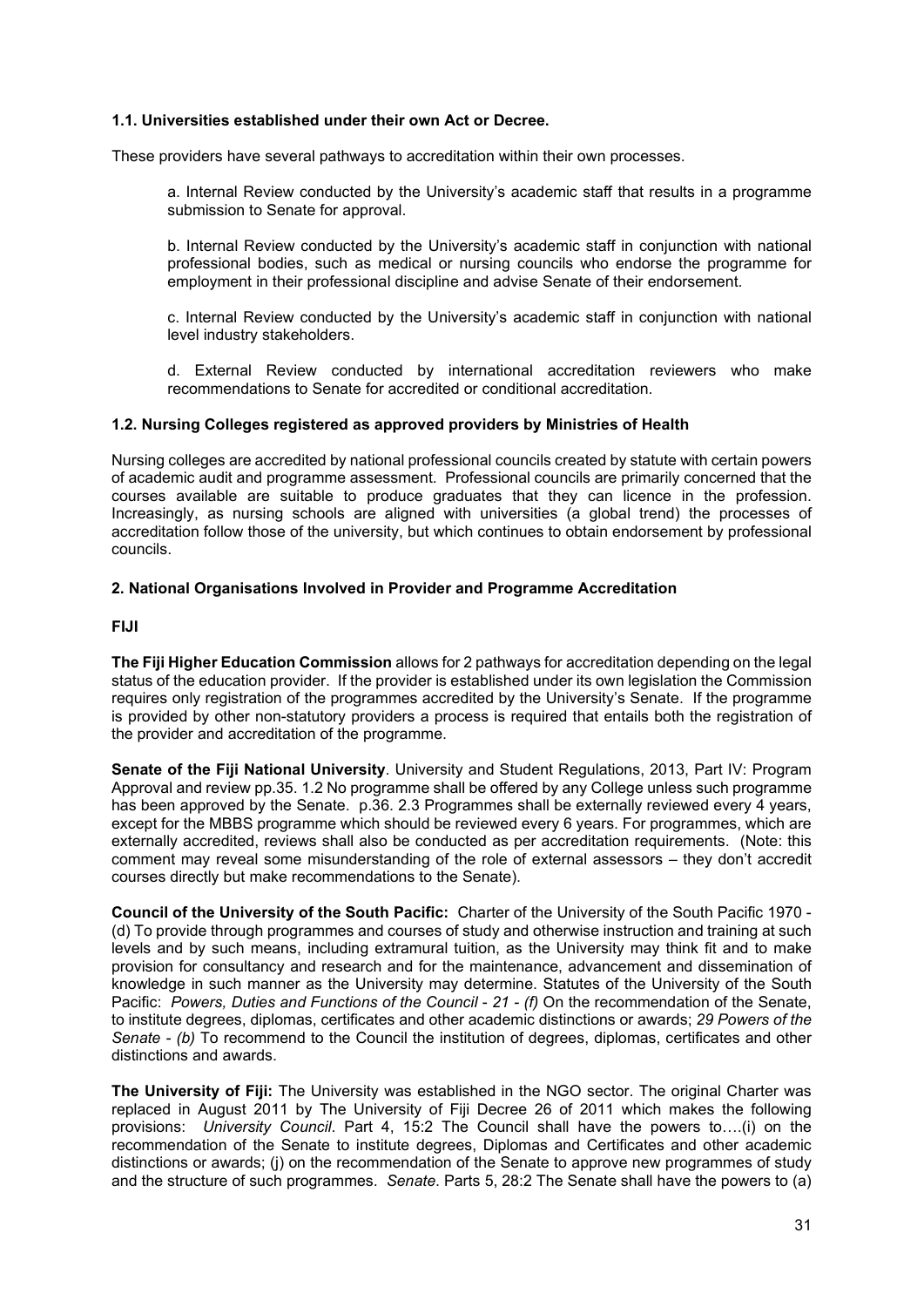#### **1.1. Universities established under their own Act or Decree.**

These providers have several pathways to accreditation within their own processes.

a. Internal Review conducted by the University's academic staff that results in a programme submission to Senate for approval.

b. Internal Review conducted by the University's academic staff in conjunction with national professional bodies, such as medical or nursing councils who endorse the programme for employment in their professional discipline and advise Senate of their endorsement.

c. Internal Review conducted by the University's academic staff in conjunction with national level industry stakeholders.

d. External Review conducted by international accreditation reviewers who make recommendations to Senate for accredited or conditional accreditation.

#### **1.2. Nursing Colleges registered as approved providers by Ministries of Health**

Nursing colleges are accredited by national professional councils created by statute with certain powers of academic audit and programme assessment. Professional councils are primarily concerned that the courses available are suitable to produce graduates that they can licence in the profession. Increasingly, as nursing schools are aligned with universities (a global trend) the processes of accreditation follow those of the university, but which continues to obtain endorsement by professional councils.

#### <span id="page-30-0"></span>**2. National Organisations Involved in Provider and Programme Accreditation**

#### <span id="page-30-1"></span>**FIJI**

**The Fiji Higher Education Commission** allows for 2 pathways for accreditation depending on the legal status of the education provider. If the provider is established under its own legislation the Commission requires only registration of the programmes accredited by the University's Senate. If the programme is provided by other non-statutory providers a process is required that entails both the registration of the provider and accreditation of the programme.

**Senate of the Fiji National University**. University and Student Regulations, 2013, Part IV: Program Approval and review pp.35. 1.2 No programme shall be offered by any College unless such programme has been approved by the Senate. p.36. 2.3 Programmes shall be externally reviewed every 4 years, except for the MBBS programme which should be reviewed every 6 years. For programmes, which are externally accredited, reviews shall also be conducted as per accreditation requirements. (Note: this comment may reveal some misunderstanding of the role of external assessors – they don't accredit courses directly but make recommendations to the Senate).

**Council of the University of the South Pacific:** Charter of the University of the South Pacific 1970 - (d) To provide through programmes and courses of study and otherwise instruction and training at such levels and by such means, including extramural tuition, as the University may think fit and to make provision for consultancy and research and for the maintenance, advancement and dissemination of knowledge in such manner as the University may determine. Statutes of the University of the South Pacific: *Powers, Duties and Functions of the Council* - *21 - (f)* On the recommendation of the Senate, to institute degrees, diplomas, certificates and other academic distinctions or awards; *29 Powers of the Senate - (b)* To recommend to the Council the institution of degrees, diplomas, certificates and other distinctions and awards.

**The University of Fiji:** The University was established in the NGO sector. The original Charter was replaced in August 2011 by The University of Fiji Decree 26 of 2011 which makes the following provisions: *University Council*. Part 4, 15:2 The Council shall have the powers to….(i) on the recommendation of the Senate to institute degrees, Diplomas and Certificates and other academic distinctions or awards; (j) on the recommendation of the Senate to approve new programmes of study and the structure of such programmes. *Senate*. Parts 5, 28:2 The Senate shall have the powers to (a)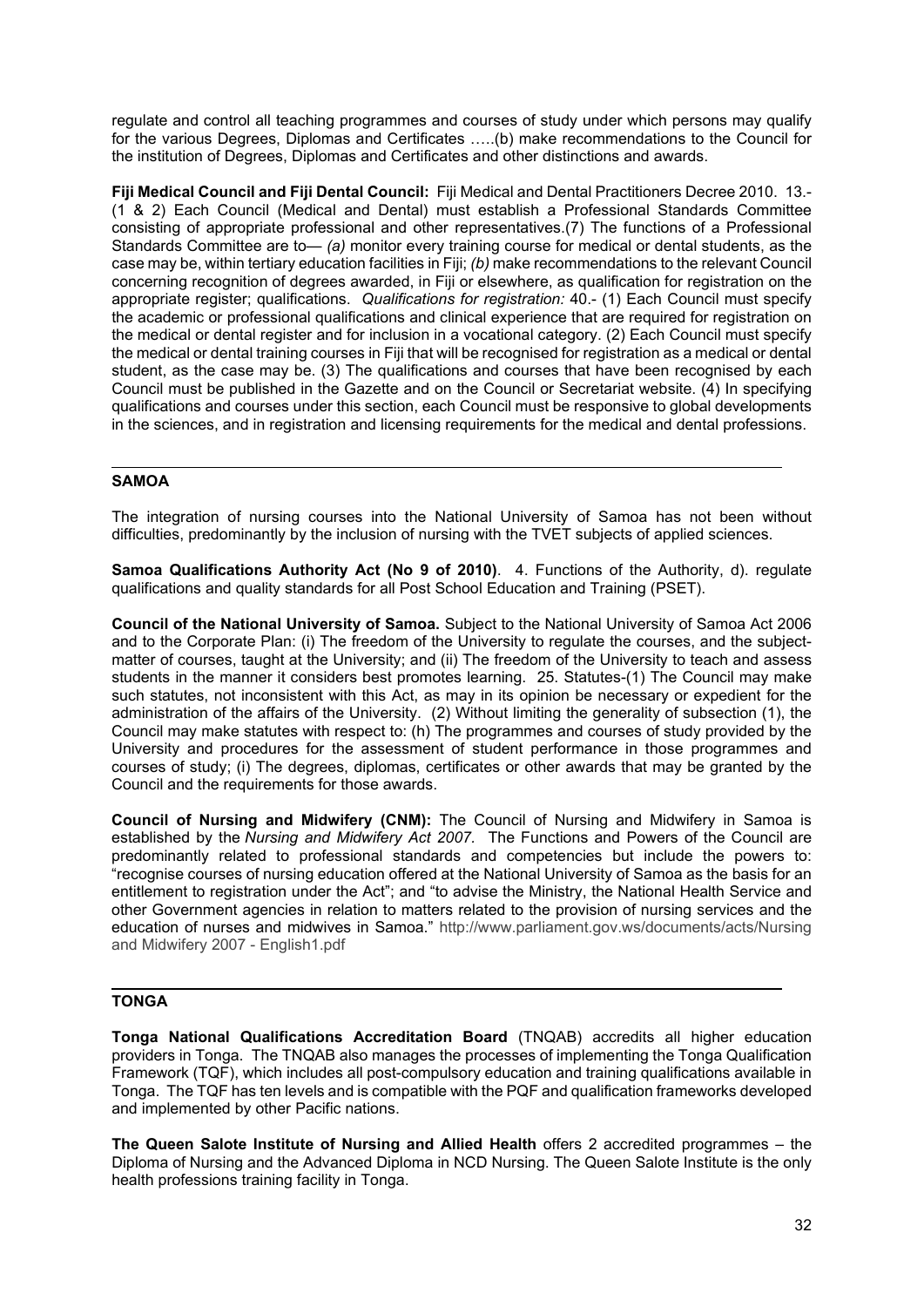regulate and control all teaching programmes and courses of study under which persons may qualify for the various Degrees, Diplomas and Certificates …..(b) make recommendations to the Council for the institution of Degrees, Diplomas and Certificates and other distinctions and awards.

**Fiji Medical Council and Fiji Dental Council:** Fiji Medical and Dental Practitioners Decree 2010. 13.- (1 & 2) Each Council (Medical and Dental) must establish a Professional Standards Committee consisting of appropriate professional and other representatives.(7) The functions of a Professional Standards Committee are to*— (a)* monitor every training course for medical or dental students, as the case may be, within tertiary education facilities in Fiji; *(b)* make recommendations to the relevant Council concerning recognition of degrees awarded, in Fiji or elsewhere, as qualification for registration on the appropriate register; qualifications. *Qualifications for registration:* 40.- (1) Each Council must specify the academic or professional qualifications and clinical experience that are required for registration on the medical or dental register and for inclusion in a vocational category. (2) Each Council must specify the medical or dental training courses in Fiji that will be recognised for registration as a medical or dental student, as the case may be. (3) The qualifications and courses that have been recognised by each Council must be published in the Gazette and on the Council or Secretariat website. (4) In specifying qualifications and courses under this section, each Council must be responsive to global developments in the sciences, and in registration and licensing requirements for the medical and dental professions.

#### <span id="page-31-0"></span>**SAMOA**

The integration of nursing courses into the National University of Samoa has not been without difficulties, predominantly by the inclusion of nursing with the TVET subjects of applied sciences.

<span id="page-31-1"></span>**Samoa Qualifications Authority Act (No 9 of 2010)**. 4. Functions of the Authority, d). regulate qualifications and quality standards for all Post School Education and Training (PSET).

**Council of the National University of Samoa.** Subject to the National University of Samoa Act 2006 and to the Corporate Plan: (i) The freedom of the University to regulate the courses, and the subjectmatter of courses, taught at the University; and (ii) The freedom of the University to teach and assess students in the manner it considers best promotes learning. 25. Statutes-(1) The Council may make such statutes, not inconsistent with this Act, as may in its opinion be necessary or expedient for the administration of the affairs of the University. (2) Without limiting the generality of subsection (1), the Council may make statutes with respect to: (h) The programmes and courses of study provided by the University and procedures for the assessment of student performance in those programmes and courses of study; (i) The degrees, diplomas, certificates or other awards that may be granted by the Council and the requirements for those awards.

**Council of Nursing and Midwifery (CNM):** The Council of Nursing and Midwifery in Samoa is established by the *Nursing and Midwifery Act 2007.* The Functions and Powers of the Council are predominantly related to professional standards and competencies but include the powers to: "recognise courses of nursing education offered at the National University of Samoa as the basis for an entitlement to registration under the Act"; and "to advise the Ministry, the National Health Service and other Government agencies in relation to matters related to the provision of nursing services and the education of nurses and midwives in Samoa." [http://www.parliament.gov.ws/documents/acts/Nursing](http://www.parliament.gov.ws/documents/acts/Nursing%20and%20Midwifery%202007%20-%20English1.pdf)  [and Midwifery 2007 -](http://www.parliament.gov.ws/documents/acts/Nursing%20and%20Midwifery%202007%20-%20English1.pdf) English1.pdf

#### <span id="page-31-2"></span>**TONGA**

**Tonga National Qualifications Accreditation Board** (TNQAB) accredits all higher education providers in Tonga. The TNQAB also manages the processes of implementing the Tonga Qualification Framework (TQF), which includes all post-compulsory education and training qualifications available in Tonga. The TQF has ten levels and is compatible with the PQF and qualification frameworks developed and implemented by other Pacific nations.

**The Queen Salote Institute of Nursing and Allied Health** offers 2 accredited programmes – the Diploma of Nursing and the Advanced Diploma in NCD Nursing. The Queen Salote Institute is the only health professions training facility in Tonga.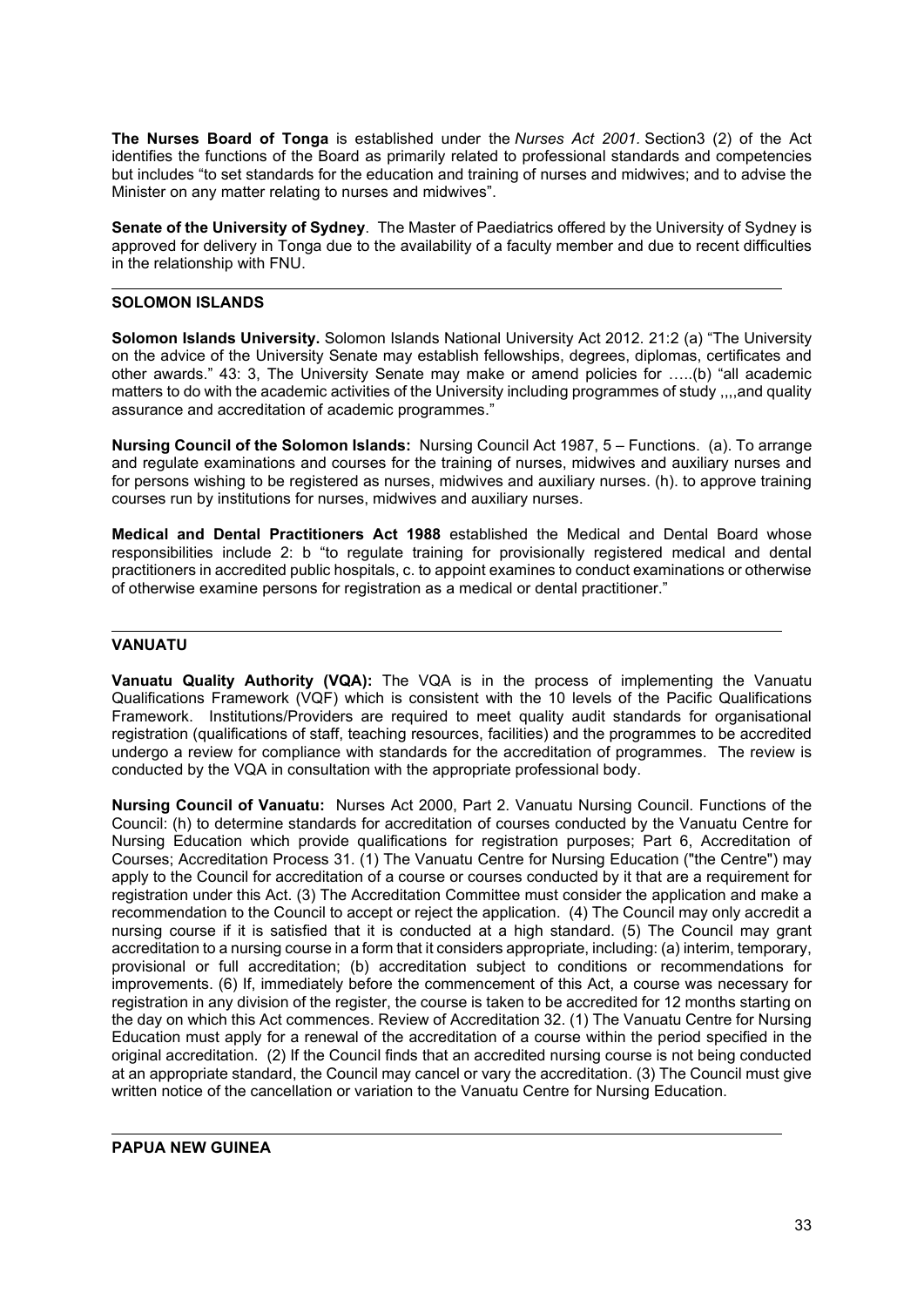**The Nurses Board of Tonga** is established under the *Nurses Act 2001.* Section3 (2) of the Act identifies the functions of the Board as primarily related to professional standards and competencies but includes "to set standards for the education and training of nurses and midwives; and to advise the Minister on any matter relating to nurses and midwives".

**Senate of the University of Sydney**. The Master of Paediatrics offered by the University of Sydney is approved for delivery in Tonga due to the availability of a faculty member and due to recent difficulties in the relationship with FNU.

#### <span id="page-32-0"></span>**SOLOMON ISLANDS**

**Solomon Islands University.** Solomon Islands National University Act 2012. 21:2 (a) "The University on the advice of the University Senate may establish fellowships, degrees, diplomas, certificates and other awards." 43: 3, The University Senate may make or amend policies for …..(b) "all academic matters to do with the academic activities of the University including programmes of study ,,,,and quality assurance and accreditation of academic programmes."

**Nursing Council of the Solomon Islands:** Nursing Council Act 1987, 5 – Functions. (a). To arrange and regulate examinations and courses for the training of nurses, midwives and auxiliary nurses and for persons wishing to be registered as nurses, midwives and auxiliary nurses. (h). to approve training courses run by institutions for nurses, midwives and auxiliary nurses.

**Medical and Dental Practitioners Act 1988** established the Medical and Dental Board whose responsibilities include 2: b "to regulate training for provisionally registered medical and dental practitioners in accredited public hospitals, c. to appoint examines to conduct examinations or otherwise of otherwise examine persons for registration as a medical or dental practitioner."

#### <span id="page-32-1"></span>**VANUATU**

**Vanuatu Quality Authority (VQA):** The VQA is in the process of implementing the Vanuatu Qualifications Framework (VQF) which is consistent with the 10 levels of the Pacific Qualifications Framework. Institutions/Providers are required to meet quality audit standards for organisational registration (qualifications of staff, teaching resources, facilities) and the programmes to be accredited undergo a review for compliance with standards for the accreditation of programmes. The review is conducted by the VQA in consultation with the appropriate professional body.

<span id="page-32-2"></span>**Nursing Council of Vanuatu:** Nurses Act 2000, Part 2. Vanuatu Nursing Council. Functions of the Council: (h) to determine standards for accreditation of courses conducted by the Vanuatu Centre for Nursing Education which provide qualifications for registration purposes; Part 6, Accreditation of Courses; Accreditation Process 31. (1) The Vanuatu Centre for Nursing Education ("the Centre") may apply to the Council for accreditation of a course or courses conducted by it that are a requirement for registration under this Act. (3) The Accreditation Committee must consider the application and make a recommendation to the Council to accept or reject the application. (4) The Council may only accredit a nursing course if it is satisfied that it is conducted at a high standard. (5) The Council may grant accreditation to a nursing course in a form that it considers appropriate, including: (a) interim, temporary, provisional or full accreditation; (b) accreditation subject to conditions or recommendations for improvements. (6) If, immediately before the commencement of this Act, a course was necessary for registration in any division of the register, the course is taken to be accredited for 12 months starting on the day on which this Act commences. Review of Accreditation 32. (1) The Vanuatu Centre for Nursing Education must apply for a renewal of the accreditation of a course within the period specified in the original accreditation. (2) If the Council finds that an accredited nursing course is not being conducted at an appropriate standard, the Council may cancel or vary the accreditation. (3) The Council must give written notice of the cancellation or variation to the Vanuatu Centre for Nursing Education.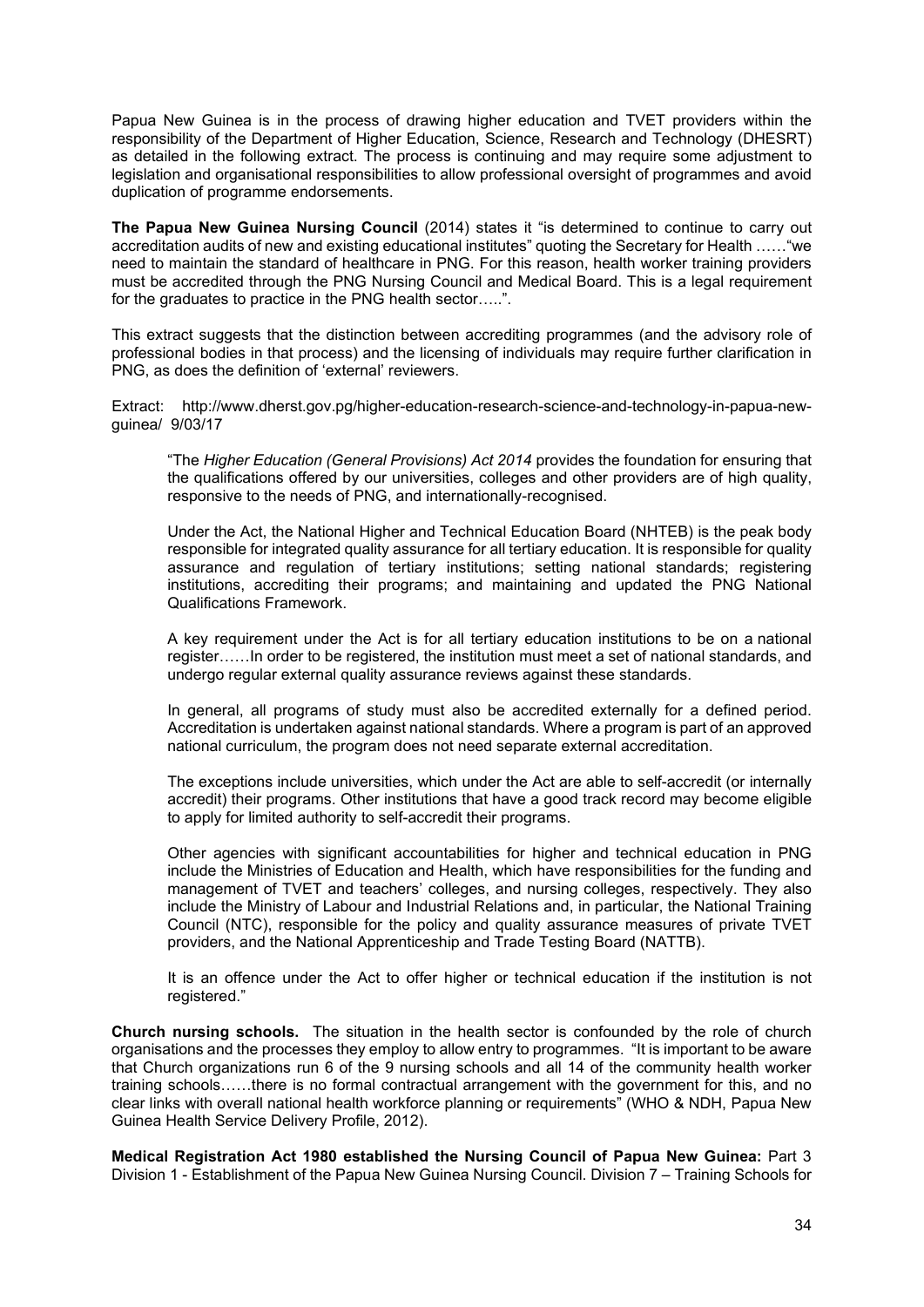Papua New Guinea is in the process of drawing higher education and TVET providers within the responsibility of the Department of Higher Education, Science, Research and Technology (DHESRT) as detailed in the following extract. The process is continuing and may require some adjustment to legislation and organisational responsibilities to allow professional oversight of programmes and avoid duplication of programme endorsements.

**The Papua New Guinea Nursing Council** (2014) states it "is determined to continue to carry out accreditation audits of new and existing educational institutes" quoting the Secretary for Health ……"we need to maintain the standard of healthcare in PNG. For this reason, health worker training providers must be accredited through the PNG Nursing Council and Medical Board. This is a legal requirement for the graduates to practice in the PNG health sector…..".

This extract suggests that the distinction between accrediting programmes (and the advisory role of professional bodies in that process) and the licensing of individuals may require further clarification in PNG, as does the definition of 'external' reviewers.

Extract: http://www.dherst.gov.pg/higher-education-research-science-and-technology-in-papua-newguinea/ 9/03/17

"The *Higher Education (General Provisions) Act 2014* provides the foundation for ensuring that the qualifications offered by our universities, colleges and other providers are of high quality, responsive to the needs of PNG, and internationally-recognised.

Under the Act, the National Higher and Technical Education Board (NHTEB) is the peak body responsible for integrated quality assurance for all tertiary education. It is responsible for quality assurance and regulation of tertiary institutions; setting national standards; registering institutions, accrediting their programs; and maintaining and updated the PNG National Qualifications Framework.

A key requirement under the Act is for all tertiary education institutions to be on a national register……In order to be registered, the institution must meet a set of national standards, and undergo regular external quality assurance reviews against these standards.

In general, all programs of study must also be accredited externally for a defined period. Accreditation is undertaken against national standards. Where a program is part of an approved national curriculum, the program does not need separate external accreditation.

The exceptions include universities, which under the Act are able to self-accredit (or internally accredit) their programs. Other institutions that have a good track record may become eligible to apply for limited authority to self-accredit their programs.

Other agencies with significant accountabilities for higher and technical education in PNG include the Ministries of Education and Health, which have responsibilities for the funding and management of TVET and teachers' colleges, and nursing colleges, respectively. They also include the Ministry of Labour and Industrial Relations and, in particular, the National Training Council (NTC), responsible for the policy and quality assurance measures of private TVET providers, and the National Apprenticeship and Trade Testing Board (NATTB).

It is an offence under the Act to offer higher or technical education if the institution is not registered."

**Church nursing schools.** The situation in the health sector is confounded by the role of church organisations and the processes they employ to allow entry to programmes. "It is important to be aware that Church organizations run 6 of the 9 nursing schools and all 14 of the community health worker training schools……there is no formal contractual arrangement with the government for this, and no clear links with overall national health workforce planning or requirements" (WHO & NDH, Papua New Guinea Health Service Delivery Profile, 2012).

**Medical Registration Act 1980 established the Nursing Council of Papua New Guinea:** Part 3 Division 1 - Establishment of the Papua New Guinea Nursing Council. Division 7 – Training Schools for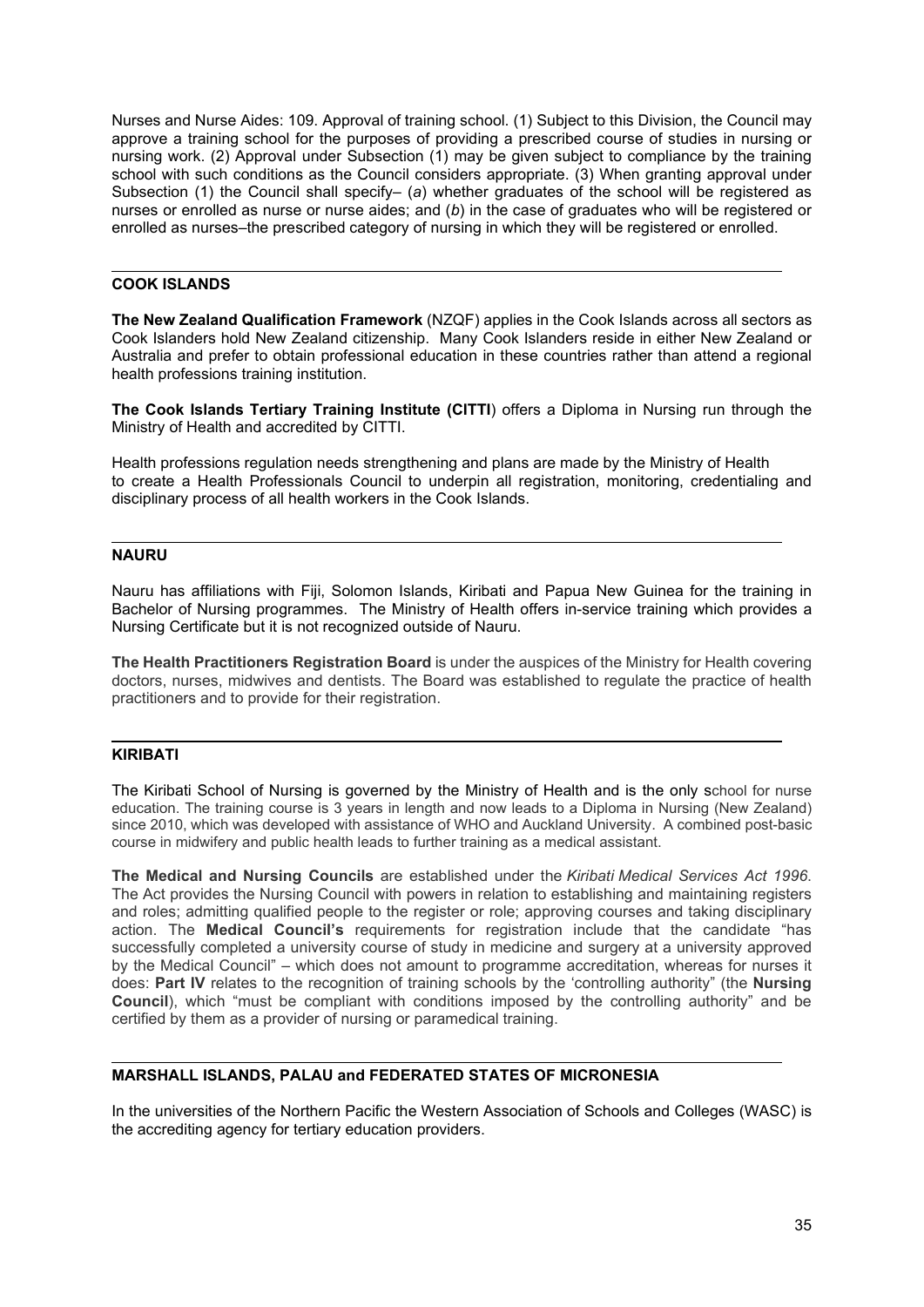Nurses and Nurse Aides: 109. Approval of training school. (1) Subject to this Division, the Council may approve a training school for the purposes of providing a prescribed course of studies in nursing or nursing work. (2) Approval under Subsection (1) may be given subject to compliance by the training school with such conditions as the Council considers appropriate. (3) When granting approval under Subsection (1) the Council shall specify– (*a*) whether graduates of the school will be registered as nurses or enrolled as nurse or nurse aides; and (*b*) in the case of graduates who will be registered or enrolled as nurses–the prescribed category of nursing in which they will be registered or enrolled.

#### <span id="page-34-0"></span>**COOK ISLANDS**

**The New Zealand Qualification Framework** (NZQF) applies in the Cook Islands across all sectors as Cook Islanders hold New Zealand citizenship. Many Cook Islanders reside in either New Zealand or Australia and prefer to obtain professional education in these countries rather than attend a regional health professions training institution.

**The Cook Islands Tertiary Training Institute (CITTI**) offers a Diploma in Nursing run through the Ministry of Health and accredited by CITTI.

Health professions regulation needs strengthening and plans are made by the Ministry of Health to create a Health Professionals Council to underpin all registration, monitoring, credentialing and disciplinary process of all health workers in the Cook Islands.

# <span id="page-34-1"></span>**NAURU**

Nauru has affiliations with Fiji, Solomon Islands, Kiribati and Papua New Guinea for the training in Bachelor of Nursing programmes. The Ministry of Health offers in-service training which provides a Nursing Certificate but it is not recognized outside of Nauru.

**The Health Practitioners Registration Board** is under the auspices of the Ministry for Health covering doctors, nurses, midwives and dentists. The Board was established to regulate the practice of health practitioners and to provide for their registration.

#### <span id="page-34-2"></span>**KIRIBATI**

The Kiribati School of Nursing is governed by the Ministry of Health and is the only school for nurse education. The training course is 3 years in length and now leads to a Diploma in Nursing (New Zealand) since 2010, which was developed with assistance of WHO and Auckland University. A combined post-basic course in midwifery and public health leads to further training as a medical assistant.

**The Medical and Nursing Councils** are established under the *Kiribati Medical Services Act 1996*. The Act provides the Nursing Council with powers in relation to establishing and maintaining registers and roles; admitting qualified people to the register or role; approving courses and taking disciplinary action. The **Medical Council's** requirements for registration include that the candidate "has successfully completed a university course of study in medicine and surgery at a university approved by the Medical Council" – which does not amount to programme accreditation, whereas for nurses it does: **Part IV** relates to the recognition of training schools by the 'controlling authority" (the **Nursing Council**), which "must be compliant with conditions imposed by the controlling authority" and be certified by them as a provider of nursing or paramedical training.

#### <span id="page-34-3"></span>**MARSHALL ISLANDS, PALAU and FEDERATED STATES OF MICRONESIA**

In the universities of the Northern Pacific the Western Association of Schools and Colleges (WASC) is the accrediting agency for tertiary education providers.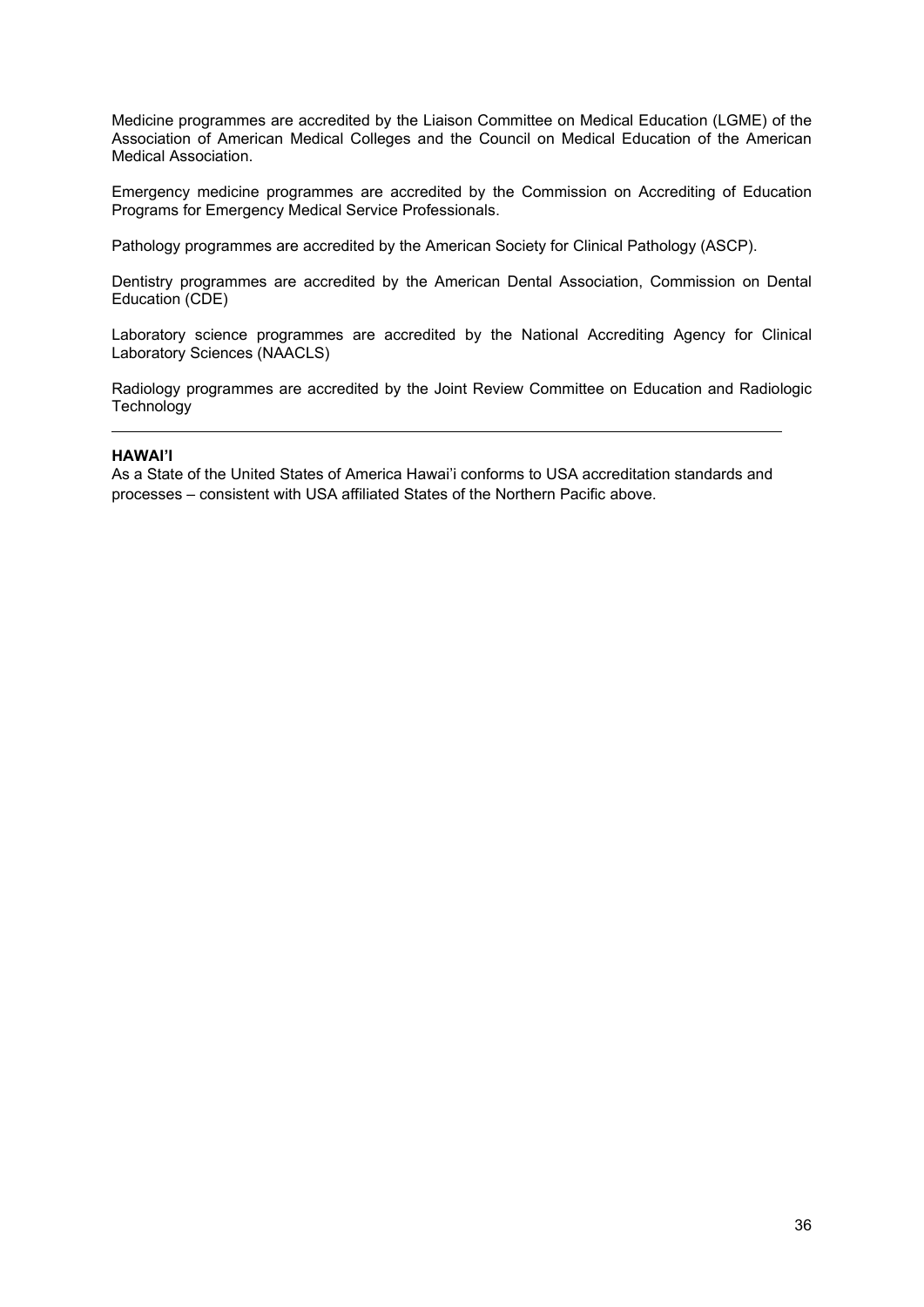Medicine programmes are accredited by the Liaison Committee on Medical Education (LGME) of the Association of American Medical Colleges and the Council on Medical Education of the American Medical Association.

Emergency medicine programmes are accredited by the Commission on Accrediting of Education Programs for Emergency Medical Service Professionals.

Pathology programmes are accredited by the American Society for Clinical Pathology (ASCP).

Dentistry programmes are accredited by the American Dental Association, Commission on Dental Education (CDE)

Laboratory science programmes are accredited by the National Accrediting Agency for Clinical Laboratory Sciences (NAACLS)

Radiology programmes are accredited by the Joint Review Committee on Education and Radiologic **Technology** 

#### <span id="page-35-0"></span>**HAWAI'I**

As a State of the United States of America Hawai'i conforms to USA accreditation standards and processes – consistent with USA affiliated States of the Northern Pacific above.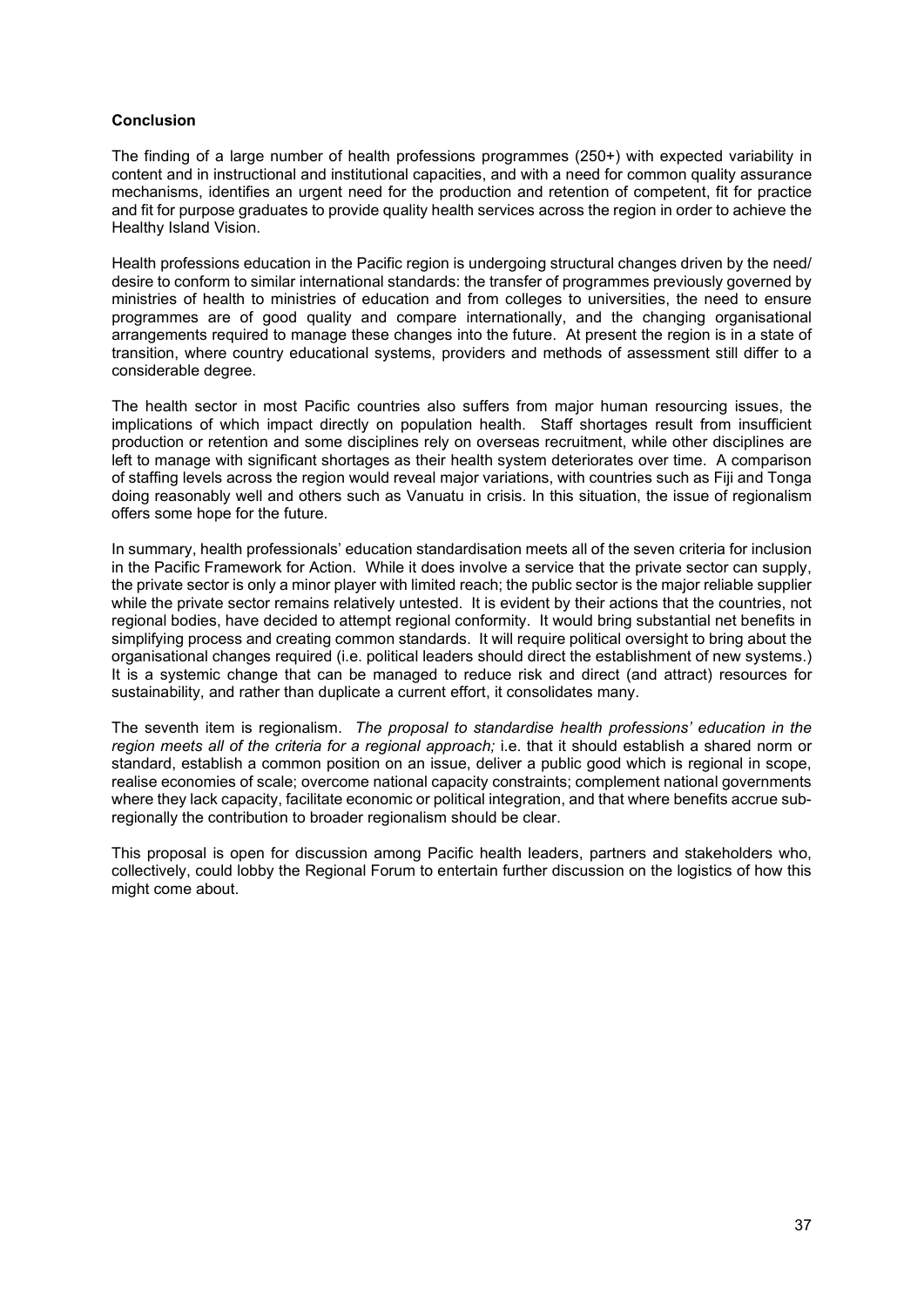#### <span id="page-36-0"></span>**Conclusion**

The finding of a large number of health professions programmes (250+) with expected variability in content and in instructional and institutional capacities, and with a need for common quality assurance mechanisms, identifies an urgent need for the production and retention of competent, fit for practice and fit for purpose graduates to provide quality health services across the region in order to achieve the Healthy Island Vision.

Health professions education in the Pacific region is undergoing structural changes driven by the need/ desire to conform to similar international standards: the transfer of programmes previously governed by ministries of health to ministries of education and from colleges to universities, the need to ensure programmes are of good quality and compare internationally, and the changing organisational arrangements required to manage these changes into the future. At present the region is in a state of transition, where country educational systems, providers and methods of assessment still differ to a considerable degree.

The health sector in most Pacific countries also suffers from major human resourcing issues, the implications of which impact directly on population health. Staff shortages result from insufficient production or retention and some disciplines rely on overseas recruitment, while other disciplines are left to manage with significant shortages as their health system deteriorates over time. A comparison of staffing levels across the region would reveal major variations, with countries such as Fiji and Tonga doing reasonably well and others such as Vanuatu in crisis. In this situation, the issue of regionalism offers some hope for the future.

In summary, health professionals' education standardisation meets all of the seven criteria for inclusion in the Pacific Framework for Action. While it does involve a service that the private sector can supply, the private sector is only a minor player with limited reach; the public sector is the major reliable supplier while the private sector remains relatively untested. It is evident by their actions that the countries, not regional bodies, have decided to attempt regional conformity. It would bring substantial net benefits in simplifying process and creating common standards. It will require political oversight to bring about the organisational changes required (i.e. political leaders should direct the establishment of new systems.) It is a systemic change that can be managed to reduce risk and direct (and attract) resources for sustainability, and rather than duplicate a current effort, it consolidates many.

The seventh item is regionalism. *The proposal to standardise health professions' education in the region meets all of the criteria for a regional approach;* i.e. that it should establish a shared norm or standard, establish a common position on an issue, deliver a public good which is regional in scope, realise economies of scale; overcome national capacity constraints; complement national governments where they lack capacity, facilitate economic or political integration, and that where benefits accrue subregionally the contribution to broader regionalism should be clear.

This proposal is open for discussion among Pacific health leaders, partners and stakeholders who, collectively, could lobby the Regional Forum to entertain further discussion on the logistics of how this might come about.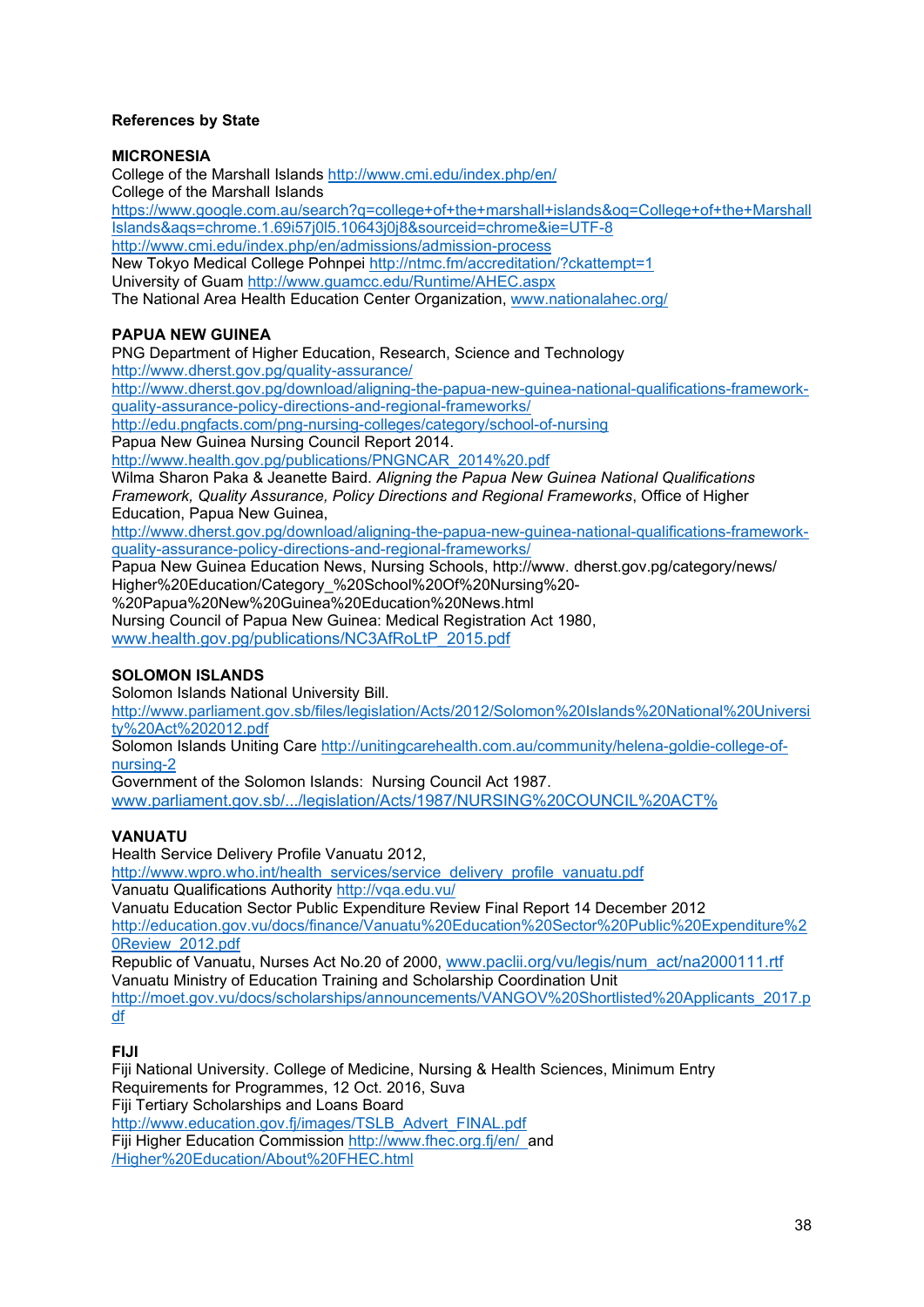# <span id="page-37-0"></span>**References by State**

#### **MICRONESIA**

College of the Marshall Islands<http://www.cmi.edu/index.php/en/> College of the Marshall Islands [https://www.google.com.au/search?q=college+of+the+marshall+islands&oq=College+of+the+Marshall](https://www.google.com.au/search?q=college+of+the+marshall+islands&oq=College+of+the+MarshallIslands&aqs=chrome.1.69i57j0l5.10643j0j8&sourceid=chrome&ie=UTF-8) [Islands&aqs=chrome.1.69i57j0l5.10643j0j8&sourceid=chrome&ie=UTF-8](https://www.google.com.au/search?q=college+of+the+marshall+islands&oq=College+of+the+MarshallIslands&aqs=chrome.1.69i57j0l5.10643j0j8&sourceid=chrome&ie=UTF-8) <http://www.cmi.edu/index.php/en/admissions/admission-process> New Tokyo Medical College Pohnpei<http://ntmc.fm/accreditation/?ckattempt=1> University of Guam<http://www.guamcc.edu/Runtime/AHEC.aspx> The National Area Health Education Center Organization, [www.nationalahec.org/](http://www.nationalahec.org/)

# **PAPUA NEW GUINEA**

PNG Department of Higher Education, Research, Science and Technology <http://www.dherst.gov.pg/quality-assurance/>

[http://www.dherst.gov.pg/download/aligning-the-papua-new-guinea-national-qualifications-framework](http://www.dherst.gov.pg/download/aligning-the-papua-new-guinea-national-qualifications-framework-quality-assurance-policy-directions-and-regional-frameworks/)[quality-assurance-policy-directions-and-regional-frameworks/](http://www.dherst.gov.pg/download/aligning-the-papua-new-guinea-national-qualifications-framework-quality-assurance-policy-directions-and-regional-frameworks/)

<http://edu.pngfacts.com/png-nursing-colleges/category/school-of-nursing>

Papua New Guinea Nursing Council Report 2014.

[http://www.health.gov.pg/publications/PNGNCAR\\_2014%20.pdf](http://www.health.gov.pg/publications/PNGNCAR_2014%20.pdf)

Wilma Sharon Paka & Jeanette Baird. *Aligning the Papua New Guinea National Qualifications Framework, Quality Assurance, Policy Directions and Regional Frameworks*, Office of Higher Education, Papua New Guinea,

[http://www.dherst.gov.pg/download/aligning-the-papua-new-guinea-national-qualifications-framework](http://www.dherst.gov.pg/download/aligning-the-papua-new-guinea-national-qualifications-framework-quality-assurance-policy-directions-and-regional-frameworks/)[quality-assurance-policy-directions-and-regional-frameworks/](http://www.dherst.gov.pg/download/aligning-the-papua-new-guinea-national-qualifications-framework-quality-assurance-policy-directions-and-regional-frameworks/)

Papua New Guinea Education News, Nursing Schools, http://www. dherst.gov.pg/category/news/ Higher%20Education/Category\_%20School%20Of%20Nursing%20-

%20Papua%20New%20Guinea%20Education%20News.html Nursing Council of Papua New Guinea: Medical Registration Act 1980,

[www.health.gov.pg/publications/NC3AfRoLtP\\_2015.pdf](http://www.health.gov.pg/publications/NC3AfRoLtP_2015.pdf)

# **SOLOMON ISLANDS**

Solomon Islands National University Bill.

[http://www.parliament.gov.sb/files/legislation/Acts/2012/Solomon%20Islands%20National%20Universi](http://www.parliament.gov.sb/files/legislation/Acts/2012/Solomon%20Islands%20National%20University%20Act%202012.pdf) [ty%20Act%202012.pdf](http://www.parliament.gov.sb/files/legislation/Acts/2012/Solomon%20Islands%20National%20University%20Act%202012.pdf)

Solomon Islands Uniting Care [http://unitingcarehealth.com.au/community/helena-goldie-college-of](http://unitingcarehealth.com.au/community/helena-goldie-college-of-nursing-2)[nursing-2](http://unitingcarehealth.com.au/community/helena-goldie-college-of-nursing-2)

Government of the Solomon Islands: Nursing Council Act 1987. [www.parliament.gov.sb/.../legislation/Acts/1987/NURSING%20COUNCIL%20ACT%](http://www.parliament.gov.sb/.../legislation/Acts/1987/NURSING%20COUNCIL%20ACT%25)

# **VANUATU**

Health Service Delivery Profile Vanuatu 2012,

[http://www.wpro.who.int/health\\_services/service\\_delivery\\_profile\\_vanuatu.pdf](http://www.wpro.who.int/health_services/service_delivery_profile_vanuatu.pdf) Vanuatu Qualifications Authority<http://vqa.edu.vu/>

Vanuatu Education Sector Public Expenditure Review Final Report 14 December 2012 [http://education.gov.vu/docs/finance/Vanuatu%20Education%20Sector%20Public%20Expenditure%2](http://education.gov.vu/docs/finance/Vanuatu%20Education%20Sector%20Public%20Expenditure%20Review_2012.pdf) [0Review\\_2012.pdf](http://education.gov.vu/docs/finance/Vanuatu%20Education%20Sector%20Public%20Expenditure%20Review_2012.pdf)

Republic of Vanuatu, Nurses Act No.20 of 2000, [www.paclii.org/vu/legis/num\\_act/na2000111.rtf](http://www.paclii.org/vu/legis/num_act/na2000111.rtf) Vanuatu Ministry of Education Training and Scholarship Coordination Unit [http://moet.gov.vu/docs/scholarships/announcements/VANGOV%20Shortlisted%20Applicants\\_2017.p](http://moet.gov.vu/docs/scholarships/announcements/VANGOV%20Shortlisted%20Applicants_2017.pdf) [df](http://moet.gov.vu/docs/scholarships/announcements/VANGOV%20Shortlisted%20Applicants_2017.pdf)

#### **FIJI**

Fiji National University. College of Medicine, Nursing & Health Sciences, Minimum Entry Requirements for Programmes, 12 Oct. 2016, Suva Fiji Tertiary Scholarships and Loans Board [http://www.education.gov.fj/images/TSLB\\_Advert\\_FINAL.pdf](http://www.education.gov.fj/images/TSLB_Advert_FINAL.pdf) Fiji Higher Education Commission<http://www.fhec.org.fj/en/>and /Higher%20Education/About%20FHEC.html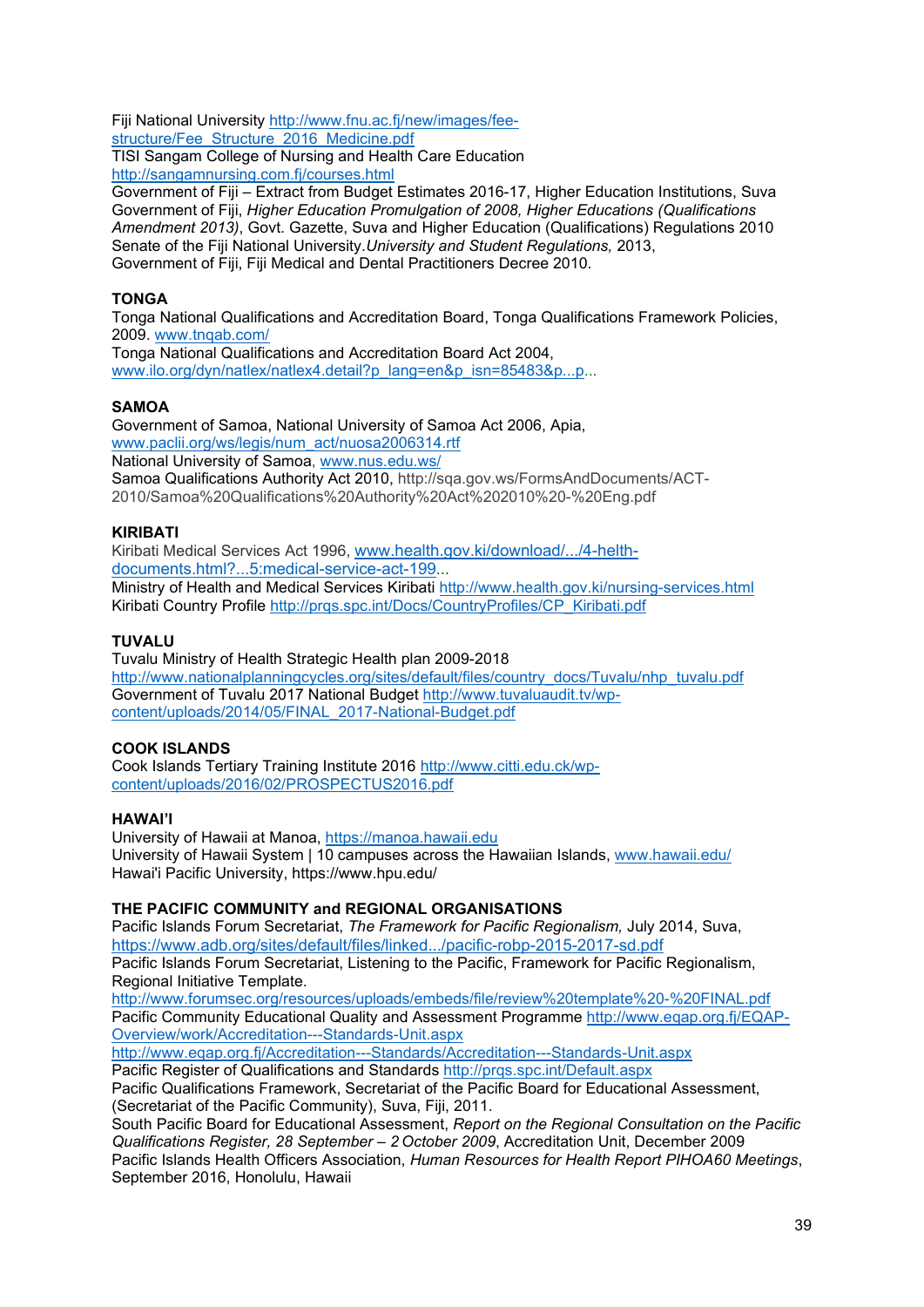Fiji National University [http://www.fnu.ac.fj/new/images/fee](http://www.fnu.ac.fj/new/images/fee-structure/Fee_Structure_2016_Medicine.pdf)[structure/Fee\\_Structure\\_2016\\_Medicine.pdf](http://www.fnu.ac.fj/new/images/fee-structure/Fee_Structure_2016_Medicine.pdf)

TISI Sangam College of Nursing and Health Care Education <http://sangamnursing.com.fj/courses.html>

Government of Fiji – Extract from Budget Estimates 2016-17, Higher Education Institutions, Suva Government of Fiji, *Higher Education Promulgation of 2008, Higher Educations (Qualifications Amendment 2013)*, Govt. Gazette, Suva and Higher Education (Qualifications) Regulations 2010 Senate of the Fiji National University.*University and Student Regulations,* 2013, Government of Fiji, Fiji Medical and Dental Practitioners Decree 2010.

# **TONGA**

Tonga National Qualifications and Accreditation Board, Tonga Qualifications Framework Policies, 2009. [www.tnqab.com/](http://www.tnqab.com/)

Tonga National Qualifications and Accreditation Board Act 2004, [www.ilo.org/dyn/natlex/natlex4.detail?p\\_lang=en&p\\_isn=85483&p...p.](http://www.ilo.org/dyn/natlex/natlex4.detail?p_lang=en&p_isn=85483&p...p)..

# **SAMOA**

Government of Samoa, National University of Samoa Act 2006, Apia, [www.paclii.org/ws/legis/num\\_act/nuosa2006314.rtf](http://www.paclii.org/ws/legis/num_act/nuosa2006314.rtf) National University of Samoa, [www.nus.edu.ws/](http://www.nus.edu.ws/) Samoa Qualifications Authority Act 2010, [http://sqa.gov.ws/FormsAndDocuments/ACT-](http://sqa.gov.ws/FormsAndDocuments/ACT-2010/Samoa%20Qualifications%20Authority%20Act%202010%20-%20Eng.pdf)

[2010/Samoa%20Qualifications%20Authority%20Act%202010%20-%20Eng.pdf](http://sqa.gov.ws/FormsAndDocuments/ACT-2010/Samoa%20Qualifications%20Authority%20Act%202010%20-%20Eng.pdf)

# **KIRIBATI**

Kiribati Medical Services Act 1996, [www.health.gov.ki/download/.../4-helth](http://www.health.gov.ki/download/.../4-helth-documents.html?...5:medical-service-act-199)[documents.html?...5:medical-service-act-199.](http://www.health.gov.ki/download/.../4-helth-documents.html?...5:medical-service-act-199)..

Ministry of Health and Medical Services Kiribati<http://www.health.gov.ki/nursing-services.html> Kiribati Country Profile [http://prqs.spc.int/Docs/CountryProfiles/CP\\_Kiribati.pdf](http://prqs.spc.int/Docs/CountryProfiles/CP_Kiribati.pdf)

# **TUVALU**

Tuvalu Ministry of Health Strategic Health plan 2009-2018 [http://www.nationalplanningcycles.org/sites/default/files/country\\_docs/Tuvalu/nhp\\_tuvalu.pdf](http://www.nationalplanningcycles.org/sites/default/files/country_docs/Tuvalu/nhp_tuvalu.pdf) Government of Tuvalu 2017 National Budget [http://www.tuvaluaudit.tv/wp](http://www.tuvaluaudit.tv/wp-content/uploads/2014/05/FINAL_2017-National-Budget.pdf)[content/uploads/2014/05/FINAL\\_2017-National-Budget.pdf](http://www.tuvaluaudit.tv/wp-content/uploads/2014/05/FINAL_2017-National-Budget.pdf)

#### **COOK ISLANDS**

Cook Islands Tertiary Training Institute 2016 [http://www.citti.edu.ck/wp](http://www.citti.edu.ck/wp-content/uploads/2016/02/PROSPECTUS2016.pdf)[content/uploads/2016/02/PROSPECTUS2016.pdf](http://www.citti.edu.ck/wp-content/uploads/2016/02/PROSPECTUS2016.pdf)

#### **HAWAI'I**

University of Hawaii at Manoa, [https://manoa.hawaii.edu](https://manoa.hawaii.edu/) University of Hawaii System | 10 campuses across the Hawaiian Islands, [www.hawaii.edu/](http://www.hawaii.edu/) Hawai'i Pacific University, https://www.hpu.edu/

# **THE PACIFIC COMMUNITY and REGIONAL ORGANISATIONS**

Pacific Islands Forum Secretariat, *The Framework for Pacific Regionalism,* July 2014, Suva, <https://www.adb.org/sites/default/files/linked.../pacific-robp-2015-2017-sd.pdf> Pacific Islands Forum Secretariat, Listening to the Pacific, Framework for Pacific Regionalism, Regional Initiative Template.

<http://www.forumsec.org/resources/uploads/embeds/file/review%20template%20-%20FINAL.pdf> Pacific Community Educational Quality and Assessment Programme [http://www.eqap.org.fj/EQAP-](http://www.eqap.org.fj/EQAP-Overview/work/Accreditation---Standards-Unit.aspx)[Overview/work/Accreditation---Standards-Unit.aspx](http://www.eqap.org.fj/EQAP-Overview/work/Accreditation---Standards-Unit.aspx)

<http://www.eqap.org.fj/Accreditation---Standards/Accreditation---Standards-Unit.aspx>

Pacific Register of Qualifications and Standards<http://prqs.spc.int/Default.aspx>

Pacific Qualifications Framework, Secretariat of the Pacific Board for Educational Assessment, (Secretariat of the Pacific Community), Suva, Fiji, 2011.

South Pacific Board for Educational Assessment, *Report on the Regional Consultation on the Pacific Qualifications Register, 28 September – 2 October 2009*, Accreditation Unit, December 2009 Pacific Islands Health Officers Association, *Human Resources for Health Report PIHOA60 Meetings*, September 2016, Honolulu, Hawaii